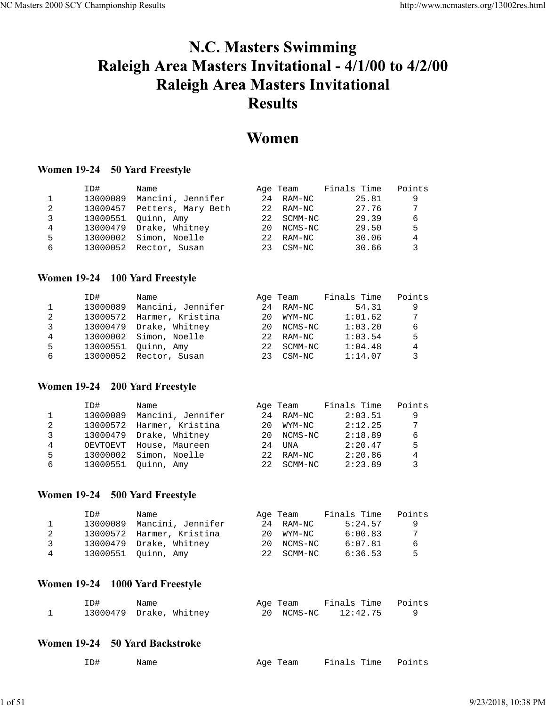# N.C. Masters Swimming Raleigh Area Masters Invitational - 4/1/00 to 4/2/00 **Raleigh Area Masters Invitational Results**

# Women

## **Women 19-24 50 Yard Freestyle**

|   | ID#      | Name                    |                  | Age Team | Finals Time | Points |
|---|----------|-------------------------|------------------|----------|-------------|--------|
|   | 13000089 | Mancini, Jennifer       | 2.4              | RAM-NC   | 25.81       | 9      |
| 2 | 13000457 | Petters, Mary Beth      | 22               | RAM-NC   | 27.76       | 7      |
| 3 | 13000551 | Ouinn, Amy              | 2.2 <sub>1</sub> | SCMM-NC  | 29.39       | 6      |
| 4 |          | 13000479 Drake, Whitney | 20               | NCMS-NC  | 29.50       | 5      |
| 5 | 13000002 | Simon, Noelle           | 2.2 <sub>1</sub> | RAM-NC   | 30.06       | 4      |
| 6 |          | 13000052 Rector, Susan  | 23               | CSM-NC   | 30.66       | 3      |

## **Women 19-24 100 Yard Freestyle**

|   | ID#      | Name                    |                  | Age Team   | Finals Time | Points |
|---|----------|-------------------------|------------------|------------|-------------|--------|
|   | 13000089 | Mancini, Jennifer       |                  | 24 RAM-NC  | 54.31       | 9      |
| 2 | 13000572 | Harmer, Kristina        | 20               | WYM-NC     | 1:01.62     | 7      |
| 3 |          | 13000479 Drake, Whitney | 20               | NCMS-NC    | 1:03.20     | 6      |
| 4 |          | 13000002 Simon, Noelle  | 2.2 <sub>1</sub> | RAM-NC     | 1:03.54     | 5      |
| 5 | 13000551 | Ouinn, Amy              |                  | 22 SCMM-NC | 1:04.48     | 4      |
| 6 |          | 13000052 Rector, Susan  | 23               | CSM-NC     | 1:14.07     |        |

## **Women 19-24 200 Yard Freestyle**

|   | ID#      | Name              |      | Age Team | Finals Time | Points |
|---|----------|-------------------|------|----------|-------------|--------|
|   | 13000089 | Mancini, Jennifer | 2.4  | RAM-NC   | 2:03.51     | 9      |
| 2 | 13000572 | Harmer, Kristina  | 20   | WYM-NC   | 2:12.25     | 7      |
| 3 | 13000479 | Drake, Whitney    | 20   | NCMS-NC  | 2:18.89     | 6      |
| 4 | OEVTOEVT | House, Maureen    | 2.4  | UNA      | 2:20.47     | 5      |
| 5 | 13000002 | Simon, Noelle     | 22   | RAM-NC   | 2:20.86     | 4      |
| 6 | 13000551 | Ouinn, Amy        | 2.2. | SCMM-NC  | 2:23.89     |        |

## **Women 19-24 500 Yard Freestyle**

|   | ID#      | Name                      | Age Team      | Finals Time | Points |
|---|----------|---------------------------|---------------|-------------|--------|
|   | 13000089 | Mancini, Jennifer         | 24 RAM-NC     | 5:24.57     | q      |
| 2 |          | 13000572 Harmer, Kristina | 20<br>WYM-NC  | 6:00.83     | 7      |
| ર |          | 13000479 Drake, Whitney   | NCMS-NC<br>20 | 6:07.81     | 6      |
| 4 |          | 13000551 Ouinn, Amy       | 22 SCMM-NC    | 6:36.53     | 5      |

## **Women 19-24 1000 Yard Freestyle**

| ID# | Name                    | Age Team | Finals Time Points  |  |
|-----|-------------------------|----------|---------------------|--|
|     | 13000479 Drake, Whitney |          | 20 NCMS-NC 12:42.75 |  |

## **Women 19-24 50 Yard Backstroke**

| Age Team Finals Time Points<br>ID#<br>Name |  |  |  |  |  |
|--------------------------------------------|--|--|--|--|--|
|--------------------------------------------|--|--|--|--|--|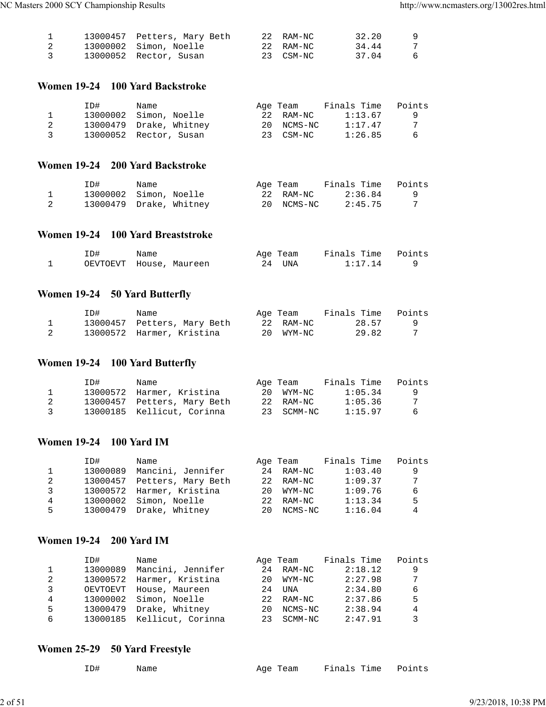|                         | 13000457 Petters, Mary Beth | 22 RAM-NC | 32.20 | -9 |
|-------------------------|-----------------------------|-----------|-------|----|
|                         | 13000002 Simon, Noelle      | 22 RAM-NC | 34.44 |    |
| $\overline{\mathbf{3}}$ | 13000052 Rector, Susan      | 23 CSM-NC | 37.04 | -6 |

## **Women 19-24 100 Yard Backstroke**

|   | ID# | Name                    | Age Team   | Finals Time | Points |
|---|-----|-------------------------|------------|-------------|--------|
|   |     | 13000002 Simon, Noelle  | 22 RAM-NC  | 1:13.67     | - 9    |
|   |     | 13000479 Drake, Whitney | 20 NCMS-NC | 1:17.47     |        |
| 3 |     | 13000052 Rector, Susan  | 23 CSM-NC  | 1:26.85     | -6     |

## **Women 19-24 200 Yard Backstroke**

| ID# | Name                    |    | Age Team  | Finals Time | Points |
|-----|-------------------------|----|-----------|-------------|--------|
|     | 13000002 Simon, Noelle  |    | 22 RAM-NC | 2:36.84     | - 9    |
|     | 13000479 Drake, Whitney | 20 | NCMS-NC   | 2:45.75     |        |

#### **Women 19-24 100 Yard Breaststroke**

| ID# | Name                    | Age Team | Finals Time Points |  |
|-----|-------------------------|----------|--------------------|--|
|     | OEVTOEVT House, Maureen | 24 UNA   | 1:17.14            |  |

## **Women 19-24 50 Yard Butterfly**

| ID# | Name                        | Age Team  | Finals Time | Points |
|-----|-----------------------------|-----------|-------------|--------|
|     | 13000457 Petters, Mary Beth | 22 RAM-NC | 28.57       |        |
|     | 13000572 Harmer, Kristina   | 20 WYM-NC | 29.82       |        |

## **Women 19-24 100 Yard Butterfly**

|                | ID# | Name                        | Age Team  | Finals Time           | Points   |
|----------------|-----|-----------------------------|-----------|-----------------------|----------|
|                |     | 13000572 Harmer, Kristina   | 20 WYM-NC | 1:05.34               | <b>Q</b> |
|                |     | 13000457 Petters, Mary Beth | 22 RAM-NC | 1:05.36               | -7       |
| $\overline{3}$ |     | 13000185 Kellicut, Corinna  |           | 1:15.97<br>23 SCMM-NC | -6       |

#### **Women 19-24 100 Yard IM**

| ID#      | Name              |                                                                                             | Finals Time                                            | Points  |
|----------|-------------------|---------------------------------------------------------------------------------------------|--------------------------------------------------------|---------|
| 13000089 | Mancini, Jennifer |                                                                                             | 1:03.40                                                | 9       |
| 13000457 |                   |                                                                                             | 1:09.37                                                | 7       |
|          |                   | 2.0                                                                                         | 1:09.76                                                | 6       |
| 13000002 |                   | 2.2                                                                                         | 1:13.34                                                | 5       |
|          |                   | 20                                                                                          | 1:16.04                                                | 4       |
|          |                   | Petters, Mary Beth<br>13000572 Harmer, Kristina<br>Simon, Noelle<br>13000479 Drake, Whitney | Age Team<br>24 RAM-NC<br>22 RAM-NC<br>WYM-NC<br>RAM-NC | NCMS-NC |

#### **Women 19-24 200 Yard IM**

|   | ID#      | Name                       |     | Age Team   | Finals Time | Points |
|---|----------|----------------------------|-----|------------|-------------|--------|
|   | 13000089 | Mancini, Jennifer          | 24  | RAM-NC     | 2:18.12     | 9      |
| 2 | 13000572 | Harmer, Kristina           | 20  | WYM-NC     | 2:27.98     | 7      |
| 3 | OEVTOEVT | House, Maureen             | 2.4 | UNA        | 2:34.80     | 6      |
| 4 | 13000002 | Simon, Noelle              | 2.2 | RAM-NC     | 2:37.86     | 5      |
| 5 |          | 13000479 Drake, Whitney    | 20  | NCMS-NC    | 2:38.94     | 4      |
| 6 |          | 13000185 Kellicut, Corinna |     | 23 SCMM-NC | 2:47.91     | 3      |
|   |          |                            |     |            |             |        |

## **Women 25-29 50 Yard Freestyle**

| ID# | Name | Age Team Finals Time Points |  |
|-----|------|-----------------------------|--|
|     |      |                             |  |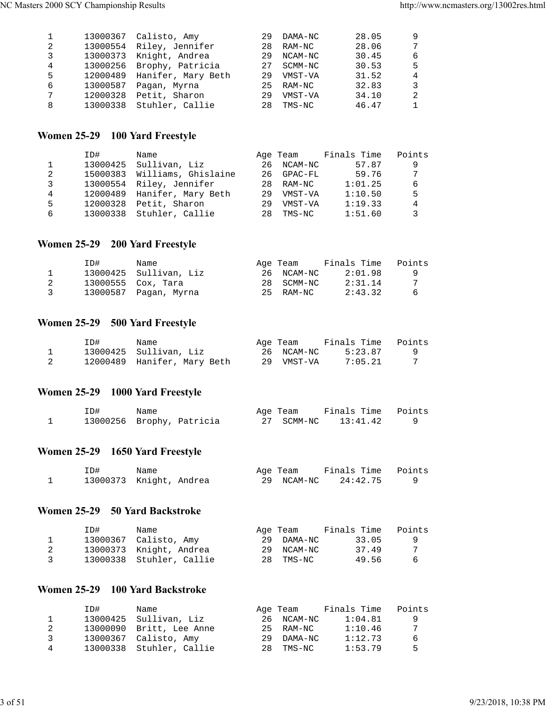|   |          | 13000367 Calisto, Amy       | 29  | DAMA-NC   | 28.05 | 9              |
|---|----------|-----------------------------|-----|-----------|-------|----------------|
| 2 |          | 13000554 Riley, Jennifer    | 28  | RAM-NC    | 28.06 | 7              |
| 3 |          | 13000373 Knight, Andrea     | 29  | NCAM-NC   | 30.45 | 6              |
| 4 |          | 13000256 Brophy, Patricia   | 2.7 | SCMM-NC   | 30.53 | 5              |
| 5 |          | 12000489 Hanifer, Mary Beth | 29  | VMST-VA   | 31.52 | $\overline{4}$ |
| 6 | 13000587 | Pagan, Myrna                |     | 25 RAM-NC | 32.83 | 3              |
| 7 |          | 12000328 Petit, Sharon      | 29  | VMST-VA   | 34.10 | $\mathfrak{D}$ |
| 8 |          | 13000338 Stuhler, Callie    | 28  | TMS-NC    | 46.47 | $\mathbf{1}$   |
|   |          |                             |     |           |       |                |

## **Women 25-29 100 Yard Freestyle**

|   | ID#      | Name                         |    |            | Age Team Finals Time | Points |
|---|----------|------------------------------|----|------------|----------------------|--------|
|   |          | 13000425 Sullivan, Liz       |    | 26 NCAM-NC | 57.87                | 9      |
| 2 |          | 15000383 Williams, Ghislaine |    | 26 GPAC-FL | 59.76                | 7      |
| 3 |          | 13000554 Riley, Jennifer     |    | 28 RAM-NC  | 1:01.25              | 6      |
| 4 |          | 12000489 Hanifer, Mary Beth  |    | 29 VMST-VA | 1:10.50              | 5      |
| 5 | 12000328 | Petit, Sharon                | 29 | VMST-VA    | 1:19.33              | 4      |
| 6 | 13000338 | Stuhler, Callie              | 28 | TMS-NC     | 1:51.60              | 3      |

## **Women 25-29 200 Yard Freestyle**

|               | ID# | Name                   | Age Team   | Finals Time | Points |
|---------------|-----|------------------------|------------|-------------|--------|
|               |     | 13000425 Sullivan, Liz | 26 NCAM-NC | 2:01.98     | q      |
|               |     | 13000555 Cox, Tara     | 28 SCMM-NC | 2:31.14     |        |
| $\mathcal{R}$ |     | 13000587 Pagan, Myrna  | 25 RAM-NC  | 2:43.32     | 6      |

## **Women 25-29 500 Yard Freestyle**

| ID# | Name                        | Age Team   | Finals Time | Points |
|-----|-----------------------------|------------|-------------|--------|
|     | 13000425 Sullivan, Liz      | 26 NCAM-NC | 5:23.87     |        |
|     | 12000489 Hanifer, Mary Beth | 29 VMST-VA | 7:05.21     |        |

## **Women 25-29 1000 Yard Freestyle**

| ID# | Name                      | Age Team   | Finals Time Points |  |
|-----|---------------------------|------------|--------------------|--|
|     | 13000256 Brophy, Patricia | 27 SCMM-NC | 13:41.42           |  |

## **Women 25-29 1650 Yard Freestyle**

| ID# | Name                    | Age Team   | Finals Time Points |  |
|-----|-------------------------|------------|--------------------|--|
|     | 13000373 Knight, Andrea | 29 NCAM-NC | 24:42.75           |  |

#### **Women 25-29 50 Yard Backstroke**

|    | ID# | Name                     |    | Age Team   | Finals Time | Points |
|----|-----|--------------------------|----|------------|-------------|--------|
|    |     | 13000367 Calisto, Amy    |    | 29 DAMA-NC | 33.05       | - Q    |
|    |     | 13000373 Knight, Andrea  | 29 | NCAM-NC    | 37.49       |        |
| ્ર |     | 13000338 Stuhler, Callie |    | 28 TMS-NC  | 49.56       | -6     |

## **Women 25-29 100 Yard Backstroke**

|   | ID# | Name                     |    | Age Team   | Finals Time | Points |
|---|-----|--------------------------|----|------------|-------------|--------|
|   |     | 13000425 Sullivan, Liz   |    | 26 NCAM-NC | 1:04.81     | q      |
|   |     | 13000090 Britt, Lee Anne |    | 25 RAM-NC  | 1:10.46     | 7      |
| ર |     | 13000367 Calisto, Amy    | 29 | DAMA-NC    | 1:12.73     | 6      |
| 4 |     | 13000338 Stuhler, Callie |    | 28 TMS-NC  | 1:53.79     | 5      |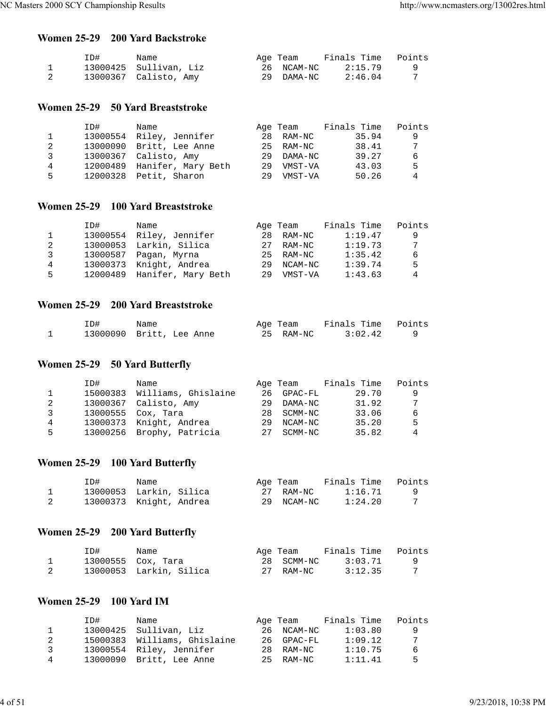#### **Women 25-29 200 Yard Backstroke**

| ID# | Name                   | Age Team   | Finals Time | Points |
|-----|------------------------|------------|-------------|--------|
|     | 13000425 Sullivan, Liz | 26 NCAM-NC | 2:15.79     |        |
|     | 13000367 Calisto, Amy  | 29 DAMA-NC | 2:46.04     |        |

#### **Women 25-29 50 Yard Breaststroke**

|    | ID#      | Name                     |    | Age Team  | Finals Time | Points |
|----|----------|--------------------------|----|-----------|-------------|--------|
|    |          | 13000554 Riley, Jennifer |    | 28 RAM-NC | 35.94       | 9      |
| 2  |          | 13000090 Britt, Lee Anne |    | 25 RAM-NC | 38.41       | 7      |
| 3  |          | 13000367 Calisto, Amy    | 29 | DAMA-NC   | 39.27       | 6      |
| 4  | 12000489 | Hanifer, Mary Beth       | 29 | VMST-VA   | 43.03       | 5      |
| 5. | 12000328 | Petit, Sharon            | 29 | VMST-VA   | 50.26       | 4      |

#### **Women 25-29 100 Yard Breaststroke**

|    | ID#      | Name                    |    | Age Team | Finals Time | Points |
|----|----------|-------------------------|----|----------|-------------|--------|
|    | 13000554 | Riley, Jennifer         | 28 | RAM-NC   | 1:19.47     | 9      |
| 2  |          | 13000053 Larkin, Silica | 27 | RAM-NC   | 1:19.73     | 7      |
| 3  | 13000587 | Pagan, Myrna            | 25 | RAM-NC   | 1:35.42     | 6      |
| 4  | 13000373 | Knight, Andrea          | 29 | NCAM-NC  | 1:39.74     | .5     |
| 5. | 12000489 | Hanifer, Mary Beth      | 29 | VMST-VA  | 1:43.63     | 4      |

#### **Women 25-29 200 Yard Breaststroke**

| ID# | Name                     | Age Team  | Finals Time Points |  |
|-----|--------------------------|-----------|--------------------|--|
|     | 13000090 Britt, Lee Anne | 25 RAM-NC | 3:02.42            |  |

## **Women 25-29 50 Yard Butterfly**

|   | ID#      | Name                      |     | Age Team   | Finals Time | Points |
|---|----------|---------------------------|-----|------------|-------------|--------|
|   | 15000383 | Williams, Ghislaine       | 26  | GPAC-FL    | 29.70       | 9      |
| 2 |          | 13000367 Calisto, Amy     | 29  | DAMA-NC    | 31.92       | 7      |
| २ |          | 13000555 Cox, Tara        | 28. | SCMM-NC    | 33.06       | 6      |
| 4 |          | 13000373 Knight, Andrea   | 29  | NCAM-NC    | 35.20       | 5      |
| 5 |          | 13000256 Brophy, Patricia |     | 27 SCMM-NC | 35.82       | 4      |

## **Women 25-29 100 Yard Butterfly**

| ID#                     | Name |  | Aqe Team   | Finals Time | Points |
|-------------------------|------|--|------------|-------------|--------|
| 13000053 Larkin, Silica |      |  | 27 RAM-NC  | 1:16.71     |        |
| 13000373 Knight, Andrea |      |  | 29 NCAM-NC | 1:24.20     |        |

## **Women 25-29 200 Yard Butterfly**

| ID# | Name                    | Age Team   | Finals Time | Points |
|-----|-------------------------|------------|-------------|--------|
|     | 13000555 Cox, Tara      | 28 SCMM-NC | 3:03.71     |        |
|     | 13000053 Larkin, Silica | 27 RAM-NC  | 3:12.35     |        |

### **Women 25-29 100 Yard IM**

|   | ID# | Name                         | Age Team   | Finals Time | Points |
|---|-----|------------------------------|------------|-------------|--------|
|   |     | 13000425 Sullivan, Liz       | 26 NCAM-NC | 1:03.80     | -9     |
|   |     | 15000383 Williams, Ghislaine | 26 GPAC-FL | 1:09.12     | 7      |
| ર |     | 13000554 Riley, Jennifer     | 28 RAM-NC  | 1:10.75     | -6     |
| 4 |     | 13000090 Britt, Lee Anne     | 25 RAM-NC  | 1:11.41     | -5     |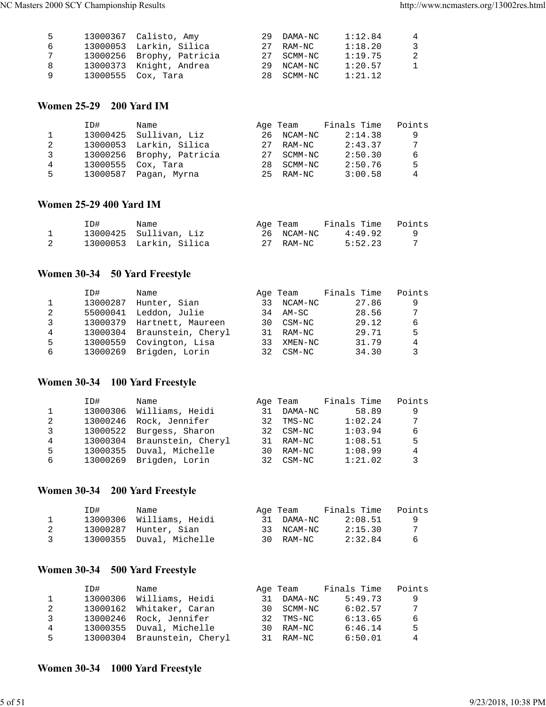| .5 | 13000367 Calisto, Amy     | 29 DAMA-NC | 1:12.84 | $\overline{4}$ |
|----|---------------------------|------------|---------|----------------|
| 6  | 13000053 Larkin, Silica   | 27 RAM-NC  | 1:18.20 | - 3            |
| 7  | 13000256 Brophy, Patricia | 27 SCMM-NC | 1:19.75 | - 2            |
| -8 | 13000373 Knight, Andrea   | 29 NCAM-NC | 1:20.57 | -1             |
| O, | 13000555 Cox, Tara        | 28 SCMM-NC | 1:21.12 |                |

## **Women 25-29 200 Yard IM**

|   | ID#      | Name                      |     | Age Team | Finals Time | Points |
|---|----------|---------------------------|-----|----------|-------------|--------|
|   |          | 13000425 Sullivan, Liz    | 26  | NCAM-NC  | 2:14.38     | 9      |
| 2 |          | 13000053 Larkin, Silica   | 27  | RAM-NC   | 2:43.37     | 7      |
| 3 |          | 13000256 Brophy, Patricia | 27  | SCMM-NC  | 2:50.30     | 6      |
| 4 | 13000555 | Cox, Tara                 | 2.8 | SCMM-NC  | 2:50.76     | 5      |
| 5 | 13000587 | Pagan, Myrna              | 25. | RAM-NC   | 3:00.58     | 4      |
|   |          |                           |     |          |             |        |

#### **Women 25-29 400 Yard IM**

| ID# | Name                    | Age Team   | Finals Time | Points |
|-----|-------------------------|------------|-------------|--------|
|     | 13000425 Sullivan, Liz  | 26 NCAM-NC | 4:49.92     |        |
|     | 13000053 Larkin, Silica | 27 RAM-NC  | 5:52.23     |        |

## **Women 30-34 50 Yard Freestyle**

|   | ID#      | Name                        |     | Age Team | Finals Time | Points |
|---|----------|-----------------------------|-----|----------|-------------|--------|
|   | 13000287 | Hunter, Sian                | 33  | NCAM-NC  | 27.86       | 9      |
| 2 | 55000041 | Leddon, Julie               | 34  | AM-SC    | 28.56       | 7      |
| 3 |          | 13000379 Hartnett, Maureen  | 30. | CSM-NC   | 29.12       | 6      |
| 4 |          | 13000304 Braunstein, Cheryl | 31  | RAM-NC   | 29.71       | 5      |
| 5 | 13000559 | Covington, Lisa             | 33  | XMEN-NC  | 31.79       | 4      |
| 6 |          | 13000269 Brigden, Lorin     | 32  | CSM-NC   | 34.30       | 3      |

## **Women 30-34 100 Yard Freestyle**

|   | ID#      | Name               |     | Age Team | Finals Time | Points |
|---|----------|--------------------|-----|----------|-------------|--------|
|   | 13000306 | Williams, Heidi    | 31  | DAMA-NC  | 58.89       | 9      |
| 2 | 13000246 | Rock, Jennifer     | 32  | TMS-NC   | 1:02.24     | 7      |
| 3 | 13000522 | Burgess, Sharon    | 32. | CSM-NC   | 1:03.94     | 6      |
| 4 | 13000304 | Braunstein, Cheryl | 31  | RAM-NC   | 1:08.51     | 5      |
| 5 | 13000355 | Duval, Michelle    | 30. | RAM-NC   | 1:08.99     | 4      |
| 6 | 13000269 | Brigden, Lorin     | 32  | CSM-NC   | 1:21.02     | 3      |

## **Women 30-34 200 Yard Freestyle**

|               | ID# | Name                     | Age Team   | Finals Time | Points |
|---------------|-----|--------------------------|------------|-------------|--------|
|               |     | 13000306 Williams, Heidi | 31 DAMA-NC | 2:08.51     | - 9    |
|               |     | 13000287 Hunter, Sian    | 33 NCAM-NC | 2:15.30     | -7     |
| $\mathcal{R}$ |     | 13000355 Duval, Michelle | 30 RAM-NC  | 2:32.84     | - 6    |

## **Women 30-34 500 Yard Freestyle**

|   | ID#      | Name                        |     | Age Team   | Finals Time | Points |
|---|----------|-----------------------------|-----|------------|-------------|--------|
|   | 13000306 | Williams, Heidi             | 31  | DAMA-NC    | 5:49.73     | 9      |
| 2 |          | 13000162 Whitaker, Caran    |     | 30 SCMM-NC | 6:02.57     | 7      |
| 3 |          | 13000246 Rock, Jennifer     | 32. | TMS-NC     | 6:13.65     | 6      |
| 4 |          | 13000355 Duval, Michelle    | 3 O | RAM-NC     | 6:46.14     | 5      |
| 5 |          | 13000304 Braunstein, Cheryl |     | 31 RAM-NC  | 6:50.01     | 4      |

## **Women 30-34 1000 Yard Freestyle**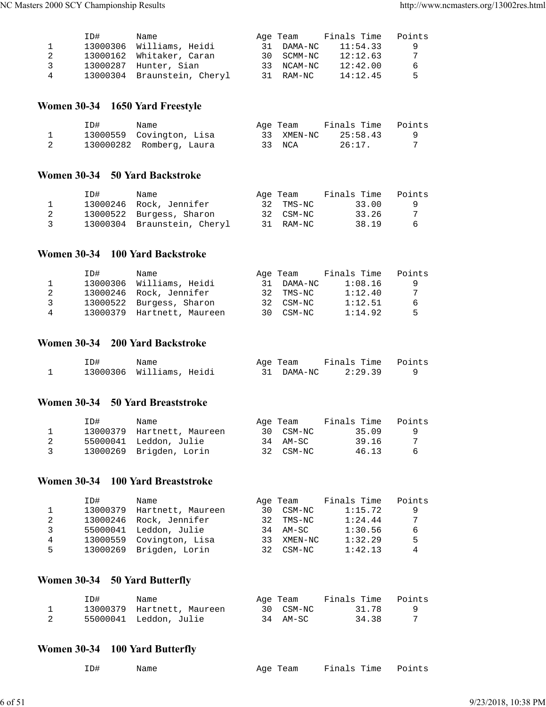|   | TD# | Name                        |    | Age Team   | Finals Time | Points |
|---|-----|-----------------------------|----|------------|-------------|--------|
|   |     | 13000306 Williams, Heidi    |    | 31 DAMA-NC | 11:54.33    | -9     |
|   |     | 13000162 Whitaker, Caran    |    | 30 SCMM-NC | 12:12.63    | 7      |
| 3 |     | 13000287 Hunter, Sian       | २२ | NCAM-NC    | 12:42.00    | -6     |
| 4 |     | 13000304 Braunstein, Cheryl |    | 31 RAM-NC  | 14:12.45    | .5     |

## **Women 30-34 1650 Yard Freestyle**

| ID# | Name                     | Age Team   | Finals Time | Points |
|-----|--------------------------|------------|-------------|--------|
|     | 13000559 Covington, Lisa | 33 XMEN-NC | 25:58.43    |        |
|     | 130000282 Romberg, Laura | 33 NCA     | 26:17.      |        |

#### **Women 30-34 50 Yard Backstroke**

|   | ID# | Name                        | Age Team  | Finals Time | Points |
|---|-----|-----------------------------|-----------|-------------|--------|
|   |     | 13000246 Rock, Jennifer     | 32 TMS-NC | 33.00       | - 9    |
|   |     | 13000522 Burgess, Sharon    | 32 CSM-NC | 33.26       |        |
| 3 |     | 13000304 Braunstein, Cheryl | 31 RAM-NC | 38.19       | -6     |

## **Women 30-34 100 Yard Backstroke**

|   | ID# | Name                       |    | Age Team  | Finals Time | Points |
|---|-----|----------------------------|----|-----------|-------------|--------|
|   |     | 13000306 Williams, Heidi   | 31 | DAMA-NC   | 1:08.16     | q      |
|   |     | 13000246 Rock, Jennifer    |    | 32 TMS-NC | 1:12.40     | 7      |
| ર |     | 13000522 Burgess, Sharon   |    | 32 CSM-NC | 1:12.51     | 6      |
| 4 |     | 13000379 Hartnett, Maureen |    | 30 CSM-NC | 1:14.92     | -5     |

## **Women 30-34 200 Yard Backstroke**

| ID# | Name                     | Age Team   | Finals Time Points |  |
|-----|--------------------------|------------|--------------------|--|
|     | 13000306 Williams, Heidi | 31 DAMA-NC | 2:29.39            |  |

#### **Women 30-34 50 Yard Breaststroke**

|                | ID# | Name                       | Age Team  | Finals Time | Points |
|----------------|-----|----------------------------|-----------|-------------|--------|
|                |     | 13000379 Hartnett, Maureen | 30 CSM-NC | 35.09       |        |
|                |     | 55000041 Leddon, Julie     | 34 AM-SC  | 39.16       |        |
| $\overline{3}$ |     | 13000269 Brigden, Lorin    | 32 CSM-NC | 46.13       | -6     |

## **Women 30-34 100 Yard Breaststroke**

|   | ID#      | Name                     |    | Age Team | Finals Time | Points |
|---|----------|--------------------------|----|----------|-------------|--------|
|   | 13000379 | Hartnett, Maureen        | 30 | CSM-NC   | 1:15.72     | 9      |
| 2 | 13000246 | Rock, Jennifer           | 32 | TMS-NC   | 1:24.44     | 7      |
| 3 |          | 55000041 Leddon, Julie   | 34 | AM-SC    | 1:30.56     | 6      |
| 4 |          | 13000559 Covington, Lisa | २२ | XMEN-NC  | 1:32.29     | 5      |
| 5 |          | 13000269 Brigden, Lorin  | 32 | CSM-NC   | 1:42.13     | 4      |

## **Women 30-34 50 Yard Butterfly**

| ID# | Name                       | Age Team  | Finals Time Points |  |
|-----|----------------------------|-----------|--------------------|--|
|     | 13000379 Hartnett, Maureen | 30 CSM-NC | 31.78              |  |
|     | 55000041 Leddon, Julie     | 34 AM-SC  | 34.38              |  |

## **Women 30-34 100 Yard Butterfly**

| ID# | Name | Age Team Finals Time Points |  |  |
|-----|------|-----------------------------|--|--|
|     |      |                             |  |  |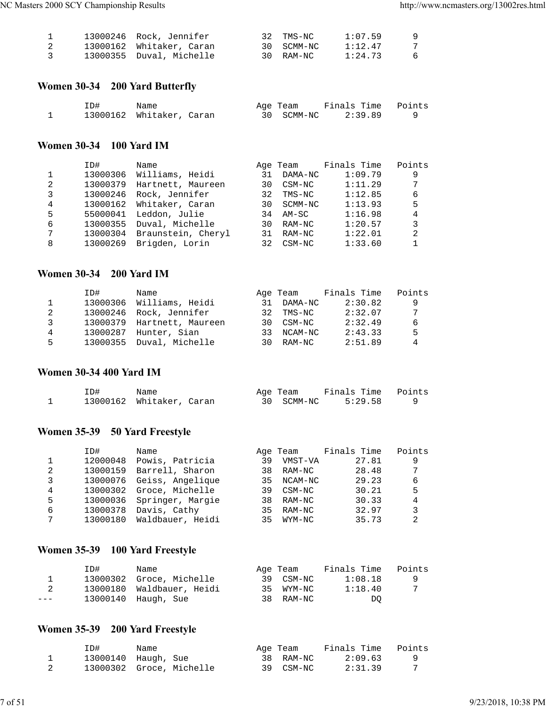|                         | 13000246 Rock, Jennifer  | 32 TMS-NC  | 1:07.59 | - 9 |
|-------------------------|--------------------------|------------|---------|-----|
|                         | 13000162 Whitaker, Caran | 30 SCMM-NC | 1:12.47 |     |
| $\overline{\mathbf{3}}$ | 13000355 Duval, Michelle | 30 RAM-NC  | 1:24.73 | - 6 |

## **Women 30-34 200 Yard Butterfly**

| ID# | Name                     |  | Age Team   | Finals Time Points |  |
|-----|--------------------------|--|------------|--------------------|--|
|     | 13000162 Whitaker, Caran |  | 30 SCMM-NC | 2:39.89            |  |

## **Women 30-34 100 Yard IM**

|   | ID#      | Name               |    | Age Team | Finals Time | Points |
|---|----------|--------------------|----|----------|-------------|--------|
| 1 | 13000306 | Williams, Heidi    | 31 | DAMA-NC  | 1:09.79     | 9      |
| 2 | 13000379 | Hartnett, Maureen  | 30 | CSM-NC   | 1:11.29     | 7      |
| 3 | 13000246 | Rock, Jennifer     | 32 | TMS-NC   | 1:12.85     | 6      |
| 4 | 13000162 | Whitaker, Caran    | 30 | SCMM-NC  | 1:13.93     | 5      |
| 5 | 55000041 | Leddon, Julie      | 34 | AM-SC    | 1:16.98     | 4      |
| 6 | 13000355 | Duval, Michelle    | 30 | RAM-NC   | 1:20.57     | 3      |
| 7 | 13000304 | Braunstein, Cheryl | 31 | RAM-NC   | 1:22.01     | 2      |
| 8 | 13000269 | Brigden, Lorin     | 32 | CSM-NC   | 1:33.60     |        |

## **Women 30-34 200 Yard IM**

|   | ID#      | Name                       |     | Age Team  | Finals Time | Points |
|---|----------|----------------------------|-----|-----------|-------------|--------|
|   |          | 13000306 Williams, Heidi   | 31  | DAMA-NC   | 2:30.82     | -9     |
| 2 |          | 13000246 Rock, Jennifer    |     | 32 TMS-NC | 2:32.07     | 7      |
| 3 |          | 13000379 Hartnett, Maureen |     | 30 CSM-NC | 2:32.49     | 6      |
| 4 | 13000287 | Hunter, Sian               | 33. | NCAM-NC   | 2:43.33     | .5     |
| 5 |          | 13000355 Duval, Michelle   |     | 30 RAM-NC | 2:51.89     | 4      |

#### **Women 30-34 400 Yard IM**

| ID# | Name                     | Age Team   | Finals Time Points |  |
|-----|--------------------------|------------|--------------------|--|
|     | 13000162 Whitaker, Caran | 30 SCMM-NC | 5:29.58            |  |

## **Women 35-39 50 Yard Freestyle**

|   | ID#      | Name             |    | Age Team | Finals Time | Points         |
|---|----------|------------------|----|----------|-------------|----------------|
|   | 12000048 | Powis, Patricia  | 39 | VMST-VA  | 27.81       | 9              |
| 2 | 13000159 | Barrell, Sharon  | 38 | RAM-NC   | 28.48       | 7              |
| 3 | 13000076 | Geiss, Angelique | 35 | NCAM-NC  | 29.23       | 6              |
| 4 | 13000302 | Groce, Michelle  | 39 | CSM-NC   | 30.21       | 5              |
| 5 | 13000036 | Springer, Margie | 38 | RAM-NC   | 30.33       | 4              |
| 6 | 13000378 | Davis, Cathy     | 35 | RAM-NC   | 32.97       | 3              |
| 7 | 13000180 | Waldbauer, Heidi | 35 | WYM-NC   | 35.73       | $\mathfrak{D}$ |

## **Women 35-39 100 Yard Freestyle**

|       | ID# | Name                      | Age Team |           | Finals Time | Points   |
|-------|-----|---------------------------|----------|-----------|-------------|----------|
|       |     | 13000302 Groce, Michelle  |          | 39 CSM-NC | 1:08.18     | <b>Q</b> |
| 2     |     | 13000180 Waldbauer, Heidi |          | 35 WYM-NC | 1:18.40     |          |
| $---$ |     | 13000140 Haugh, Sue       |          | 38 RAM-NC | DO.         |          |

# **Women 35-39 200 Yard Freestyle**

| ID# | Name                     | Age Team  | Finals Time | Points |
|-----|--------------------------|-----------|-------------|--------|
|     | 13000140 Haugh, Sue      | 38 RAM-NC | 2:09.63     |        |
|     | 13000302 Groce, Michelle | 39 CSM-NC | 2:31.39     |        |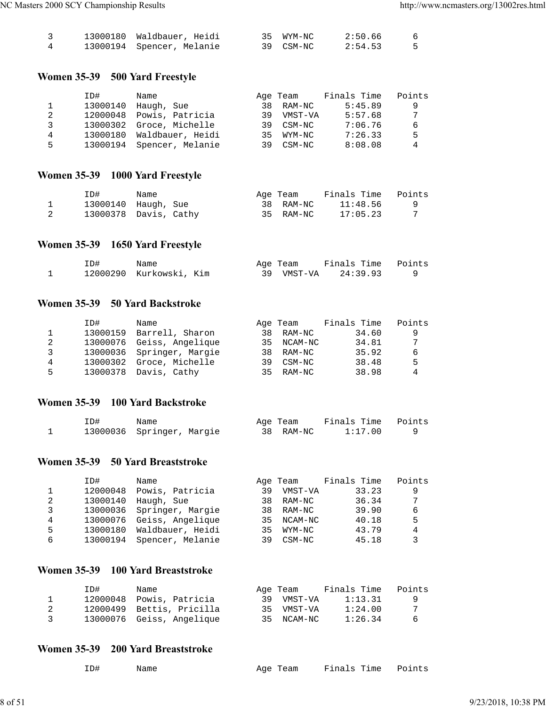|  | 13000180 Waldbauer, Heidi | 35 WYM-NC | 2:50.66 |  |
|--|---------------------------|-----------|---------|--|
|  | 13000194 Spencer, Melanie | 39 CSM-NC | 2:54.53 |  |

## **Women 35-39 500 Yard Freestyle**

|    | ID#      | Name                      |     | Age Team | Finals Time | Points |
|----|----------|---------------------------|-----|----------|-------------|--------|
|    | 13000140 | Haugh, Sue                | 38  | RAM-NC   | 5:45.89     | 9      |
| 2  | 12000048 | Powis, Patricia           | 39  | VMST-VA  | 5:57.68     | 7      |
| 3  | 13000302 | Groce, Michelle           | 39  | CSM-NC   | 7:06.76     | 6      |
| 4  | 13000180 | Waldbauer, Heidi          | २५  | WYM-NC   | 7:26.33     | 5      |
| 5. |          | 13000194 Spencer, Melanie | 39. | CSM-NC   | 8:08.08     | 4      |
|    |          |                           |     |          |             |        |

## **Women 35-39 1000 Yard Freestyle**

| ID# | Name                  | Age Team |           | Finals Time | Points |
|-----|-----------------------|----------|-----------|-------------|--------|
|     | 13000140 Haugh, Sue   |          | 38 RAM-NC | 11:48.56    |        |
|     | 13000378 Davis, Cathy |          | 35 RAM-NC | 17:05.23    |        |

## **Women 35-39 1650 Yard Freestyle**

| ID# | Name                    |  | Age Team | Finals Time Points |  |
|-----|-------------------------|--|----------|--------------------|--|
|     | 12000290 Kurkowski, Kim |  | VMST-VA  | 24:39.93           |  |

#### **Women 35-39 50 Yard Backstroke**

|   | ID#      | Name                      |     | Age Team | Finals Time | Points |
|---|----------|---------------------------|-----|----------|-------------|--------|
|   | 13000159 | Barrell, Sharon           | 38  | RAM-NC   | 34.60       | 9      |
| 2 |          | 13000076 Geiss, Angelique | 35  | NCAM-NC  | 34.81       | 7      |
| 3 |          | 13000036 Springer, Margie | 38  | RAM-NC   | 35.92       | 6      |
| 4 | 13000302 | Groce, Michelle           | 39  | CSM-NC   | 38.48       | .5     |
| 5 |          | 13000378 Davis, Cathy     | 35. | RAM-NC   | 38.98       | 4      |

#### **Women 35-39 100 Yard Backstroke**

| ID# | Name                      | Age Team  | Finals Time Points |  |
|-----|---------------------------|-----------|--------------------|--|
|     | 13000036 Springer, Margie | 38 RAM-NC | 1:17.00            |  |

#### **Women 35-39 50 Yard Breaststroke**

|   | ID#      | Name             |    | Age Team | Finals Time | Points |
|---|----------|------------------|----|----------|-------------|--------|
|   | 12000048 | Powis, Patricia  | 39 | VMST-VA  | 33.23       | 9      |
| 2 | 13000140 | Haugh, Sue       | 38 | RAM-NC   | 36.34       | 7      |
| 3 | 13000036 | Springer, Margie | 38 | RAM-NC   | 39.90       | 6      |
| 4 | 13000076 | Geiss, Angelique | 35 | NCAM-NC  | 40.18       | 5      |
| 5 | 13000180 | Waldbauer, Heidi | 35 | WYM-NC   | 43.79       | 4      |
| 6 | 13000194 | Spencer, Melanie | 39 | CSM-NC   | 45.18       | 3      |
|   |          |                  |    |          |             |        |

#### **Women 35-39 100 Yard Breaststroke**

|                | ID# | Name                      | Age Team   | Finals Time | Points |
|----------------|-----|---------------------------|------------|-------------|--------|
|                |     | 12000048 Powis, Patricia  | 39 VMST-VA | 1:13.31     | O CO   |
| 2              |     | 12000499 Bettis, Pricilla | 35 VMST-VA | 1:24.00     | 7      |
| $\overline{3}$ |     | 13000076 Geiss, Angelique | 35 NCAM-NC | 1:26.34     | - 6    |

### **Women 35-39 200 Yard Breaststroke**

| ID# | Name | Age Team | Finals Time Points |  |
|-----|------|----------|--------------------|--|
|     |      |          |                    |  |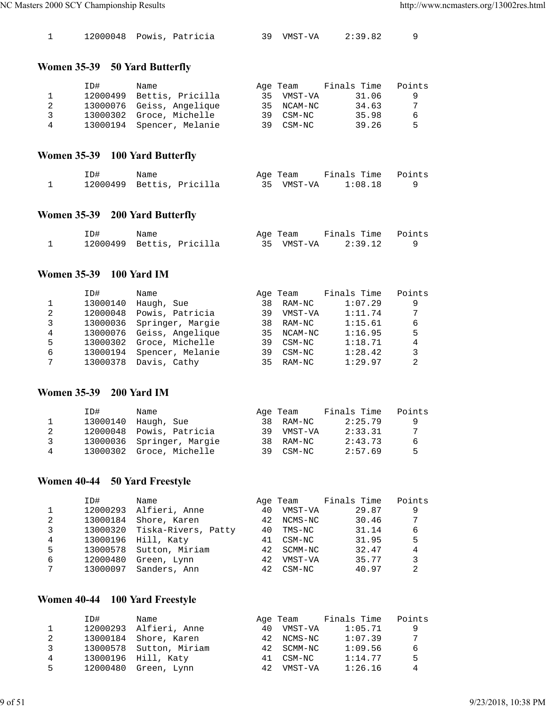|  | 12000048 Powis, Patricia |  |  |  | 39 VMST-VA | 2:39.82 |  |
|--|--------------------------|--|--|--|------------|---------|--|
|--|--------------------------|--|--|--|------------|---------|--|

## **Women 35-39 50 Yard Butterfly**

|   | ID#      | Name                      |    | Age Team   | Finals Time | Points |
|---|----------|---------------------------|----|------------|-------------|--------|
|   | 12000499 | Bettis, Pricilla          | 35 | VMST-VA    | 31.06       | 9      |
|   |          | 13000076 Geiss, Angelique |    | 35 NCAM-NC | 34.63       | -7     |
| ર |          | 13000302 Groce, Michelle  |    | 39 CSM-NC  | 35.98       | 6      |
| 4 |          | 13000194 Spencer, Melanie |    | 39 CSM-NC  | 39.26       | 5      |

## **Women 35-39 100 Yard Butterfly**

| ID# | Name                      | Age Team   | Finals Time Points |  |
|-----|---------------------------|------------|--------------------|--|
|     | 12000499 Bettis, Pricilla | 35 VMST-VA | 1:08.18            |  |

## **Women 35-39 200 Yard Butterfly**

| ID#                       | Name |  | Age Team   | Finals Time Points |  |
|---------------------------|------|--|------------|--------------------|--|
| 12000499 Bettis, Pricilla |      |  | 35 VMST-VA | 2:39.12            |  |

#### **Women 35-39 100 Yard IM**

|   | ID#      | Name             |    | Age Team | Finals Time | Points |
|---|----------|------------------|----|----------|-------------|--------|
|   | 13000140 | Haugh, Sue       | 38 | RAM-NC   | 1:07.29     | 9      |
| 2 | 12000048 | Powis, Patricia  | 39 | VMST-VA  | 1:11.74     | 7      |
| 3 | 13000036 | Springer, Margie | 38 | RAM-NC   | 1:15.61     | 6      |
| 4 | 13000076 | Geiss, Angelique | 35 | NCAM-NC  | 1:16.95     | 5      |
| 5 | 13000302 | Groce, Michelle  | 39 | CSM-NC   | 1:18.71     | 4      |
| 6 | 13000194 | Spencer, Melanie | 39 | $CSM-NC$ | 1:28.42     | 3      |
| 7 | 13000378 | Davis, Cathy     | 35 | RAM-NC   | 1:29.97     | 2      |

#### **Women 35-39 200 Yard IM**

|   | ID#      | Name                      | Age Team   | Finals Time | Points |
|---|----------|---------------------------|------------|-------------|--------|
|   | 13000140 | Haugh, Sue                | 38 RAM-NC  | 2:25.79     | -9     |
|   | 12000048 | Powis, Patricia           | 39 VMST-VA | 2:33.31     | 7      |
| ર |          | 13000036 Springer, Margie | 38 RAM-NC  | 2:43.73     | 6      |
| 4 |          | 13000302 Groce, Michelle  | 39 CSM-NC  | 2:57.69     | 5      |

## **Women 40-44 50 Yard Freestyle**

|   | ID#      | Name                         |     | Age Team | Finals Time | Points |
|---|----------|------------------------------|-----|----------|-------------|--------|
|   | 12000293 | Alfieri, Anne                | 40  | VMST-VA  | 29.87       | 9      |
| 2 | 13000184 | Shore, Karen                 | 42  | NCMS-NC  | 30.46       | 7      |
| 3 |          | 13000320 Tiska-Rivers, Patty | 40  | TMS-NC   | 31.14       | 6      |
| 4 | 13000196 | Hill, Katy                   | 41  | CSM-NC   | 31.95       | 5      |
| 5 | 13000578 | Sutton, Miriam               | 42. | SCMM-NC  | 32.47       | 4      |
| 6 | 12000480 | Green, Lynn                  | 42  | VMST-VA  | 35.77       |        |
| 7 | 13000097 | Sanders, Ann                 | 42  | CSM-NC   | 40.97       | 2      |

## **Women 40-44 100 Yard Freestyle**

|   | ID#      | Name                    |     | Age Team   | Finals Time | Points |
|---|----------|-------------------------|-----|------------|-------------|--------|
|   |          | 12000293 Alfieri, Anne  | 4 O | VMST-VA    | 1:05.71     | -9     |
| 2 |          | 13000184 Shore, Karen   |     | 42 NCMS-NC | 1:07.39     | 7      |
| 3 |          | 13000578 Sutton, Miriam |     | 42 SCMM-NC | 1:09.56     | 6      |
| 4 |          | 13000196 Hill, Katy     | 41  | CSM-NC     | 1:14.77     | .5     |
| 5 | 12000480 | Green, Lynn             | 42  | VMST-VA    | 1:26.16     | 4      |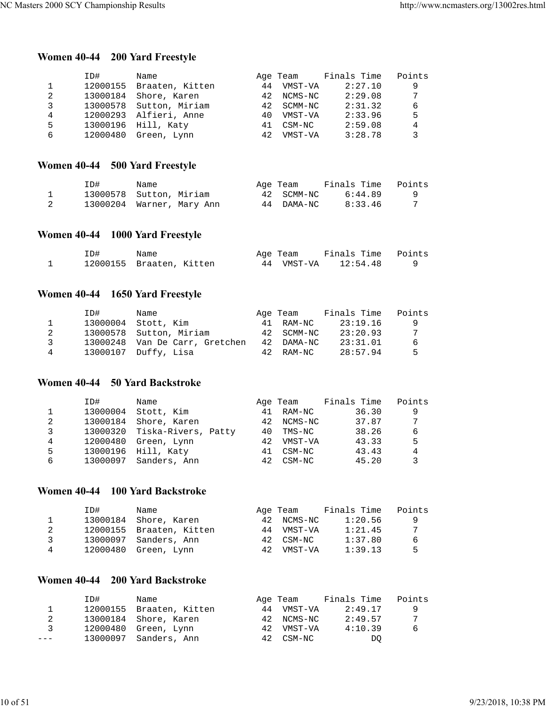## **Women 40-44 200 Yard Freestyle**

|   | ID#      | Name                     |    | Age Team   | Finals Time | Points |
|---|----------|--------------------------|----|------------|-------------|--------|
|   |          | 12000155 Braaten, Kitten | 44 | VMST-VA    | 2:27.10     | 9      |
| 2 | 13000184 | Shore, Karen             |    | 42 NCMS-NC | 2:29.08     | 7      |
| 3 |          | 13000578 Sutton, Miriam  |    | 42 SCMM-NC | 2:31.32     | 6      |
| 4 |          | 12000293 Alfieri, Anne   | 40 | VMST-VA    | 2:33.96     | 5      |
| 5 |          | 13000196 Hill, Katy      | 41 | CSM-NC     | 2:59.08     | 4      |
| 6 | 12000480 | Green, Lynn              | 42 | VMST-VA    | 3:28.78     | 3      |

## **Women 40-44 500 Yard Freestyle**

| ID#                       | Name |  | Age Team   | Finals Time | Points |
|---------------------------|------|--|------------|-------------|--------|
| 13000578 Sutton, Miriam   |      |  | 42 SCMM-NC | 6:44.89     |        |
| 13000204 Warner, Mary Ann |      |  | 44 DAMA-NC | 8:33.46     |        |

## **Women 40-44 1000 Yard Freestyle**

| ID#                      | Name |  | Age Team   | Finals Time Points |  |
|--------------------------|------|--|------------|--------------------|--|
| 12000155 Braaten, Kitten |      |  | 44 VMST-VA | 12:54.48           |  |

## **Women 40-44 1650 Yard Freestyle**

|               | ID# | Name                           | Age Team   | Finals Time | Points |
|---------------|-----|--------------------------------|------------|-------------|--------|
| $\mathbf{1}$  |     | 13000004 Stott, Kim            | 41 RAM-NC  | 23:19.16    | - 9    |
| 2             |     | 13000578 Sutton, Miriam        | 42 SCMM-NC | 23:20.93    | 7      |
| $\mathcal{R}$ |     | 13000248 Van De Carr, Gretchen | 42 DAMA-NC | 23:31.01    | -6     |
| 4             |     | 13000107 Duffy, Lisa           | 42 RAM-NC  | 28:57.94    | -5     |

## **Women 40-44 50 Yard Backstroke**

|   | ID#      | Name                         |     | Age Team | Finals Time | Points |
|---|----------|------------------------------|-----|----------|-------------|--------|
|   | 13000004 | Stott, Kim                   | 41  | RAM-NC   | 36.30       | 9      |
| 2 | 13000184 | Shore, Karen                 | 42  | NCMS-NC  | 37.87       | 7      |
| 3 |          | 13000320 Tiska-Rivers, Patty | 40  | TMS-NC   | 38.26       | 6      |
| 4 | 12000480 | Green, Lynn                  | 42. | VMST-VA  | 43.33       | 5      |
| 5 | 13000196 | Hill, Katy                   | 41  | CSM-NC   | 43.43       | 4      |
| 6 | 13000097 | Sanders, Ann                 | 42. | CSM-NC   | 45.20       | 3      |

## **Women 40-44 100 Yard Backstroke**

|    | TD#      | Name                     |     | Age Team   | Finals Time | Points |
|----|----------|--------------------------|-----|------------|-------------|--------|
|    |          | 13000184 Shore, Karen    | 42. | NCMS-NC    | 1:20.56     | - 9    |
|    |          | 12000155 Braaten, Kitten |     | 44 VMST-VA | 1:21.45     | 7      |
| ્ર |          | 13000097 Sanders, Ann    |     | 42 CSM-NC  | 1:37.80     | -6     |
| 4  | 12000480 | Green, Lynn              | 42  | VMST-VA    | 1:39.13     | .5     |

## **Women 40-44 200 Yard Backstroke**

|         | ID#      | Name                     | Age Team   | Finals Time | Points   |
|---------|----------|--------------------------|------------|-------------|----------|
|         |          | 12000155 Braaten, Kitten | 44 VMST-VA | 2:49.17     | <b>q</b> |
|         |          | 13000184 Shore, Karen    | 42 NCMS-NC | 2:49.57     | 7        |
| ્ર      | 12000480 | Green, Lynn              | 42 VMST-VA | 4:10.39     | 6        |
| $- - -$ |          | 13000097 Sanders, Ann    | 42 CSM-NC  | DO          |          |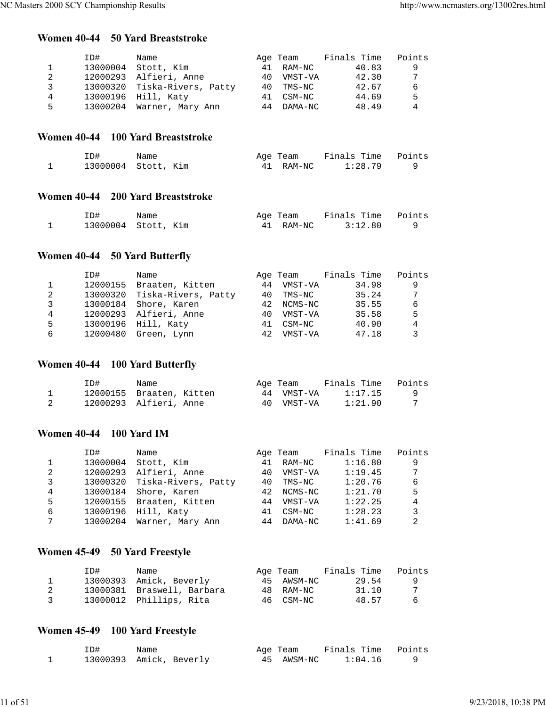## **Women 40-44 50 Yard Breaststroke**

|    | ID#      | Name                         |    | Age Team | Finals Time | Points |
|----|----------|------------------------------|----|----------|-------------|--------|
|    | 13000004 | Stott, Kim                   | 41 | RAM-NC   | 40.83       | 9      |
| 2  |          | 12000293 Alfieri, Anne       | 40 | VMST-VA  | 42.30       | 7      |
| ર  |          | 13000320 Tiska-Rivers, Patty | 40 | TMS-NC   | 42.67       | 6      |
| 4  |          | 13000196 Hill, Katy          | 41 | CSM-NC   | 44.69       | 5      |
| 5. |          | 13000204 Warner, Mary Ann    | 44 | DAMA-NC  | 48.49       | 4      |

## **Women 40-44 100 Yard Breaststroke**

| ID# | Name                | Age Team  | Finals Time Points |  |
|-----|---------------------|-----------|--------------------|--|
|     | 13000004 Stott, Kim | 41 RAM-NC | 1:28.79            |  |

### **Women 40-44 200 Yard Breaststroke**

| ID# | Name                | Age Team  | Finals Time Points |  |
|-----|---------------------|-----------|--------------------|--|
|     | 13000004 Stott, Kim | 41 RAM-NC | 3:12.80            |  |

## **Women 40-44 50 Yard Butterfly**

|   | ID#      | Name                   |    | Age Team  | Finals Time | Points |
|---|----------|------------------------|----|-----------|-------------|--------|
|   | 12000155 | Braaten, Kitten        | 44 | VMST-VA   | 34.98       | 9      |
| 2 | 13000320 | Tiska-Rivers, Patty    |    | 40 TMS-NC | 35.24       | 7      |
| 3 |          | 13000184 Shore, Karen  | 42 | NCMS-NC   | 35.55       | 6      |
| 4 |          | 12000293 Alfieri, Anne | 40 | VMST-VA   | 35.58       | 5      |
| 5 |          | 13000196 Hill, Katy    | 41 | CSM-NC    | 40.90       | 4      |
| 6 | 12000480 | Green, Lynn            | 42 | VMST-VA   | 47.18       | 3      |

## **Women 40-44 100 Yard Butterfly**

| ID#                      | Name                   |     | Age Team   | Finals Time | Points |
|--------------------------|------------------------|-----|------------|-------------|--------|
| 12000155 Braaten, Kitten |                        |     | 44 VMST-VA | 1:17.15     |        |
|                          | 12000293 Alfieri, Anne | 4 Q | VMST-VA    | 1:21.90     |        |

## **Women 40-44 100 Yard IM**

|   | ID#      | Name                |    | Age Team | Finals Time | Points |
|---|----------|---------------------|----|----------|-------------|--------|
|   | 13000004 | Stott, Kim          | 41 | RAM-NC   | 1:16.80     | 9      |
| 2 | 12000293 | Alfieri, Anne       | 40 | VMST-VA  | 1:19.45     | 7      |
| 3 | 13000320 | Tiska-Rivers, Patty | 40 | TMS-NC   | 1:20.76     | 6      |
| 4 | 13000184 | Shore, Karen        | 42 | NCMS-NC  | 1:21.70     | 5      |
| 5 | 12000155 | Braaten, Kitten     | 44 | VMST-VA  | 1:22.25     | 4      |
| 6 | 13000196 | Hill, Katy          | 41 | CSM-NC   | 1:28.23     | 3      |
| 7 | 13000204 | Warner, Mary Ann    | 44 | DAMA-NC  | 1:41.69     | 2      |

## **Women 45-49 50 Yard Freestyle**

|                | ID# | Name                       | Age Team   | Finals Time | Points |
|----------------|-----|----------------------------|------------|-------------|--------|
|                |     | 13000393 Amick, Beverly    | 45 AWSM-NC | 29.54       |        |
|                |     | 13000381 Braswell, Barbara | 48 RAM-NC  | 31.10       | 7      |
| $\overline{3}$ |     | 13000012 Phillips, Rita    | 46 CSM-NC  | 48.57       | -6     |

# **Women 45-49 100 Yard Freestyle**

| ID#                     | Name |  | Age Team   | Finals Time Points |  |
|-------------------------|------|--|------------|--------------------|--|
| 13000393 Amick, Beverly |      |  | 45 AWSM-NC | 1:04.16            |  |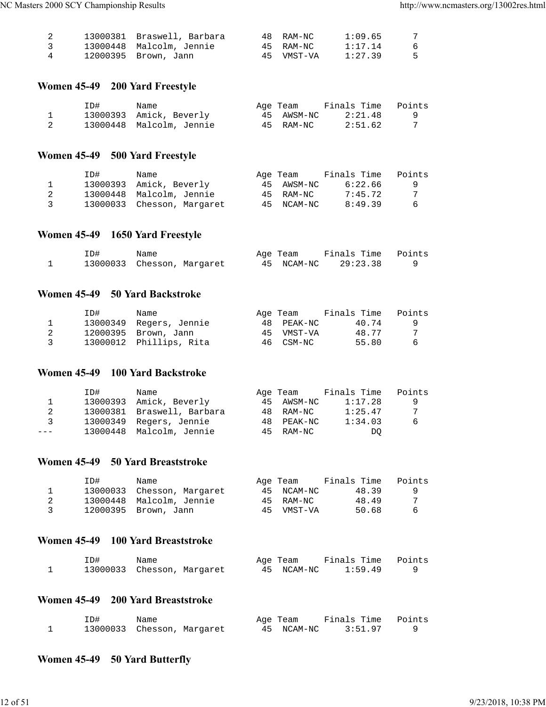|                | 13000381 Braswell, Barbara | 48 RAM-NC  | 1:09.65 | -7  |
|----------------|----------------------------|------------|---------|-----|
| $\overline{3}$ | 13000448 Malcolm, Jennie   | 45 RAM-NC  | 1:17.14 | - 6 |
| 4              | 12000395 Brown, Jann       | 45 VMST-VA | 1:27.39 | - 5 |

## **Women 45-49 200 Yard Freestyle**

| ID# | Name                     | Age Team   | Finals Time | Points |
|-----|--------------------------|------------|-------------|--------|
|     | 13000393 Amick, Beverly  | 45 AWSM-NC | 2:21.48     |        |
|     | 13000448 Malcolm, Jennie | 45 RAM-NC  | 2:51.62     |        |

## **Women 45-49 500 Yard Freestyle**

|    | TD# | Name                       | Age Team   | Finals Time | Points |
|----|-----|----------------------------|------------|-------------|--------|
|    |     | 13000393 Amick, Beverly    | 45 AWSM-NC | 6:22.66     | - 9    |
|    |     | 13000448 Malcolm, Jennie   | 45 RAM-NC  | 7:45.72     |        |
| ્ર |     | 13000033 Chesson, Margaret | 45 NCAM-NC | 8:49.39     | - 6    |

#### **Women 45-49 1650 Yard Freestyle**

| ID# | Name |                            | Age Team   | Finals Time Points |  |
|-----|------|----------------------------|------------|--------------------|--|
|     |      | 13000033 Chesson, Margaret | 45 NCAM-NC | 29:23.38           |  |

#### **Women 45-49 50 Yard Backstroke**

|               | ID# | Name                    | Age Team   | Finals Time | Points |
|---------------|-----|-------------------------|------------|-------------|--------|
|               |     | 13000349 Regers, Jennie | 48 PEAK-NC | 40.74       |        |
|               |     | 12000395 Brown, Jann    | 45 VMST-VA | 48.77       |        |
| $\mathcal{R}$ |     | 13000012 Phillips, Rita | 46 CSM-NC  | 55.80       | 6      |

#### **Women 45-49 100 Yard Backstroke**

|       | ID# | Name                       | Age Team   | Finals Time | Points |
|-------|-----|----------------------------|------------|-------------|--------|
|       |     | 13000393 Amick, Beverly    | 45 AWSM-NC | 1:17.28     | - 9    |
| 2     |     | 13000381 Braswell, Barbara | 48 RAM-NC  | 1:25.47     | -7     |
| 3     |     | 13000349 Regers, Jennie    | 48 PEAK-NC | 1:34.03     | 6      |
| $---$ |     | 13000448 Malcolm, Jennie   | 45 RAM-NC  | DO          |        |

#### **Women 45-49 50 Yard Breaststroke**

|   | TD#. | Name                       |    | Age Team   | Finals Time | Points |
|---|------|----------------------------|----|------------|-------------|--------|
|   |      | 13000033 Chesson, Margaret |    | 45 NCAM-NC | 48.39       | - 9    |
|   |      | 13000448 Malcolm, Jennie   |    | 45 RAM-NC  | 48.49       |        |
| 3 |      | 12000395 Brown, Jann       | 45 | VMST-VA    | 50.68       | -6     |

#### **Women 45-49 100 Yard Breaststroke**

| ID#                        | Name |  | Age Team   | Finals Time Points |  |
|----------------------------|------|--|------------|--------------------|--|
| 13000033 Chesson, Margaret |      |  | 45 NCAM-NC | 1:59.49            |  |

### **Women 45-49 200 Yard Breaststroke**

| ID# | Name |                            | Age Team   | Finals Time Points |  |
|-----|------|----------------------------|------------|--------------------|--|
|     |      | 13000033 Chesson, Margaret | 45 NCAM-NC | 3:51.97            |  |

## **Women 45-49 50 Yard Butterfly**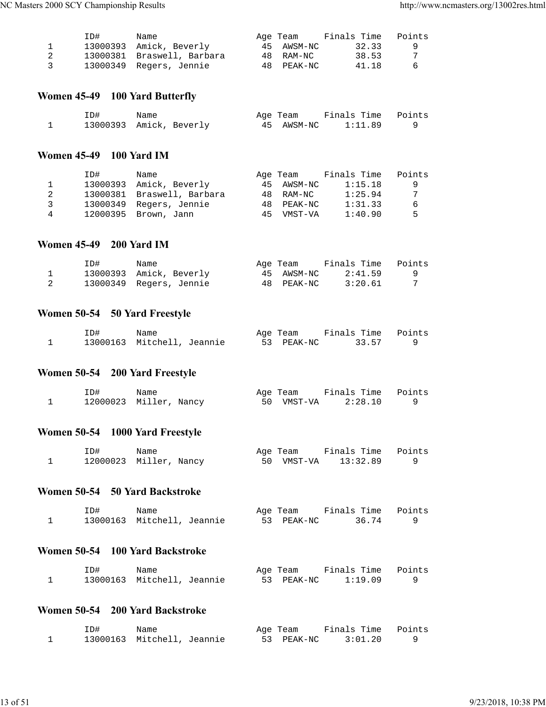|                | ID# | Name                       | Age Team   | Finals Time | Points |
|----------------|-----|----------------------------|------------|-------------|--------|
|                |     | 13000393 Amick, Beverly    | 45 AWSM-NC | 32.33       |        |
|                |     | 13000381 Braswell, Barbara | 48 RAM-NC  | 38.53       |        |
| $\overline{3}$ |     | 13000349 Regers, Jennie    | 48 PEAK-NC | 41.18       | -6     |

## **Women 45-49 100 Yard Butterfly**

| ID# | Name                    | Age Team   | Finals Time Points |  |
|-----|-------------------------|------------|--------------------|--|
|     | 13000393 Amick, Beverly | 45 AWSM-NC | 1:11.89            |  |

#### **Women 45-49 100 Yard IM**

|              | ID# | Name                       |    | Age Team   | Finals Time | Points |
|--------------|-----|----------------------------|----|------------|-------------|--------|
| $\mathbf{1}$ |     | 13000393 Amick, Beverly    |    | 45 AWSM-NC | 1:15.18     | -9     |
|              |     | 13000381 Braswell, Barbara |    | 48 RAM-NC  | 1:25.94     | 7      |
| <b>3</b>     |     | 13000349 Regers, Jennie    |    | 48 PEAK-NC | 1:31.33     | -6     |
| 4            |     | 12000395 Brown, Jann       | 45 | VMST-VA    | 1:40.90     | 5      |

#### **Women 45-49 200 Yard IM**

| ID# | Name                    | Age Team   | Finals Time | Points |
|-----|-------------------------|------------|-------------|--------|
|     | 13000393 Amick, Beverly | 45 AWSM-NC | 2:41.59     |        |
|     | 13000349 Regers, Jennie | 48 PEAK-NC | 3:20.61     |        |

## **Women 50-54 50 Yard Freestyle**

| ID# | Name                       | Age Team   | Finals Time Points |  |
|-----|----------------------------|------------|--------------------|--|
|     | 13000163 Mitchell, Jeannie | 53 PEAK-NC | 33.57              |  |

## **Women 50-54 200 Yard Freestyle**

| ID# | Name                   | Age Team   | Finals Time Points |  |
|-----|------------------------|------------|--------------------|--|
|     | 12000023 Miller, Nancy | 50 VMST-VA | 2:28.10            |  |

## **Women 50-54 1000 Yard Freestyle**

| ID# | Name                   | Age Team   | Finals Time Points |  |
|-----|------------------------|------------|--------------------|--|
|     | 12000023 Miller, Nancy | 50 VMST-VA | 13:32.89           |  |

## **Women 50-54 50 Yard Backstroke**

| ID# | Name                       | Age Team   | Finals Time Points |  |
|-----|----------------------------|------------|--------------------|--|
|     | 13000163 Mitchell, Jeannie | 53 PEAK-NC | 36.74              |  |

#### **Women 50-54 100 Yard Backstroke**

| ID# | Name                       |  | Age Team   | Finals Time Points |  |
|-----|----------------------------|--|------------|--------------------|--|
|     | 13000163 Mitchell, Jeannie |  | 53 PEAK-NC | 1:19.09            |  |

## **Women 50-54 200 Yard Backstroke**

| ID# | Name                       | Age Team   | Finals Time Points |  |
|-----|----------------------------|------------|--------------------|--|
|     | 13000163 Mitchell, Jeannie | 53 PEAK-NC | 3:01.20            |  |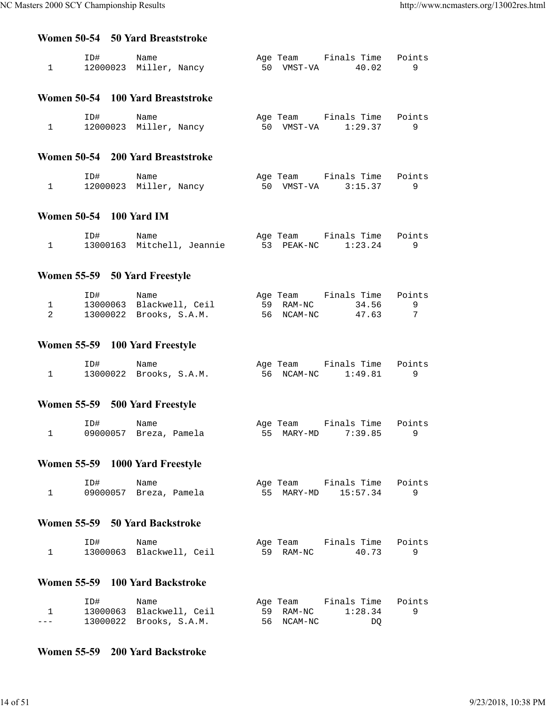#### **Women 50-54 50 Yard Breaststroke**

| ID#<br>12000023 Miller, Nancy | Name |  | Age Team<br>50 VMST-VA | Finals Time Points<br>40.02 |  |
|-------------------------------|------|--|------------------------|-----------------------------|--|
|                               |      |  |                        |                             |  |

### **Women 50-54 100 Yard Breaststroke**

| ID# | Name                   | Age Team   | Finals Time Points |  |
|-----|------------------------|------------|--------------------|--|
|     | 12000023 Miller, Nancy | 50 VMST-VA | 1:29.37            |  |

#### **Women 50-54 200 Yard Breaststroke**

| ID# | Name                   | Age Team   | Finals Time Points |  |
|-----|------------------------|------------|--------------------|--|
|     | 12000023 Miller, Nancy | 50 VMST-VA | 3:15.37            |  |

#### **Women 50-54 100 Yard IM**

| ID# | Name                       | Age Team   | Finals Time Points |  |
|-----|----------------------------|------------|--------------------|--|
|     | 13000163 Mitchell, Jeannie | 53 PEAK-NC | 1:23.24            |  |

## **Women 55-59 50 Yard Freestyle**

| ID# | Name                     | Age Team   | Finals Time | Points |
|-----|--------------------------|------------|-------------|--------|
|     | 13000063 Blackwell, Ceil | 59 RAM-NC  | 34.56       |        |
|     | 13000022 Brooks, S.A.M.  | 56 NCAM-NC | 47.63       |        |

## **Women 55-59 100 Yard Freestyle**

| ID# | Name                    | Age Team   | Finals Time Points |  |
|-----|-------------------------|------------|--------------------|--|
|     | 13000022 Brooks, S.A.M. | 56 NCAM-NC | 1:49.81            |  |

## **Women 55-59 500 Yard Freestyle**

| ID# | Name                   | Age Team   | Finals Time Points |  |
|-----|------------------------|------------|--------------------|--|
|     | 09000057 Breza, Pamela | 55 MARY-MD | 7:39.85            |  |

## **Women 55-59 1000 Yard Freestyle**

| ID#                    | Name |  | Age Team | Finals Time Points  |  |
|------------------------|------|--|----------|---------------------|--|
| 09000057 Breza, Pamela |      |  |          | 55 MARY-MD 15:57.34 |  |

#### **Women 55-59 50 Yard Backstroke**

| ID# | Name                     |  | Age Team  | Finals Time Points |  |
|-----|--------------------------|--|-----------|--------------------|--|
|     | 13000063 Blackwell, Ceil |  | 59 RAM-NC | 40.73              |  |

#### **Women 55-59 100 Yard Backstroke**

|         | ID# | Name                     | Age Team   | Finals Time | Points |
|---------|-----|--------------------------|------------|-------------|--------|
|         |     | 13000063 Blackwell, Ceil | 59 RAM-NC  | 1:28.34     |        |
| $- - -$ |     | 13000022 Brooks, S.A.M.  | 56 NCAM-NC | DO          |        |

#### **Women 55-59 200 Yard Backstroke**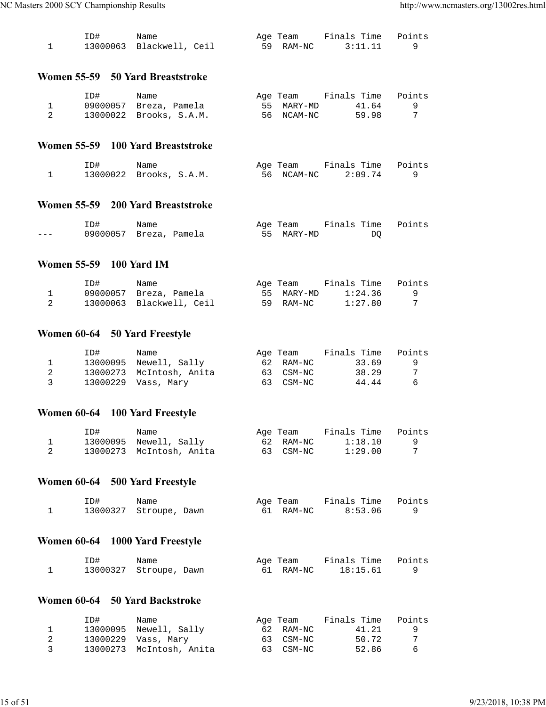| ID# | Name                     | Age Team  | Finals Time Points |  |
|-----|--------------------------|-----------|--------------------|--|
|     | 13000063 Blackwell, Ceil | 59 RAM-NC | 3:11.11            |  |

#### **Women 55-59 50 Yard Breaststroke**

| ID# | Name                    | Age Team   | Finals Time | Points |
|-----|-------------------------|------------|-------------|--------|
|     | 09000057 Breza, Pamela  | 55 MARY-MD | 41.64       |        |
|     | 13000022 Brooks, S.A.M. | 56 NCAM-NC | 59.98       |        |

#### **Women 55-59 100 Yard Breaststroke**

| ID#                     | Name |  | Age Team   | Finals Time Points |  |
|-------------------------|------|--|------------|--------------------|--|
| 13000022 Brooks, S.A.M. |      |  | 56 NCAM-NC | 2:09.74            |  |

#### **Women 55-59 200 Yard Breaststroke**

|         | ID#                    | Name |  | Age Team   | Finals Time Points |  |
|---------|------------------------|------|--|------------|--------------------|--|
| $- - -$ | 09000057 Breza, Pamela |      |  | 55 MARY-MD | DΟ                 |  |

#### **Women 55-59 100 Yard IM**

| ID# | Name                     | Age Team   | Finals Time | Points |
|-----|--------------------------|------------|-------------|--------|
|     | 09000057 Breza, Pamela   | 55 MARY-MD | 1:24.36     |        |
|     | 13000063 Blackwell, Ceil | 59 RAM-NC  | 1:27.80     |        |

## **Women 60-64 50 Yard Freestyle**

|               | ID# | Name                     | Age Team  | Finals Time | Points |
|---------------|-----|--------------------------|-----------|-------------|--------|
|               |     | 13000095 Newell, Sally   | 62 RAM-NC | 33.69       | - Q    |
|               |     | 13000273 McIntosh, Anita | 63 CSM-NC | 38.29       |        |
| $\mathcal{R}$ |     |                          | 63 CSM-NC | 44.44       | -6     |

## **Women 60-64 100 Yard Freestyle**

| ID# | Name                     | Age Team  | Finals Time | Points   |
|-----|--------------------------|-----------|-------------|----------|
|     | 13000095 Newell, Sally   | 62 RAM-NC | 1:18.10     | <u>g</u> |
|     | 13000273 McIntosh, Anita | 63 CSM-NC | 1:29.00     |          |

## **Women 60-64 500 Yard Freestyle**

| ID# | Name                   | Age Team  | Finals Time Points |  |
|-----|------------------------|-----------|--------------------|--|
|     | 13000327 Stroupe, Dawn | 61 RAM-NC | 8:53.06            |  |

## **Women 60-64 1000 Yard Freestyle**

| ID#                    | Name |  | Age Team  | Finals Time Points |  |
|------------------------|------|--|-----------|--------------------|--|
| 13000327 Stroupe, Dawn |      |  | 61 RAM-NC | 18:15.61           |  |

### **Women 60-64 50 Yard Backstroke**

|                         | ID# | Name                     | Age Team  | Finals Time | Points |
|-------------------------|-----|--------------------------|-----------|-------------|--------|
|                         |     | 13000095 Newell, Sally   | 62 RAM-NC | 41.21       |        |
|                         |     | 13000229 Vass, Mary      | 63 CSM-NC | 50.72       | -7     |
| $\overline{\mathbf{3}}$ |     | 13000273 McIntosh, Anita | 63 CSM-NC | 52.86       | -6     |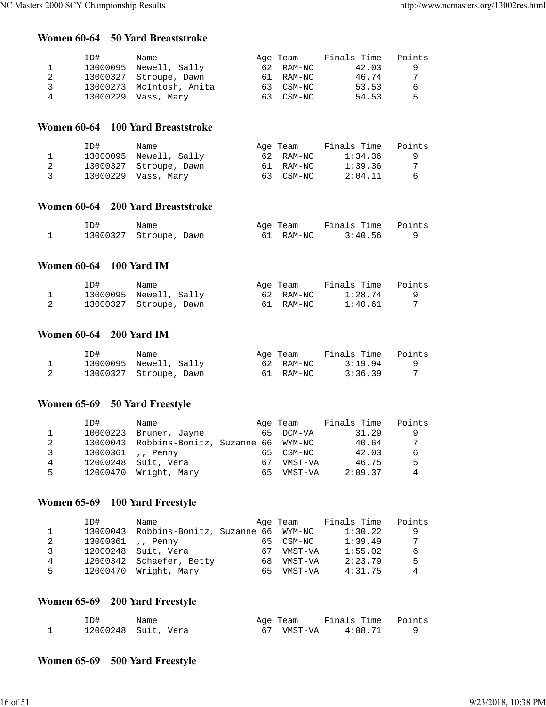#### **Women 60-64 50 Yard Breaststroke**

|   | ID#      | Name                     | Age Team  | Finals Time | Points |
|---|----------|--------------------------|-----------|-------------|--------|
|   | 13000095 | Newell, Sally            | 62 RAM-NC | 42.03       | 9      |
|   |          | 13000327 Stroupe, Dawn   | 61 RAM-NC | 46.74       |        |
| २ |          | 13000273 McIntosh, Anita | 63 CSM-NC | 53.53       | 6      |
| 4 | 13000229 | Vass, Marv               | 63 CSM-NC | 54.53       | 5      |

#### **Women 60-64 100 Yard Breaststroke**

|   | ID# | Name                   | Age Team  | Finals Time | Points |
|---|-----|------------------------|-----------|-------------|--------|
|   |     | 13000095 Newell, Sally | 62 RAM-NC | 1:34.36     |        |
|   |     | 13000327 Stroupe, Dawn | 61 RAM-NC | 1:39.36     | 7      |
| 3 |     | 13000229 Vass, Mary    | 63 CSM-NC | 2:04.11     | 6      |

#### **Women 60-64 200 Yard Breaststroke**

| ID# | Name                   | Age Team  | Finals Time Points |  |
|-----|------------------------|-----------|--------------------|--|
|     | 13000327 Stroupe, Dawn | 61 RAM-NC | 3:40.56            |  |

#### **Women 60-64 100 Yard IM**

| ID# | Name                   | Age Team  | Finals Time | Points |
|-----|------------------------|-----------|-------------|--------|
|     | 13000095 Newell, Sally | 62 RAM-NC | 1:28.74     |        |
|     | 13000327 Stroupe, Dawn | 61 RAM-NC | 1:40.61     |        |

## **Women 60-64 200 Yard IM**

| ID# | Name                   | Age Team  | Finals Time | Points |
|-----|------------------------|-----------|-------------|--------|
|     | 13000095 Newell, Sally | 62 RAM-NC | 3:19.94     | C G    |
|     | 13000327 Stroupe, Dawn | 61 RAM-NC | 3:36.39     |        |

## **Women 65-69 50 Yard Freestyle**

|    | ID#      | Name                                       |     | Age Team  | Finals Time | Points |
|----|----------|--------------------------------------------|-----|-----------|-------------|--------|
|    | 10000223 | Bruner, Jayne                              |     | 65 DCM-VA | 31.29       | 9      |
| 2  |          | 13000043 Robbins-Bonitz, Suzanne 66 WYM-NC |     |           | 40.64       | 7      |
| 3  |          | 13000361  Penny                            | 65. | CSM-NC    | 42.03       | 6      |
| 4  | 12000248 | Suit, Vera                                 | 67  | VMST-VA   | 46.75       | 5      |
| 5. | 12000470 | Wright, Mary                               | 65. | VMST-VA   | 2:09.37     | 4      |

## **Women 65-69 100 Yard Freestyle**

|   | ID#      | Name                              |     | Age Team | Finals Time | Points         |
|---|----------|-----------------------------------|-----|----------|-------------|----------------|
|   | 13000043 | Robbins-Bonitz, Suzanne 66 WYM-NC |     |          | 1:30.22     | -9             |
|   |          | 13000361 ,, Penny                 | 65. | CSM-NC   | 1:39.49     | 7              |
| 3 |          | 12000248 Suit, Vera               | 67  | VMST-VA  | 1:55.02     | 6              |
| 4 |          | 12000342 Schaefer, Betty          | 68. | VMST-VA  | 2:23.79     | 5              |
| 5 |          | 12000470 Wright, Mary             | 65. | VMST-VA  | 4:31.75     | $\overline{4}$ |

## **Women 65-69 200 Yard Freestyle**

| ID# | Name                | Age Team   | Finals Time Points |  |
|-----|---------------------|------------|--------------------|--|
|     | 12000248 Suit, Vera | 67 VMST-VA | 4:08.71            |  |

## **Women 65-69 500 Yard Freestyle**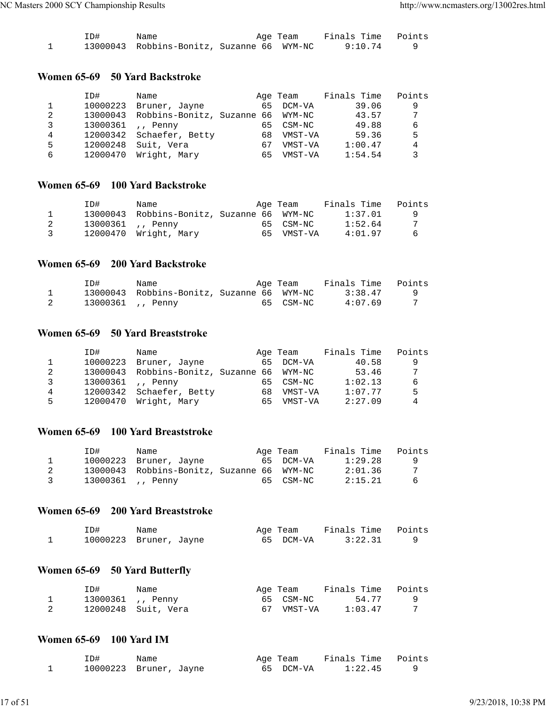| ID# | Name                                       | Age Team | Finals Time Points |  |
|-----|--------------------------------------------|----------|--------------------|--|
|     | 13000043 Robbins-Bonitz, Suzanne 66 WYM-NC |          | 9:10.74            |  |

#### **Women 65-69 50 Yard Backstroke**

|   | ID#      | Name                              |     | Age Team | Finals Time | Points |
|---|----------|-----------------------------------|-----|----------|-------------|--------|
|   | 10000223 | Bruner, Jayne                     | 65  | DCM-VA   | 39.06       | 9      |
| 2 | 13000043 | Robbins-Bonitz, Suzanne 66 WYM-NC |     |          | 43.57       | 7      |
|   | 13000361 | ,, Penny                          | 65. | CSM-NC   | 49.88       | 6      |
| 4 |          | 12000342 Schaefer, Betty          | 68  | VMST-VA  | 59.36       | 5      |
| 5 | 12000248 | Suit, Vera                        | 67  | VMST-VA  | 1:00.47     | 4      |
| 6 | 12000470 | Wright, Mary                      | 65  | VMST-VA  | 1:54.54     | 3      |
|   |          |                                   |     |          |             |        |

#### **Women 65-69 100 Yard Backstroke**

|                | ID# | Name                                       | Age Team   | Finals Time | Points   |
|----------------|-----|--------------------------------------------|------------|-------------|----------|
|                |     | 13000043 Robbins-Bonitz, Suzanne 66 WYM-NC |            | 1:37.01     | <b>q</b> |
| 2              |     | 13000361  Penny                            | 65 CSM-NC  | 1:52.64     | 7        |
| $\overline{3}$ |     | 12000470 Wright, Mary                      | 65 VMST-VA | 4:01.97     | -6       |

**Women 65-69 200 Yard Backstroke**

| ID# | Name                                       | Age Team  | Finals Time Points |  |
|-----|--------------------------------------------|-----------|--------------------|--|
|     | 13000043 Robbins-Bonitz, Suzanne 66 WYM-NC |           | 3:38.47            |  |
|     | 13000361 ,, Penny                          | 65 CSM-NC | 4:07.69            |  |

#### **Women 65-69 50 Yard Breaststroke**

|   | ID#      | Name                              |     | Age Team  | Finals Time | Points |
|---|----------|-----------------------------------|-----|-----------|-------------|--------|
|   | 10000223 | Bruner, Jayne                     |     | 65 DCM-VA | 40.58       | 9      |
| 2 | 13000043 | Robbins-Bonitz, Suzanne 66 WYM-NC |     |           | 53.46       | 7      |
| 3 |          | 13000361  Penny                   | 65  | CSM-NC    | 1:02.13     | 6      |
| 4 |          | 12000342 Schaefer, Betty          | 68. | VMST-VA   | 1:07.77     | .5     |
| 5 | 12000470 | Wright, Mary                      | 65. | VMST-VA   | 2:27.09     | 4      |

#### **Women 65-69 100 Yard Breaststroke**

|                         | TD#. | Name                                       | Age Team  | Finals Time | Points |
|-------------------------|------|--------------------------------------------|-----------|-------------|--------|
|                         |      | 10000223 Bruner, Jayne                     | 65 DCM-VA | 1:29.28     | - 9    |
| 2                       |      | 13000043 Robbins-Bonitz, Suzanne 66 WYM-NC |           | 2:01.36     |        |
| $\overline{\mathbf{3}}$ |      | 13000361  Penny                            | 65 CSM-NC | 2:15.21     | - 6    |

#### **Women 65-69 200 Yard Breaststroke**

| ID# | Name                   | Age Team  | Finals Time Points |  |
|-----|------------------------|-----------|--------------------|--|
|     | 10000223 Bruner, Jayne | 65 DCM-VA | 3:22.31            |  |

## **Women 65-69 50 Yard Butterfly**

| ID# | Name                |    | Age Team  | Finals Time | Points |
|-----|---------------------|----|-----------|-------------|--------|
|     | 13000361 ,, Penny   |    | 65 CSM-NC | 54.77       |        |
|     | 12000248 Suit, Vera | 67 | VMST-VA   | 1:03.47     |        |

#### **Women 65-69 100 Yard IM**

| ID# | Name                   | Age Team  | Finals Time Points |  |
|-----|------------------------|-----------|--------------------|--|
|     | 10000223 Bruner, Jayne | 65 DCM-VA | 1:22.45            |  |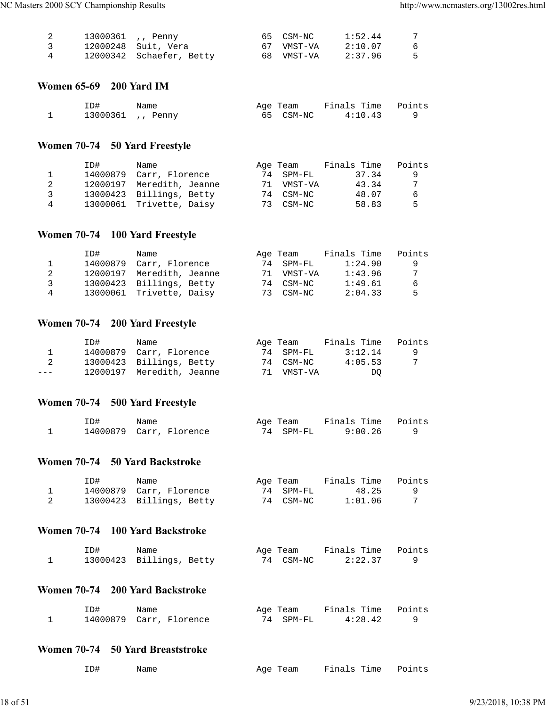|   | 13000361 ,, Penny |                          | 65 CSM-NC  | 1:52.44 | -7  |
|---|-------------------|--------------------------|------------|---------|-----|
|   |                   | 12000248 Suit, Vera      | 67 VMST-VA | 2:10.07 | - 6 |
| 4 |                   | 12000342 Schaefer, Betty | 68 VMST-VA | 2:37.96 | - 5 |

#### **Women 65-69 200 Yard IM**

| ID# | Name            | Age Team  | Finals Time Points |  |
|-----|-----------------|-----------|--------------------|--|
|     | 13000361, Penny | 65 CSM-NC | 4:10.43            |  |

## **Women 70-74 50 Yard Freestyle**

|   | ID# | Name                      |    | Age Team  | Finals Time | Points |
|---|-----|---------------------------|----|-----------|-------------|--------|
|   |     | 14000879 Carr, Florence   |    | 74 SPM-FL | 37.34       | q      |
|   |     | 12000197 Meredith, Jeanne | 71 | VMST-VA   | 43.34       | 7      |
| ર |     | 13000423 Billings, Betty  |    | 74 CSM-NC | 48.07       | 6      |
| 4 |     | 13000061 Trivette, Daisy  | 73 | CSM-NC    | 58.83       | Б.     |

## **Women 70-74 100 Yard Freestyle**

|   | ID# | Name                      |    | Age Team  | Finals Time | Points |
|---|-----|---------------------------|----|-----------|-------------|--------|
|   |     | 14000879 Carr, Florence   | 74 | SPM-FL    | 1:24.90     | -9     |
|   |     | 12000197 Meredith, Jeanne | 71 | VMST-VA   | 1:43.96     | 7      |
| ર |     | 13000423 Billings, Betty  |    | 74 CSM-NC | 1:49.61     | -6     |
| 4 |     | 13000061 Trivette, Daisy  |    | 73 CSM-NC | 2:04.33     | -5     |

## **Women 70-74 200 Yard Freestyle**

|         | ID# | Name                      | Age Team   | Finals Time | Points |
|---------|-----|---------------------------|------------|-------------|--------|
|         |     | 14000879 Carr, Florence   | 74 SPM-FL  | 3:12.14     | - 9    |
| 2       |     | 13000423 Billings, Betty  | 74 CSM-NC  | 4:05.53     |        |
| $- - -$ |     | 12000197 Meredith, Jeanne | 71 VMST-VA | DO.         |        |

## **Women 70-74 500 Yard Freestyle**

| ID# | Name                    | Age Team  | Finals Time Points |  |
|-----|-------------------------|-----------|--------------------|--|
|     | 14000879 Carr, Florence | 74 SPM-FL | 9:00.26            |  |

## **Women 70-74 50 Yard Backstroke**

| ID# | Name                     | Age Team  | Finals Time | Points |
|-----|--------------------------|-----------|-------------|--------|
|     | 14000879 Carr, Florence  | 74 SPM-FL | 48.25       |        |
|     | 13000423 Billings, Betty | 74 CSM-NC | 1:01.06     |        |

### **Women 70-74 100 Yard Backstroke**

| ID# | Name                     | Age Team  | Finals Time Points |  |
|-----|--------------------------|-----------|--------------------|--|
|     | 13000423 Billings, Betty | 74 CSM-NC | 2:22.37            |  |

## **Women 70-74 200 Yard Backstroke**

| ID# | Name                    | Age Team  | Finals Time Points |  |
|-----|-------------------------|-----------|--------------------|--|
|     | 14000879 Carr, Florence | 74 SPM-FL | 4:28.42            |  |

#### **Women 70-74 50 Yard Breaststroke**

| ID#<br>Name | Age Team | Finals Time Points |  |
|-------------|----------|--------------------|--|
|-------------|----------|--------------------|--|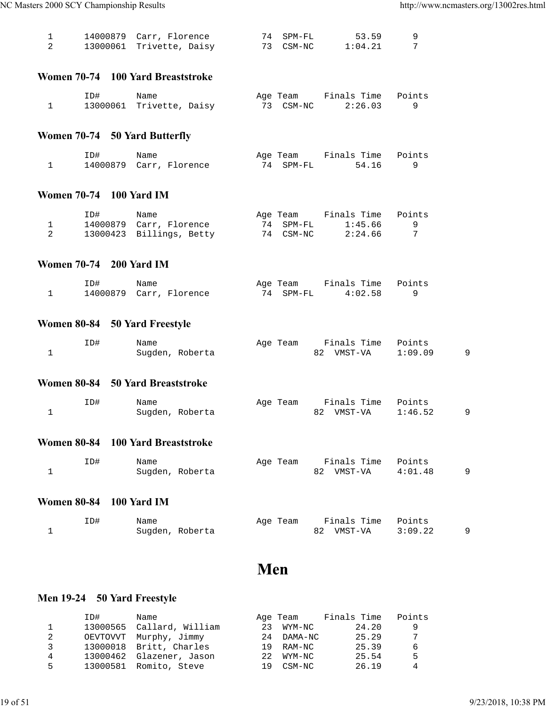|  | 14000879 Carr, Florence  | 74 SPM-FL | 53.59   |  |
|--|--------------------------|-----------|---------|--|
|  | 13000061 Trivette, Daisy | 73 CSM-NC | 1:04.21 |  |

#### **Women 70-74 100 Yard Breaststroke**

| ID# | Name                     |  | Age Team  | Finals Time Points |         |  |
|-----|--------------------------|--|-----------|--------------------|---------|--|
|     | 13000061 Trivette, Daisy |  | 73 CSM-NC |                    | 2:26.03 |  |

## **Women 70-74 50 Yard Butterfly**

| ID# | Name                    | Age Team  | Finals Time Points |  |
|-----|-------------------------|-----------|--------------------|--|
|     | 14000879 Carr, Florence | 74 SPM-FL | 54.16              |  |

#### **Women 70-74 100 Yard IM**

| ID# | Name                     | Age Team  | Finals Time Points |  |
|-----|--------------------------|-----------|--------------------|--|
|     | 14000879 Carr, Florence  | 74 SPM-FL | 1:45.66            |  |
|     | 13000423 Billings, Betty | 74 CSM-NC | 2:24.66            |  |

#### **Women 70-74 200 Yard IM**

| ID# | Name                    | Age Team  | Finals Time Points |  |
|-----|-------------------------|-----------|--------------------|--|
|     | 14000879 Carr, Florence | 74 SPM-FL | 4:02.58            |  |

## **Women 80-84 50 Yard Freestyle**

| ID# | Name            | Age Team | Finals Time Points |         |  |
|-----|-----------------|----------|--------------------|---------|--|
|     | Sugden, Roberta |          | 82 VMST-VA         | 1:09.09 |  |

#### **Women 80-84 50 Yard Breaststroke**

| ID# | Name            | Age Team Finals Time Points |  |
|-----|-----------------|-----------------------------|--|
|     | Sugden, Roberta | 82 VMST-VA 1:46.52          |  |

#### **Women 80-84 100 Yard Breaststroke**

| ID# | Name            | Age Team Finals Time Points |  |
|-----|-----------------|-----------------------------|--|
|     | Sugden, Roberta | 82 VMST-VA 4:01.48          |  |

### **Women 80-84 100 Yard IM**

| ID# | Name            | Age Team | Finals Time Points |         |  |
|-----|-----------------|----------|--------------------|---------|--|
|     | Sugden, Roberta |          | 82 VMST-VA         | 3:09.22 |  |

## **Men**

## **Men 19-24 50 Yard Freestyle**

|   | ID#      | Name                      |                  | Age Team   | Finals Time | Points |
|---|----------|---------------------------|------------------|------------|-------------|--------|
|   |          | 13000565 Callard, William | 23               | WYM-NC     | 24.20       | 9      |
| 2 | OEVTOVVT | Murphy, Jimmy             |                  | 24 DAMA-NC | 25.29       | 7      |
| 3 |          | 13000018 Britt, Charles   | 19               | RAM-NC     | 25.39       | 6      |
| 4 |          | 13000462 Glazener, Jason  | 2.2 <sub>1</sub> | WYM-NC     | 25.54       | 5      |
| 5 |          | 13000581 Romito, Steve    | 19               | CSM-NC     | 26.19       | 4      |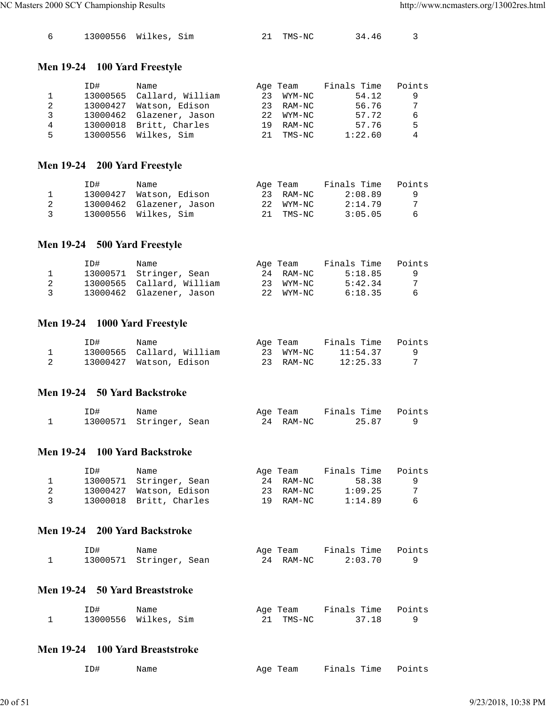|  |  | 13000556 Wilkes, Sim |  | 21 TMS-NC | 34.46 |  |
|--|--|----------------------|--|-----------|-------|--|
|--|--|----------------------|--|-----------|-------|--|

## **Men 19-24 100 Yard Freestyle**

|    | ID# | Name                      |    | Age Team  | Finals Time | Points |
|----|-----|---------------------------|----|-----------|-------------|--------|
|    |     | 13000565 Callard, William | 23 | WYM-NC    | 54.12       | 9      |
| 2  |     | 13000427 Watson, Edison   |    | 23 RAM-NC | 56.76       | 7      |
| 3  |     | 13000462 Glazener, Jason  |    | 22 WYM-NC | 57.72       | 6      |
| 4  |     | 13000018 Britt, Charles   | 19 | RAM-NC    | 57.76       | 5      |
| 5. |     | 13000556 Wilkes, Sim      | 21 | TMS-NC    | 1:22.60     | 4      |

## **Men 19-24 200 Yard Freestyle**

|                | ID# | Name                     | Age Team  | Finals Time | Points |
|----------------|-----|--------------------------|-----------|-------------|--------|
|                |     | 13000427 Watson, Edison  | 23 RAM-NC | 2:08.89     | - 9    |
|                |     | 13000462 Glazener, Jason | 22 WYM-NC | 2:14.79     | -7     |
| $\overline{3}$ |     | 13000556 Wilkes, Sim     | 21 TMS-NC | 3:05.05     | -6     |

## **Men 19-24 500 Yard Freestyle**

|                | ID# | Name                      | Age Team  | Finals Time | Points   |
|----------------|-----|---------------------------|-----------|-------------|----------|
|                |     | 13000571 Stringer, Sean   | 24 RAM-NC | 5:18.85     | <b>q</b> |
|                |     | 13000565 Callard, William | 23 WYM-NC | 5:42.34     | 7        |
| $\overline{3}$ |     | 13000462 Glazener, Jason  | 22 WYM-NC | 6:18.35     | 6        |

#### **Men 19-24 1000 Yard Freestyle**

| ID# | Name                      | Age Team  | Finals Time | Points |
|-----|---------------------------|-----------|-------------|--------|
|     | 13000565 Callard, William | 23 WYM-NC | 11:54.37    |        |
|     | 13000427 Watson, Edison   | 23 RAM-NC | 12:25.33    |        |

#### **Men 19-24 50 Yard Backstroke**

| ID# | Name                    | Age Team |           | Finals Time Points |  |
|-----|-------------------------|----------|-----------|--------------------|--|
|     | 13000571 Stringer, Sean |          | 24 RAM-NC | 25.87              |  |

#### **Men 19-24 100 Yard Backstroke**

|                | ID# | Name                    | Age Team  | Finals Time | Points |
|----------------|-----|-------------------------|-----------|-------------|--------|
|                |     | 13000571 Stringer, Sean | 24 RAM-NC | 58.38       | - 9    |
| 2              |     | 13000427 Watson, Edison | 23 RAM-NC | 1:09.25     | -7     |
| $\overline{3}$ |     | 13000018 Britt, Charles | 19 RAM-NC | 1:14.89     | -6     |

### **Men 19-24 200 Yard Backstroke**

| ID# | Name                    | Age Team  | Finals Time Points |  |
|-----|-------------------------|-----------|--------------------|--|
|     | 13000571 Stringer, Sean | 24 RAM-NC | 2:03.70            |  |

## **Men 19-24 50 Yard Breaststroke**

| ID#                  | Name |  | Age Team  | Finals Time Points |  |
|----------------------|------|--|-----------|--------------------|--|
| 13000556 Wilkes, Sim |      |  | 21 TMS-NC | 37.18              |  |

#### **Men 19-24 100 Yard Breaststroke**

| ID#<br>Name |  | Age Team Finals Time Points |  |
|-------------|--|-----------------------------|--|
|-------------|--|-----------------------------|--|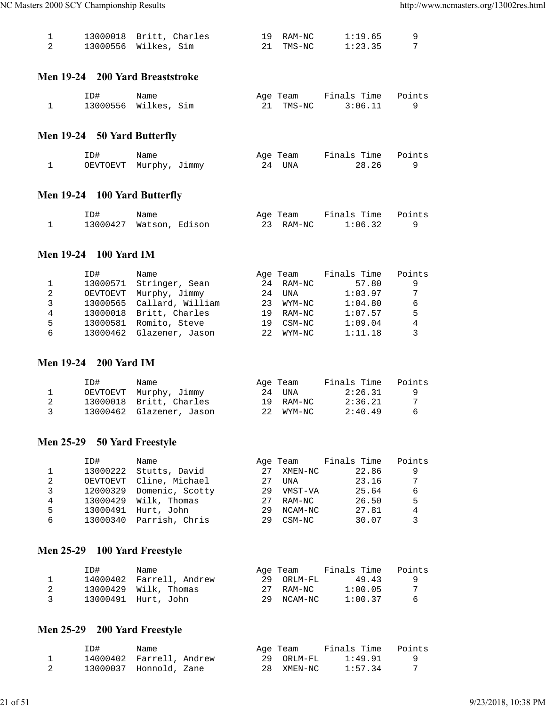|  | 13000018 Britt, Charles | 19 RAM-NC | 1:19.65 |  |
|--|-------------------------|-----------|---------|--|
|  | 13000556 Wilkes, Sim    | 21 TMS-NC | 1:23.35 |  |

#### **Men 19-24 200 Yard Breaststroke**

| ID#                  | Name |  | Age Team  | Finals Time Points |         |  |
|----------------------|------|--|-----------|--------------------|---------|--|
| 13000556 Wilkes, Sim |      |  | 21 TMS-NC |                    | 3:06.11 |  |

## **Men 19-24 50 Yard Butterfly**

| ID# | Name                   | Age Team | Finals Time Points |  |
|-----|------------------------|----------|--------------------|--|
|     | OEVTOEVT Murphy, Jimmy | 24 UNA   | 28.26              |  |

## **Men 19-24 100 Yard Butterfly**

| ID#                     | Name |  | Age Team  | Finals Time Points |  |
|-------------------------|------|--|-----------|--------------------|--|
| 13000427 Watson, Edison |      |  | 23 RAM-NC | 1:06.32            |  |

#### **Men 19-24 100 Yard IM**

|   | ID#      | Name                     |     | Age Team | Finals Time | Points |
|---|----------|--------------------------|-----|----------|-------------|--------|
|   | 13000571 | Stringer, Sean           | 2.4 | RAM-NC   | 57.80       | 9      |
| 2 | OEVTOEVT | Murphy, Jimmy            | 2.4 | UNA      | 1:03.97     | 7      |
| 3 | 13000565 | Callard, William         | 23  | WYM-NC   | 1:04.80     | 6      |
| 4 |          | 13000018 Britt, Charles  | 19  | RAM-NC   | 1:07.57     | 5      |
| 5 | 13000581 | Romito, Steve            | 19  | CSM-NC   | 1:09.04     | 4      |
| 6 |          | 13000462 Glazener, Jason | 22  | WYM-NC   | 1:11.18     | 3      |

#### **Men 19-24 200 Yard IM**

|               | ID# | Name                     | Age Team  | Finals Time | Points |
|---------------|-----|--------------------------|-----------|-------------|--------|
|               |     | OEVTOEVT Murphy, Jimmy   | 24 UNA    | 2:26.31     |        |
|               |     | 13000018 Britt, Charles  | 19 RAM-NC | 2:36.21     |        |
| $\mathcal{R}$ |     | 13000462 Glazener, Jason | 22 WYM-NC | 2:40.49     | 6      |

## **Men 25-29 50 Yard Freestyle**

|   | ID#      | Name                     |    | Age Team | Finals Time | Points |
|---|----------|--------------------------|----|----------|-------------|--------|
|   | 13000222 | Stutts, David            | 27 | XMEN-NC  | 22.86       | 9      |
| 2 | OEVTOEVT | Cline, Michael           | 27 | UNA      | 23.16       | 7      |
| 3 |          | 12000329 Domenic, Scotty | 29 | VMST-VA  | 25.64       | 6      |
| 4 |          | 13000429 Wilk, Thomas    | 27 | RAM-NC   | 26.50       | 5      |
| 5 | 13000491 | Hurt, John               | 29 | NCAM-NC  | 27.81       | 4      |
| 6 | 13000340 | Parrish, Chris           | 29 | CSM-NC   | 30.07       |        |

## **Men 25-29 100 Yard Freestyle**

|                | ID# | Name                     | Age Team   | Finals Time | Points   |
|----------------|-----|--------------------------|------------|-------------|----------|
|                |     | 14000402 Farrell, Andrew | 29 ORLM-FL | 49.43       | <b>q</b> |
|                |     | $13000429$ Wilk, Thomas  | 27 RAM-NC  | 1:00.05     | -7       |
| $\overline{3}$ |     | 13000491 Hurt, John      | 29 NCAM-NC | 1:00.37     | - 6      |

## **Men 25-29 200 Yard Freestyle**

| ID#                      | Name |  | Age Team   | Finals Time | Points |
|--------------------------|------|--|------------|-------------|--------|
| 14000402 Farrell, Andrew |      |  | 29 ORLM-FL | 1:49.91     |        |
| 13000037 Honnold, Zane   |      |  | 28 XMEN-NC | 1:57.34     |        |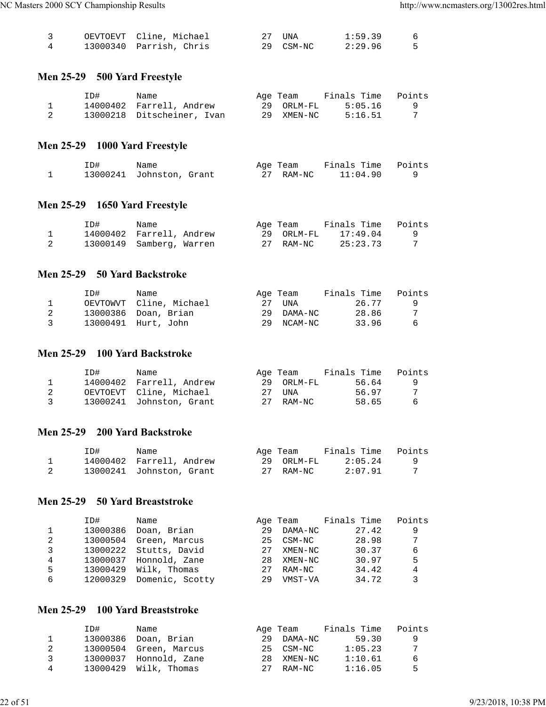|  | OEVTOEVT Cline, Michael | 27 UNA    | 1:59.39 |  |
|--|-------------------------|-----------|---------|--|
|  | 13000340 Parrish, Chris | 29 CSM-NC | 2:29.96 |  |

## **Men 25-29 500 Yard Freestyle**

| ID# | Name                       | Age Team   | Finals Time | Points |
|-----|----------------------------|------------|-------------|--------|
|     | 14000402 Farrell, Andrew   | 29 ORLM-FL | 5:05.16     |        |
|     | 13000218 Ditscheiner, Ivan | 29 XMEN-NC | 5:16.51     |        |

## **Men 25-29 1000 Yard Freestyle**

| ID# | Name                     |  | Age Team  | Finals Time Points |  |
|-----|--------------------------|--|-----------|--------------------|--|
|     | 13000241 Johnston, Grant |  | 27 RAM-NC | 11:04.90           |  |

#### **Men 25-29 1650 Yard Freestyle**

| ID#                      | Name |  | Age Team   | Finals Time | Points |
|--------------------------|------|--|------------|-------------|--------|
| 14000402 Farrell, Andrew |      |  | 29 ORLM-FL | 17:49.04    | - 9    |
| 13000149 Samberg, Warren |      |  | 27 RAM-NC  | 25:23.73    |        |

#### **Men 25-29 50 Yard Backstroke**

|                | ID# | Name                    | Age Team   | Finals Time | Points |
|----------------|-----|-------------------------|------------|-------------|--------|
|                |     | OEVTOWVT Cline, Michael | 27 una     | 26.77       |        |
|                |     | 13000386 Doan, Brian    | 29 DAMA-NC | 28.86       |        |
| $\overline{3}$ |     | 13000491 Hurt, John     | 29 NCAM-NC | 33.96       | -6     |

#### **Men 25-29 100 Yard Backstroke**

|                | ID# | Name                     | Age Team   | Finals Time | Points   |
|----------------|-----|--------------------------|------------|-------------|----------|
|                |     | 14000402 Farrell, Andrew | 29 ORLM-FL | 56.64       | <b>Q</b> |
|                |     | OEVTOEVT Cline, Michael  | 27 una     | 56.97       |          |
| $\overline{3}$ |     | 13000241 Johnston, Grant | 27 RAM-NC  | 58.65       | - 6      |

#### **Men 25-29 200 Yard Backstroke**

| ID# | Name                     | Age Team   | Finals Time | Points |
|-----|--------------------------|------------|-------------|--------|
|     | 14000402 Farrell, Andrew | 29 ORLM-FL | 2:05.24     |        |
|     | 13000241 Johnston, Grant | 27 RAM-NC  | 2:07.91     |        |

#### **Men 25-29 50 Yard Breaststroke**

|   | ID#      | Name            |        | Age Team | Finals Time | Points |
|---|----------|-----------------|--------|----------|-------------|--------|
|   | 13000386 | Doan, Brian     | 29     | DAMA-NC  | 27.42       | 9      |
| 2 | 13000504 | Green, Marcus   | $25 -$ | CSM-NC   | 28.98       | 7      |
|   | 13000222 | Stutts, David   | 27     | XMEN-NC  | 30.37       | 6      |
| 4 | 13000037 | Honnold, Zane   | 28     | XMEN-NC  | 30.97       | 5      |
| 5 | 13000429 | Wilk, Thomas    | 27     | RAM-NC   | 34.42       | 4      |
| 6 | 12000329 | Domenic, Scotty | 29     | VMST-VA  | 34.72       |        |

## **Men 25-29 100 Yard Breaststroke**

|   | TD# | Name                    |    | Age Team   | Finals Time | Points |
|---|-----|-------------------------|----|------------|-------------|--------|
|   |     | 13000386 Doan, Brian    | 29 | DAMA-NC    | 59.30       | -9     |
|   |     | 13000504 Green, Marcus  |    | 25 CSM-NC  | 1:05.23     |        |
| ર |     | 13000037 Honnold, Zane  |    | 28 XMEN-NC | 1:10.61     | 6      |
| 4 |     | $13000429$ Wilk, Thomas | 27 | RAM-NC     | 1:16.05     | 5      |
|   |     |                         |    |            |             |        |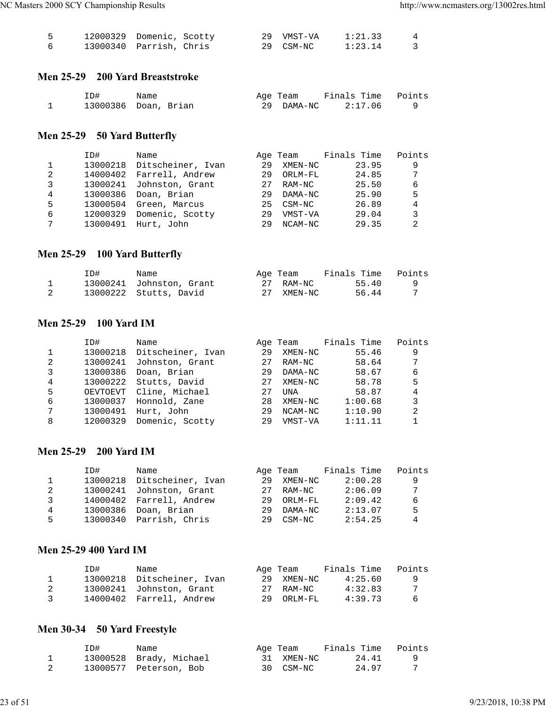| 12000329 Domenic, Scotty |  | 29 VMST-VA | 1:21.33 |  |
|--------------------------|--|------------|---------|--|
| 13000340 Parrish, Chris  |  | 29 CSM-NC  | 1:23.14 |  |

#### **Men 25-29 200 Yard Breaststroke**

| ID# | Name                 | Age Team | Finals Time Points |  |
|-----|----------------------|----------|--------------------|--|
|     | 13000386 Doan, Brian |          | 29 DAMA-NC 2:17.06 |  |

## **Men 25-29 50 Yard Butterfly**

|   | ID#      | Name              |    | Age Team | Finals Time | Points |
|---|----------|-------------------|----|----------|-------------|--------|
|   | 13000218 | Ditscheiner, Ivan | 29 | XMEN-NC  | 23.95       | 9      |
| 2 | 14000402 | Farrell, Andrew   | 29 | ORLM-FL  | 24.85       | 7      |
| 3 | 13000241 | Johnston, Grant   | 27 | RAM-NC   | 25.50       | 6      |
| 4 | 13000386 | Doan, Brian       | 29 | DAMA-NC  | 25.90       | 5      |
| 5 | 13000504 | Green, Marcus     | 25 | CSM-NC   | 26.89       | 4      |
| 6 | 12000329 | Domenic, Scotty   | 29 | VMST-VA  | 29.04       | 3      |
| 7 | 13000491 | Hurt, John        | 29 | NCAM-NC  | 29.35       | 2      |
|   |          |                   |    |          |             |        |

## **Men 25-29 100 Yard Butterfly**

| ID# | Name                     | Age Team   | Finals Time | Points |
|-----|--------------------------|------------|-------------|--------|
|     | 13000241 Johnston, Grant | 27 RAM-NC  | 55.40       |        |
|     | 13000222 Stutts, David   | 27 XMEN-NC | 56.44       |        |

#### **Men 25-29 100 Yard IM**

|              | ID#      | Name              |    | Age Team | Finals Time | Points |
|--------------|----------|-------------------|----|----------|-------------|--------|
| $\mathbf{1}$ | 13000218 | Ditscheiner, Ivan | 29 | XMEN-NC  | 55.46       | 9      |
| 2            | 13000241 | Johnston, Grant   | 27 | RAM-NC   | 58.64       | 7      |
| 3            | 13000386 | Doan, Brian       | 29 | DAMA-NC  | 58.67       | 6      |
| 4            | 13000222 | Stutts, David     | 27 | XMEN-NC  | 58.78       | 5      |
| 5            | OEVTOEVT | Cline, Michael    | 27 | UNA      | 58.87       | 4      |
| 6            | 13000037 | Honnold, Zane     | 28 | XMEN-NC  | 1:00.68     | 3      |
| 7            | 13000491 | Hurt, John        | 29 | NCAM-NC  | 1:10.90     | 2      |
| 8            | 12000329 | Domenic, Scotty   | 29 | VMST-VA  | 1:11.11     |        |

#### **Men 25-29 200 Yard IM**

|    | TD#      | Name                     |     | Age Team | Finals Time | Points |
|----|----------|--------------------------|-----|----------|-------------|--------|
|    | 13000218 | Ditscheiner, Ivan        | 29  | XMEN-NC  | 2:00.28     | 9      |
| 2  |          | 13000241 Johnston, Grant | 2.7 | RAM-NC   | 2:06.09     | -7     |
| 3  |          | 14000402 Farrell, Andrew | 29  | ORLM-FL  | 2:09.42     | 6      |
| 4  |          | 13000386 Doan, Brian     | 29  | DAMA-NC  | 2:13.07     | 5      |
| 5. |          | 13000340 Parrish, Chris  | 29  | CSM-NC   | 2:54.25     | 4      |
|    |          |                          |     |          |             |        |

#### **Men 25-29 400 Yard IM**

|               | ID# | Name                       |    | Age Team   | Finals Time | Points   |
|---------------|-----|----------------------------|----|------------|-------------|----------|
|               |     | 13000218 Ditscheiner, Ivan | 29 | XMEN-NC    | 4:25.60     | <b>Q</b> |
|               |     | 13000241 Johnston, Grant   |    | 27 RAM-NC  | 4:32.83     | -7       |
| $\mathcal{R}$ |     | 14000402 Farrell, Andrew   |    | 29 ORLM-FL | 4:39.73     | -6       |

## **Men 30-34 50 Yard Freestyle**

| ID# | Name                    | Age Team   | Finals Time | Points |
|-----|-------------------------|------------|-------------|--------|
|     | 13000528 Brady, Michael | 31 XMEN-NC | 24.41       |        |
|     | 13000577 Peterson, Bob  | 30 CSM-NC  | 24.97       |        |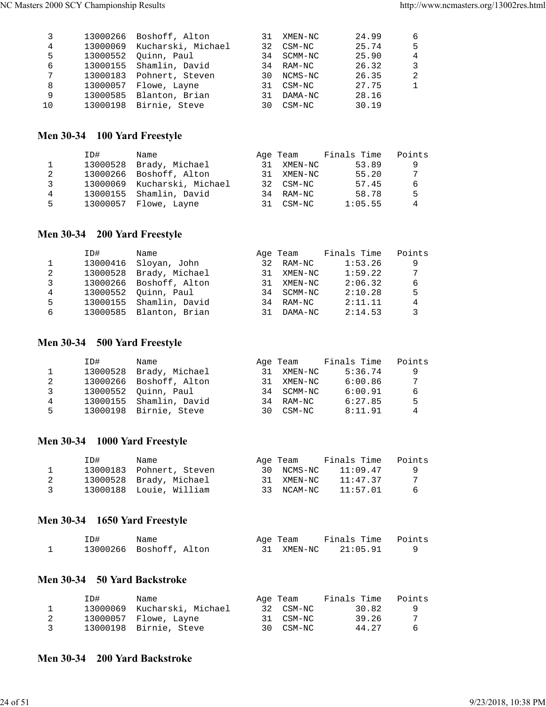|    | 13000266 Boshoff, Alton     |    | 31 XMEN-NC | 24.99 | 6              |
|----|-----------------------------|----|------------|-------|----------------|
| 4  | 13000069 Kucharski, Michael |    | 32 CSM-NC  | 25.74 | -5             |
| 5  | 13000552 Ouinn, Paul        |    | 34 SCMM-NC | 25.90 | $\overline{4}$ |
| 6  | 13000155 Shamlin, David     |    | 34 RAM-NC  | 26.32 | 3              |
| 7  | 13000183 Pohnert, Steven    |    | 30 NCMS-NC | 26.35 | 2              |
| 8  | 13000057 Flowe, Layne       |    | 31 CSM-NC  | 27.75 | $\mathbf{1}$   |
| 9  | 13000585 Blanton, Brian     | 31 | DAMA-NC    | 28.16 |                |
| 10 | 13000198 Birnie, Steve      | 30 | CSM-NC     | 30.19 |                |
|    |                             |    |            |       |                |

## **Men 30-34 100 Yard Freestyle**

|   | ID#      | Name                        |    | Age Team   | Finals Time | Points |
|---|----------|-----------------------------|----|------------|-------------|--------|
|   | 13000528 | Brady, Michael              | 31 | XMEN-NC    | 53.89       | 9      |
| 2 |          | 13000266 Boshoff, Alton     |    | 31 XMEN-NC | 55.20       | 7      |
| 3 |          | 13000069 Kucharski, Michael |    | 32 CSM-NC  | 57.45       | 6      |
| 4 |          | 13000155 Shamlin, David     |    | 34 RAM-NC  | 58.78       | 5      |
| 5 |          | 13000057 Flowe, Layne       |    | 31 CSM-NC  | 1:05.55     | 4      |

## **Men 30-34 200 Yard Freestyle**

|   | ID#      | Name                    |    | Age Team   | Finals Time | Points |
|---|----------|-------------------------|----|------------|-------------|--------|
|   | 13000416 | Sloyan, John            | 32 | RAM-NC     | 1:53.26     | 9      |
| 2 | 13000528 | Brady, Michael          |    | 31 XMEN-NC | 1:59.22     | 7      |
| 3 |          | 13000266 Boshoff, Alton | 31 | XMEN-NC    | 2:06.32     | 6      |
| 4 |          | 13000552 Ouinn, Paul    |    | 34 SCMM-NC | 2:10.28     | 5      |
| 5 |          | 13000155 Shamlin, David |    | 34 RAM-NC  | 2:11.11     | 4      |
| 6 |          | 13000585 Blanton, Brian | 31 | DAMA-NC    | 2:14.53     | 3      |

## **Men 30-34 500 Yard Freestyle**

| ID#      | Name |                                                                                                                        |        | Finals Time              | Points                           |
|----------|------|------------------------------------------------------------------------------------------------------------------------|--------|--------------------------|----------------------------------|
| 13000528 |      | 31                                                                                                                     |        | 5:36.74                  | 9                                |
|          |      | 31                                                                                                                     |        | 6:00.86                  | 7                                |
|          |      |                                                                                                                        |        | 6:00.91                  | 6                                |
|          |      |                                                                                                                        |        | 6:27.85                  | 5                                |
|          |      | 3 N                                                                                                                    | CSM-NC | 8:11.91                  | 4                                |
|          |      | Brady, Michael<br>13000266 Boshoff, Alton<br>13000552 Ouinn, Paul<br>13000155 Shamlin, David<br>13000198 Birnie, Steve |        | Age Team<br>RAM-NC<br>34 | XMEN-NC<br>XMEN-NC<br>34 SCMM-NC |

#### **Men 30-34 1000 Yard Freestyle**

|                         | ID# | Name                     | Age Team   | Finals Time | Points |
|-------------------------|-----|--------------------------|------------|-------------|--------|
|                         |     | 13000183 Pohnert, Steven | 30 NCMS-NC | 11:09.47    | -9     |
| -2                      |     | 13000528 Brady, Michael  | 31 XMEN-NC | 11:47.37    |        |
| $\overline{\mathbf{3}}$ |     | 13000188 Louie, William  | 33 NCAM-NC | 11:57.01    | - 6    |

## **Men 30-34 1650 Yard Freestyle**

| ID# | Name                    | Age Team   | Finals Time Points |  |
|-----|-------------------------|------------|--------------------|--|
|     | 13000266 Boshoff, Alton | 31 XMEN-NC | 21:05.91           |  |

## **Men 30-34 50 Yard Backstroke**

|   | TD#. | Name                        | Age Team  | Finals Time | Points |
|---|------|-----------------------------|-----------|-------------|--------|
|   |      | 13000069 Kucharski, Michael | 32 CSM-NC | 30.82       |        |
|   |      | 13000057 Flowe, Layne       | 31 CSM-NC | 39.26       | 7      |
| 3 |      | 13000198 Birnie, Steve      | 30 CSM-NC | 44.27       | -6     |

### **Men 30-34 200 Yard Backstroke**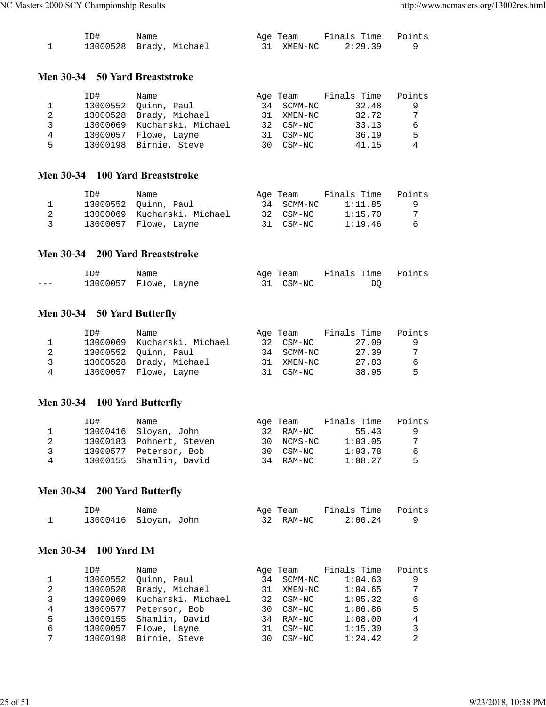| ID# | Name                    | Age Team   | Finals Time Points |  |
|-----|-------------------------|------------|--------------------|--|
|     | 13000528 Brady, Michael | 31 XMEN-NC | 2:29.39            |  |

#### **Men 30-34 50 Yard Breaststroke**

|   | ID#      | Name                        |    | Age Team   | Finals Time | Points |
|---|----------|-----------------------------|----|------------|-------------|--------|
|   | 13000552 | Ouinn, Paul                 |    | 34 SCMM-NC | 32.48       | 9      |
| 2 | 13000528 | Brady, Michael              |    | 31 XMEN-NC | 32.72       | 7      |
| 3 |          | 13000069 Kucharski, Michael |    | 32 CSM-NC  | 33.13       | 6      |
| 4 | 13000057 | Flowe, Layne                | 31 | CSM-NC     | 36.19       | 5      |
| 5 |          | 13000198 Birnie, Steve      | 30 | CSM-NC     | 41.15       | 4      |

#### **Men 30-34 100 Yard Breaststroke**

|                         | ID# | Name                        | Age Team   | Finals Time | Points   |
|-------------------------|-----|-----------------------------|------------|-------------|----------|
|                         |     | 13000552 Ouinn, Paul        | 34 SCMM-NC | 1:11.85     | <b>Q</b> |
|                         |     | 13000069 Kucharski, Michael | 32 CSM-NC  | 1:15.70     | 7        |
| $\overline{\mathbf{3}}$ |     | 13000057 Flowe, Layne       | 31 CSM-NC  | 1:19.46     | - 6      |

#### **Men 30-34 200 Yard Breaststroke**

|         | ID# | Name                  | Age Team  | Finals Time Points |  |
|---------|-----|-----------------------|-----------|--------------------|--|
| $- - -$ |     | 13000057 Flowe, Layne | 31 CSM-NC | DO.                |  |

## **Men 30-34 50 Yard Butterfly**

|   | ID# | Name                        |    | Age Team   | Finals Time | Points |
|---|-----|-----------------------------|----|------------|-------------|--------|
|   |     | 13000069 Kucharski, Michael |    | 32 CSM-NC  | 27.09       | -9     |
| 2 |     | 13000552 Ouinn, Paul        |    | 34 SCMM-NC | 27.39       | 7      |
| २ |     | 13000528 Brady, Michael     | 31 | XMEN-NC    | 27.83       | 6      |
| 4 |     | 13000057 Flowe, Layne       |    | 31 CSM-NC  | 38.95       | .5     |

## **Men 30-34 100 Yard Butterfly**

|   | ID# | Name                     | Age Team   | Finals Time | Points |
|---|-----|--------------------------|------------|-------------|--------|
|   |     | 13000416 Sloyan, John    | 32 RAM-NC  | 55.43       | q      |
|   |     | 13000183 Pohnert, Steven | 30 NCMS-NC | 1:03.05     | 7      |
| ર |     | 13000577 Peterson, Bob   | 30 CSM-NC  | 1:03.78     | 6      |
| 4 |     | 13000155 Shamlin, David  | 34 RAM-NC  | 1:08.27     | 5      |

## **Men 30-34 200 Yard Butterfly**

| ID# | Name                  | Age Team  | Finals Time Points |  |
|-----|-----------------------|-----------|--------------------|--|
|     | 13000416 Sloyan, John | 32 RAM-NC | 2:00.24            |  |

## **Men 30-34 100 Yard IM**

|   | ID#      | Name               |     | Age Team | Finals Time | Points |
|---|----------|--------------------|-----|----------|-------------|--------|
|   | 13000552 | Ouinn, Paul        | 34  | SCMM-NC  | 1:04.63     | 9      |
| 2 | 13000528 | Brady, Michael     | 31  | XMEN-NC  | 1:04.65     | 7      |
| 3 | 13000069 | Kucharski, Michael | 32  | CSM-NC   | 1:05.32     | 6      |
| 4 | 13000577 | Peterson, Bob      | 30. | CSM-NC   | 1:06.86     | 5      |
| 5 | 13000155 | Shamlin, David     | 34  | RAM-NC   | 1:08.00     | 4      |
| 6 | 13000057 | Flowe, Layne       | 31  | CSM-NC   | 1:15.30     | 3      |
| 7 | 13000198 | Birnie, Steve      | 30. | CSM-NC   | 1:24.42     | 2      |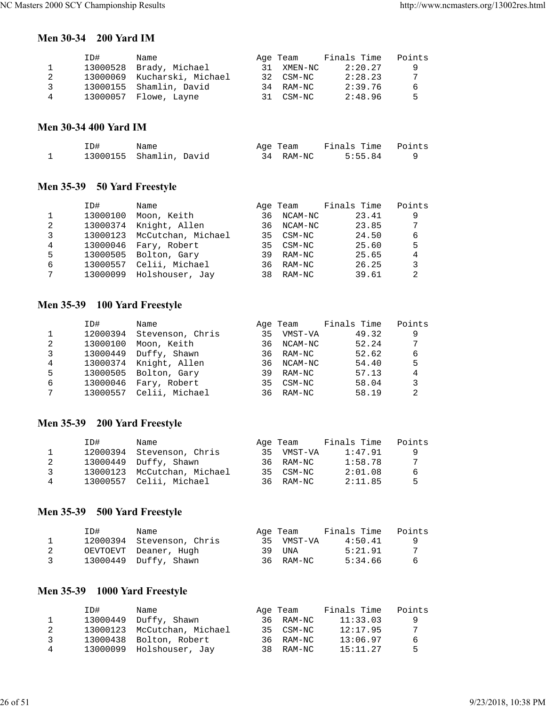#### **Men 30-34 200 Yard IM**

|   | ID#      | Name                        | Age Team   | Finals Time | Points |
|---|----------|-----------------------------|------------|-------------|--------|
|   | 13000528 | Brady, Michael              | 31 XMEN-NC | 2:20.27     | -9     |
| 2 |          | 13000069 Kucharski, Michael | 32 CSM-NC  | 2:28.23     | 7      |
| २ |          | 13000155 Shamlin, David     | 34 RAM-NC  | 2:39.76     | -6     |
| 4 |          | 13000057 Flowe, Layne       | 31 CSM-NC  | 2:48.96     | -5     |

#### **Men 30-34 400 Yard IM**

| ID# | Name                    |  | Age Team  | Finals Time Points |  |
|-----|-------------------------|--|-----------|--------------------|--|
|     | 13000155 Shamlin, David |  | 34 RAM-NC | 5:55.84            |  |

## **Men 35-39 50 Yard Freestyle**

|   | ID#      | Name               |    | Age Team  | Finals Time | Points |
|---|----------|--------------------|----|-----------|-------------|--------|
| 1 | 13000100 | Moon, Keith        | 36 | NCAM-NC   | 23.41       | 9      |
| 2 | 13000374 | Knight, Allen      | 36 | NCAM-NC   | 23.85       | 7      |
| 3 | 13000123 | McCutchan, Michael |    | 35 CSM-NC | 24.50       | 6      |
| 4 | 13000046 | Fary, Robert       |    | 35 CSM-NC | 25.60       | 5      |
| 5 | 13000505 | Bolton, Gary       | 39 | RAM-NC    | 25.65       | 4      |
| 6 | 13000557 | Celii, Michael     | 36 | RAM-NC    | 26.25       | 3      |
| 7 | 13000099 | Holshouser, Jay    | 38 | RAM-NC    | 39.61       | 2      |

# **Men 35-39 100 Yard Freestyle**

|   | ID#      | Name             |    | Age Team   | Finals Time | Points |
|---|----------|------------------|----|------------|-------------|--------|
|   | 12000394 | Stevenson, Chris | 35 | VMST-VA    | 49.32       | 9      |
| 2 | 13000100 | Moon, Keith      |    | 36 NCAM-NC | 52.24       | 7      |
| 3 | 13000449 | Duffy, Shawn     |    | 36 RAM-NC  | 52.62       | 6      |
| 4 | 13000374 | Knight, Allen    |    | 36 NCAM-NC | 54.40       | 5      |
| 5 | 13000505 | Bolton, Gary     | 39 | RAM-NC     | 57.13       | 4      |
| 6 | 13000046 | Fary, Robert     |    | 35 CSM-NC  | 58.04       | 3      |
| 7 | 13000557 | Celii, Michael   | 36 | RAM-NC     | 58.19       | 2      |

## **Men 35-39 200 Yard Freestyle**

|              | ID# | Name                        | Age Team   | Finals Time | Points |
|--------------|-----|-----------------------------|------------|-------------|--------|
| $\mathbf{1}$ |     | 12000394 Stevenson, Chris   | 35 VMST-VA | 1:47.91     | - 9    |
| 2            |     | 13000449 Duffy, Shawn       | 36 RAM-NC  | 1:58.78     | 7      |
| $\mathbf{R}$ |     | 13000123 McCutchan, Michael | 35 CSM-NC  | 2:01.08     | -6     |
| 4            |     | 13000557 Celii, Michael     | 36 RAM-NC  | 2:11.85     | 5      |

## **Men 35-39 500 Yard Freestyle**

|   | ID# | Name                      | Age Team   | Finals Time | Points |
|---|-----|---------------------------|------------|-------------|--------|
|   |     | 12000394 Stevenson, Chris | 35 VMST-VA | 4:50.41     | - 9    |
|   |     | OEVTOEVT Deaner, Hugh     | 39 UNA     | 5:21.91     |        |
| 3 |     | 13000449 Duffy, Shawn     | 36 RAM-NC  | 5:34.66     | -6     |

## **Men 35-39 1000 Yard Freestyle**

|    | ID# | Name                        | Age Team  | Finals Time | Points |
|----|-----|-----------------------------|-----------|-------------|--------|
| 1. |     | 13000449 Duffy, Shawn       | 36 RAM-NC | 11:33.03    | - Q    |
| 2  |     | 13000123 McCutchan, Michael | 35 CSM-NC | 12:17.95    | 7      |
| ર  |     | 13000438 Bolton, Robert     | 36 RAM-NC | 13:06.97    | -6     |
| 4  |     | 13000099 Holshouser, Jay    | 38 RAM-NC | 15:11.27    | Б.     |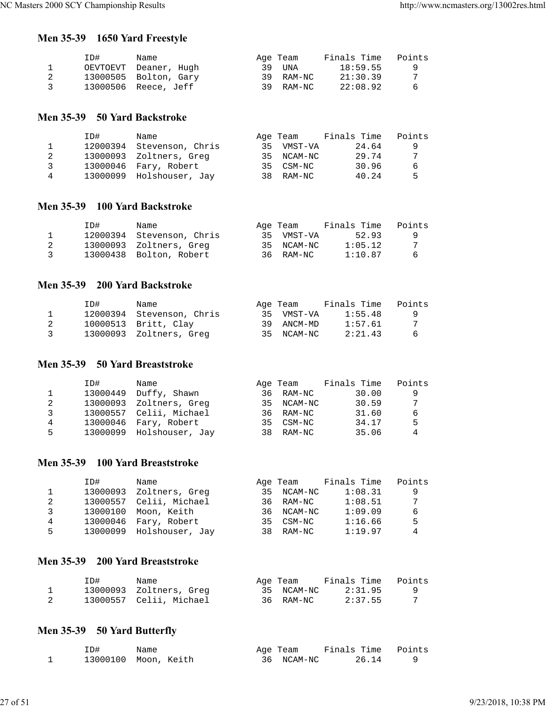## **Men 35-39 1650 Yard Freestyle**

|                | ID# | Name                  | Age Team  | Finals Time | Points |
|----------------|-----|-----------------------|-----------|-------------|--------|
|                |     | OEVTOEVT Deaner, Hugh | 39 UNA    | 18:59.55    | - 9    |
|                |     | 13000505 Bolton, Gary | 39 RAM-NC | 21:30.39    |        |
| $\overline{3}$ |     | 13000506 Reece, Jeff  | 39 RAM-NC | 22:08.92    | -6     |

#### **Men 35-39 50 Yard Backstroke**

|   | TD# | Name                      |     | Age Team   | Finals Time | Points |
|---|-----|---------------------------|-----|------------|-------------|--------|
|   |     | 12000394 Stevenson, Chris | 35  | VMST-VA    | 24.64       | 9      |
|   |     | 13000093 Zoltners, Greg   |     | 35 NCAM-NC | 29.74       | 7      |
| ર |     | 13000046 Fary, Robert     |     | 35 CSM-NC  | 30.96       | 6      |
| 4 |     | 13000099 Holshouser, Jay  | 38. | RAM-NC     | 40.24       | Б.     |

#### **Men 35-39 100 Yard Backstroke**

|    | ID# | Name                      | Age Team   | Finals Time | Points |
|----|-----|---------------------------|------------|-------------|--------|
|    |     | 12000394 Stevenson, Chris | 35 VMST-VA | 52.93       | - 9    |
|    |     | 13000093 Zoltners, Greg   | 35 NCAM-NC | 1:05.12     |        |
| ્ર |     | 13000438 Bolton, Robert   | 36 RAM-NC  | 1:10.87     | -6     |

#### **Men 35-39 200 Yard Backstroke**

|    | ID# | Name                      | Age Team   | Finals Time | Points |
|----|-----|---------------------------|------------|-------------|--------|
|    |     | 12000394 Stevenson, Chris | 35 VMST-VA | 1:55.48     |        |
|    |     | 10000513 Britt, Clay      | 39 ANCM-MD | 1:57.61     |        |
| ્ર |     | 13000093 Zoltners, Greg   | 35 NCAM-NC | 2:21.43     | 6      |

#### **Men 35-39 50 Yard Breaststroke**

|   | ID#      | Name                     |    | Age Team   | Finals Time | Points |
|---|----------|--------------------------|----|------------|-------------|--------|
|   | 13000449 | Duffy, Shawn             | 36 | RAM-NC     | 30.00       | q      |
| 2 |          | 13000093 Zoltners, Greg  |    | 35 NCAM-NC | 30.59       | 7      |
| 3 |          | 13000557 Celii, Michael  |    | 36 RAM-NC  | 31.60       | 6      |
| 4 |          | 13000046 Fary, Robert    |    | 35 CSM-NC  | 34.17       | 5      |
| 5 |          | 13000099 Holshouser, Jay |    | 38 RAM-NC  | 35.06       | 4      |

### **Men 35-39 100 Yard Breaststroke**

|   | ID#      | Name                     | Age Team   | Finals Time | Points |
|---|----------|--------------------------|------------|-------------|--------|
|   | 13000093 | Zoltners, Greg           | 35 NCAM-NC | 1:08.31     | 9      |
| 2 |          | 13000557 Celii, Michael  | 36 RAM-NC  | 1:08.51     | 7      |
| 3 | 13000100 | Moon, Keith              | 36 NCAM-NC | 1:09.09     | 6      |
| 4 |          | 13000046 Fary, Robert    | 35 CSM-NC  | 1:16.66     | .5     |
| 5 |          | 13000099 Holshouser, Jay | 38 RAM-NC  | 1:19.97     | 4      |
|   |          |                          |            |             |        |

## **Men 35-39 200 Yard Breaststroke**

| ID# | Name                    | Age Team   | Finals Time | Points |
|-----|-------------------------|------------|-------------|--------|
|     | 13000093 Zoltners, Greg | 35 NCAM-NC | 2:31.95     |        |
|     | 13000557 Celii, Michael | 36 RAM-NC  | 2:37.55     |        |

## **Men 35-39 50 Yard Butterfly**

| ID# | Name                 | Age Team   | Finals Time Points |  |
|-----|----------------------|------------|--------------------|--|
|     | 13000100 Moon, Keith | 36 NCAM-NC | 26.14              |  |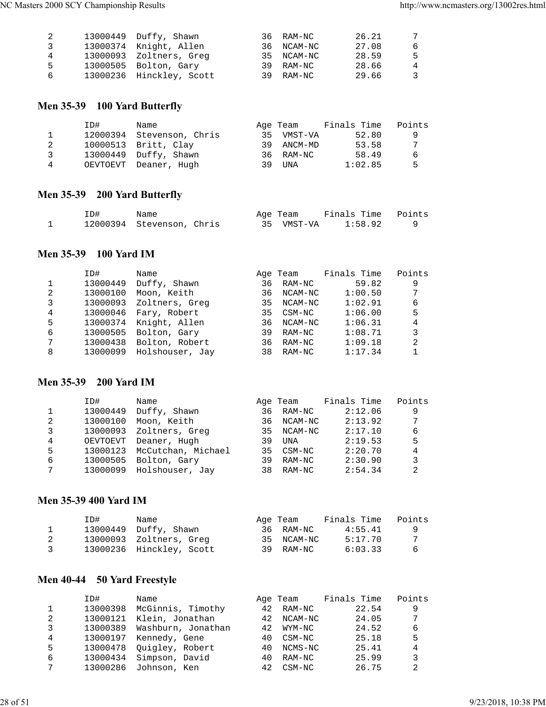|    | 13000449 Duffy, Shawn    | 36 RAM-NC  | 26.21 | -7 |
|----|--------------------------|------------|-------|----|
| 3  | 13000374 Knight, Allen   | 36 NCAM-NC | 27.08 | -6 |
| 4  | 13000093 Zoltners, Greg  | 35 NCAM-NC | 28.59 | -5 |
| -5 | 13000505 Bolton, Gary    | 39 RAM-NC  | 28.66 | 4  |
| 6  | 13000236 Hinckley, Scott | 39 RAM-NC  | 29.66 | -3 |

## **Men 35-39 100 Yard Butterfly**

|   | ID# | Name                      |    | Age Team  | Finals Time | Points |
|---|-----|---------------------------|----|-----------|-------------|--------|
|   |     | 12000394 Stevenson, Chris | २५ | VMST-VA   | 52.80       | 9      |
|   |     | 10000513 Britt, Clay      | 39 | ANCM-MD   | 53.58       | 7      |
| २ |     | 13000449 Duffy, Shawn     |    | 36 RAM-NC | 58.49       | 6      |
| 4 |     | OEVTOEVT Deaner, Hugh     | 39 | UNA       | 1:02.85     | 5      |

## **Men 35-39 200 Yard Butterfly**

| ID# | Name                      |  | Age Team   | Finals Time Points |  |
|-----|---------------------------|--|------------|--------------------|--|
|     | 12000394 Stevenson, Chris |  | 35 VMST-VA | 1:58.92            |  |

## **Men 35-39 100 Yard IM**

|   | ID#      | Name            |    | Age Team | Finals Time | Points |
|---|----------|-----------------|----|----------|-------------|--------|
| 1 | 13000449 | Duffy, Shawn    | 36 | RAM-NC   | 59.82       | 9      |
| 2 | 13000100 | Moon, Keith     | 36 | NCAM-NC  | 1:00.50     | 7      |
| 3 | 13000093 | Zoltners, Greg  | 35 | NCAM-NC  | 1:02.91     | 6      |
| 4 | 13000046 | Fary, Robert    | 35 | CSM-NC   | 1:06.00     | 5      |
| 5 | 13000374 | Knight, Allen   | 36 | NCAM-NC  | 1:06.31     | 4      |
| 6 | 13000505 | Bolton, Gary    | 39 | RAM-NC   | 1:08.71     | 3      |
| 7 | 13000438 | Bolton, Robert  | 36 | RAM-NC   | 1:09.18     | 2      |
| 8 | 13000099 | Holshouser, Jay | 38 | RAM-NC   | 1:17.34     |        |

#### **Men 35-39 200 Yard IM**

|   | ID#      | Name               |     | Age Team   | Finals Time | Points |
|---|----------|--------------------|-----|------------|-------------|--------|
|   | 13000449 | Duffy, Shawn       | 36  | RAM-NC     | 2:12.06     | 9      |
| 2 | 13000100 | Moon, Keith        | 36. | NCAM-NC    | 2:13.92     | 7      |
| 3 | 13000093 | Zoltners, Greg     | 35  | NCAM-NC    | 2:17.10     | 6      |
| 4 | OEVTOEVT | Deaner, Hugh       | 39  | <b>UNA</b> | 2:19.53     | 5      |
| 5 | 13000123 | McCutchan, Michael | 35  | CSM-NC     | 2:20.70     | 4      |
| 6 | 13000505 | Bolton, Gary       | 39  | RAM-NC     | 2:30.90     | 3      |
| 7 | 13000099 | Holshouser, Jay    | 38  | RAM-NC     | 2:54.34     | 2      |

#### **Men 35-39 400 Yard IM**

|                | ID# | Name                     | Age Team   | Finals Time | Points   |
|----------------|-----|--------------------------|------------|-------------|----------|
|                |     | 13000449 Duffy, Shawn    | 36 RAM-NC  | 4:55.41     | <u>g</u> |
|                |     | 13000093 Zoltners, Greg  | 35 NCAM-NC | 5:17.70     |          |
| $\overline{3}$ |     | 13000236 Hinckley, Scott | 39 RAM-NC  | 6:03.33     | - 6      |

## **Men 40-44 50 Yard Freestyle**

|   | ID#      | Name               |     | Age Team | Finals Time | Points |
|---|----------|--------------------|-----|----------|-------------|--------|
|   | 13000398 | McGinnis, Timothy  | 42  | RAM-NC   | 22.54       | 9      |
| 2 | 13000121 | Klein, Jonathan    | 42  | NCAM-NC  | 24.05       | 7      |
| 3 | 13000389 | Washburn, Jonathan | 42  | WYM-NC   | 24.52       | 6      |
| 4 | 13000197 | Kennedy, Gene      | 4 O | CSM-NC   | 25.18       | 5      |
| 5 | 13000478 | Quigley, Robert    | 4 Q | NCMS-NC  | 25.41       | 4      |
| 6 | 13000434 | Simpson, David     | 40  | RAM-NC   | 25.99       | 3      |
| 7 | 13000286 | Johnson, Ken       | 42  | $CSM-NC$ | 26.75       |        |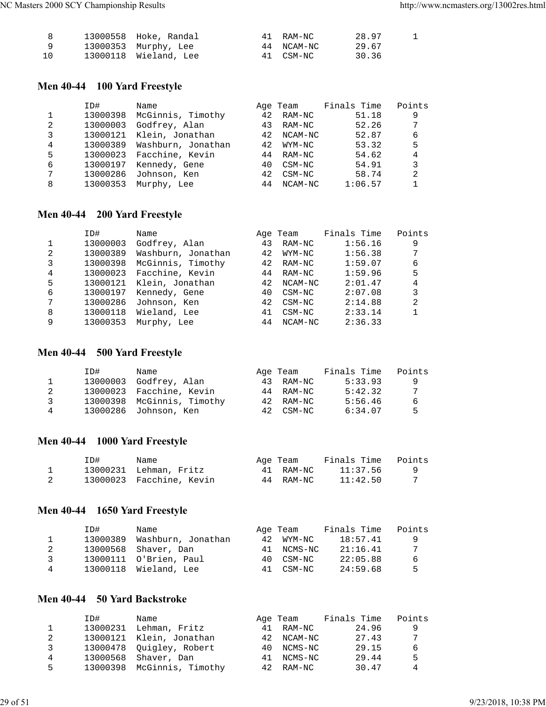|          | 13000558 Hoke, Randal | 41 RAM-NC  | 28.97 |  |
|----------|-----------------------|------------|-------|--|
| <b>Q</b> | 13000353 Murphy, Lee  | 44 NCAM-NC | 29.67 |  |
| 10       | 13000118 Wieland, Lee | 41 CSM-NC  | 30.36 |  |

## **Men 40-44 100 Yard Freestyle**

|   | ID#      | Name               |    | Age Team | Finals Time | Points |
|---|----------|--------------------|----|----------|-------------|--------|
|   | 13000398 | McGinnis, Timothy  | 42 | RAM-NC   | 51.18       | 9      |
| 2 | 13000003 | Godfrey, Alan      | 43 | RAM-NC   | 52.26       | 7      |
| 3 | 13000121 | Klein, Jonathan    | 42 | NCAM-NC  | 52.87       | 6      |
| 4 | 13000389 | Washburn, Jonathan | 42 | WYM-NC   | 53.32       | 5      |
| 5 | 13000023 | Facchine, Kevin    | 44 | RAM-NC   | 54.62       | 4      |
| 6 | 13000197 | Kennedy, Gene      | 40 | CSM-NC   | 54.91       | 3      |
| 7 | 13000286 | Johnson, Ken       | 42 | CSM-NC   | 58.74       | 2      |
| 8 | 13000353 | Murphy, Lee        | 44 | NCAM-NC  | 1:06.57     |        |

## **Men 40-44 200 Yard Freestyle**

| ID#      | Name               |    |        | Finals Time | Points             |
|----------|--------------------|----|--------|-------------|--------------------|
| 13000003 | Godfrey, Alan      | 43 | RAM-NC | 1:56.16     | 9                  |
| 13000389 | Washburn, Jonathan | 42 | WYM-NC | 1:56.38     | 7                  |
| 13000398 | McGinnis, Timothy  | 42 | RAM-NC | 1:59.07     | 6                  |
| 13000023 | Facchine, Kevin    | 44 | RAM-NC | 1:59.96     | 5                  |
| 13000121 | Klein, Jonathan    | 42 |        | 2:01.47     | 4                  |
| 13000197 | Kennedy, Gene      | 40 | CSM-NC | 2:07.08     | 3                  |
| 13000286 | Johnson, Ken       | 42 | CSM-NC | 2:14.88     | 2                  |
| 13000118 | Wieland, Lee       | 41 | CSM-NC | 2:33.14     |                    |
| 13000353 | Murphy, Lee        | 44 |        | 2:36.33     |                    |
|          |                    |    |        | Age Team    | NCAM-NC<br>NCAM-NC |

## **Men 40-44 500 Yard Freestyle**

|   | ID# | Name                       | Age Team  | Finals Time | Points |
|---|-----|----------------------------|-----------|-------------|--------|
|   |     | 13000003 Godfrey, Alan     | 43 RAM-NC | 5:33.93     | -9     |
|   |     | 13000023 Facchine, Kevin   | 44 RAM-NC | 5:42.32     | -7     |
| ર |     | 13000398 McGinnis, Timothy | 42 RAM-NC | 5:56.46     | 6      |
| 4 |     | 13000286 Johnson, Ken      | 42 CSM-NC | 6:34.07     | Б.     |

## **Men 40-44 1000 Yard Freestyle**

| ID# | Name                     | Aqe Team  | Finals Time | Points |
|-----|--------------------------|-----------|-------------|--------|
|     | 13000231 Lehman, Fritz   | 41 RAM-NC | 11:37.56    |        |
|     | 13000023 Facchine, Kevin | 44 RAM-NC | 11:42.50    |        |

## **Men 40-44 1650 Yard Freestyle**

|               | ID#      | Name                   |     | Age Team  | Finals Time | Points |
|---------------|----------|------------------------|-----|-----------|-------------|--------|
|               | 13000389 | Washburn, Jonathan     | 42. | WYM-NC    | 18:57.41    | q      |
|               | 13000568 | Shaver, Dan            | 41  | NCMS-NC   | 21:16.41    | 7      |
| $\mathcal{R}$ |          | 13000111 O'Brien, Paul |     | 40 CSM-NC | 22:05.88    | 6      |
| 4             |          | 13000118 Wieland, Lee  | 41  | CSM-NC    | 24:59.68    | 5      |

## **Men 40-44 50 Yard Backstroke**

|   | ID#      | Name                       |     | Age Team   | Finals Time | Points |
|---|----------|----------------------------|-----|------------|-------------|--------|
|   | 13000231 | Lehman, Fritz              | 41  | RAM-NC     | 24.96       | 9      |
| 2 |          | 13000121 Klein, Jonathan   |     | 42 NCAM-NC | 27.43       | 7      |
| 3 |          | 13000478 Ouigley, Robert   | 4 O | NCMS-NC    | 29.15       | 6      |
| 4 | 13000568 | Shaver, Dan                | 41  | NCMS-NC    | 29.44       | .5     |
| 5 |          | 13000398 McGinnis, Timothy | 42  | RAM-NC     | 30.47       | 4      |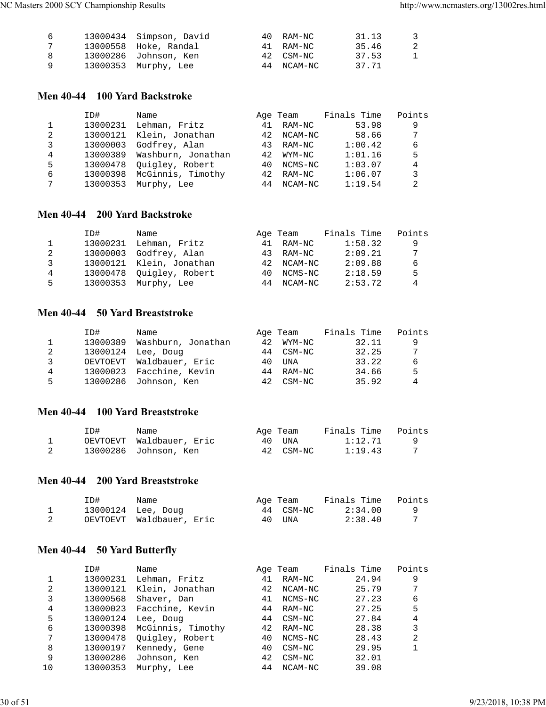| 6   | 13000434 Simpson, David | 40 RAM-NC  | 31.13 | -3 |
|-----|-------------------------|------------|-------|----|
| 7   | 13000558 Hoke, Randal   | 41 RAM-NC  | 35.46 | -2 |
| - 8 | 13000286 Johnson, Ken   | 42 CSM-NC  | 37.53 | 1  |
| - Q | 13000353 Murphy, Lee    | 44 NCAM-NC | 37.71 |    |

#### **Men 40-44 100 Yard Backstroke**

|   | ID#      | Name               |    | Age Team | Finals Time | Points |
|---|----------|--------------------|----|----------|-------------|--------|
| 1 | 13000231 | Lehman, Fritz      | 41 | RAM-NC   | 53.98       | 9      |
| 2 | 13000121 | Klein, Jonathan    | 42 | NCAM-NC  | 58.66       | 7      |
| 3 | 13000003 | Godfrey, Alan      | 43 | RAM-NC   | 1:00.42     | 6      |
| 4 | 13000389 | Washburn, Jonathan | 42 | WYM-NC   | 1:01.16     | 5      |
| 5 | 13000478 | Ouigley, Robert    | 40 | NCMS-NC  | 1:03.07     | 4      |
| 6 | 13000398 | McGinnis, Timothy  | 42 | RAM-NC   | 1:06.07     | 3      |
| 7 | 13000353 | Murphy, Lee        | 44 | NCAM-NC  | 1:19.54     | 2      |

## **Men 40-44 200 Yard Backstroke**

|    | ID#      | Name                     |    | Age Team   | Finals Time | Points |
|----|----------|--------------------------|----|------------|-------------|--------|
|    |          | 13000231 Lehman, Fritz   | 41 | RAM-NC     | 1:58.32     | 9      |
| 2  |          | 13000003 Godfrey, Alan   | 43 | RAM-NC     | 2:09.21     | 7      |
| 3  |          | 13000121 Klein, Jonathan |    | 42 NCAM-NC | 2:09.88     | 6      |
| 4  |          | 13000478 Ouigley, Robert | 40 | NCMS-NC    | 2:18.59     | .5     |
| 5. | 13000353 | Murphy, Lee              | 44 | NCAM-NC    | 2:53.72     | 4      |

### **Men 40-44 50 Yard Breaststroke**

|    | ID#      | Name                     |     | Age Team  | Finals Time | Points |
|----|----------|--------------------------|-----|-----------|-------------|--------|
|    | 13000389 | Washburn, Jonathan       | 42  | WYM-NC    | 32.11       | 9      |
| 2  |          | 13000124 Lee, Doug       |     | 44 CSM-NC | 32.25       | 7      |
| 3  |          | OEVTOEVT Waldbauer, Eric | 4 O | UNA       | 33.22       | 6      |
| 4  |          | 13000023 Facchine, Kevin | 44  | RAM-NC    | 34.66       | 5      |
| 5. |          | 13000286 Johnson, Ken    | 42  | CSM-NC    | 35.92       | 4      |

#### **Men 40-44 100 Yard Breaststroke**

| ID# | Name                     | Age Team  | Finals Time | Points |
|-----|--------------------------|-----------|-------------|--------|
|     | OEVTOEVT Waldbauer, Eric | 40 UNA    | 1:12.71     |        |
|     | 13000286 Johnson, Ken    | 42 CSM-NC | 1:19.43     |        |

## **Men 40-44 200 Yard Breaststroke**

| ID# | Name                     | Age Team  | Finals Time | Points |
|-----|--------------------------|-----------|-------------|--------|
|     | 13000124 Lee, Doug       | 44 CSM-NC | 2:34.00     |        |
|     | OEVTOEVT Waldbauer, Eric | 40 UNA    | 2:38.40     |        |

## **Men 40-44 50 Yard Butterfly**

|    | ID#      | Name              |    | Age Team | Finals Time | Points       |
|----|----------|-------------------|----|----------|-------------|--------------|
|    | 13000231 | Lehman, Fritz     | 41 | RAM-NC   | 24.94       | 9            |
| 2  | 13000121 | Klein, Jonathan   | 42 | NCAM-NC  | 25.79       | 7            |
| 3  | 13000568 | Shaver, Dan       | 41 | NCMS-NC  | 27.23       | 6            |
| 4  | 13000023 | Facchine, Kevin   | 44 | RAM-NC   | 27.25       | 5            |
| 5  | 13000124 | Lee, Doug         | 44 | $CSM-NC$ | 27.84       | 4            |
| 6  | 13000398 | McGinnis, Timothy | 42 | RAM-NC   | 28.38       | 3            |
| 7  | 13000478 | Quigley, Robert   | 40 | NCMS-NC  | 28.43       | 2            |
| 8  | 13000197 | Kennedy, Gene     | 40 | $CSM-NC$ | 29.95       | $\mathbf{1}$ |
| 9  | 13000286 | Johnson, Ken      | 42 | CSM-NC   | 32.01       |              |
| 10 | 13000353 | Murphy, Lee       | 44 | NCAM-NC  | 39.08       |              |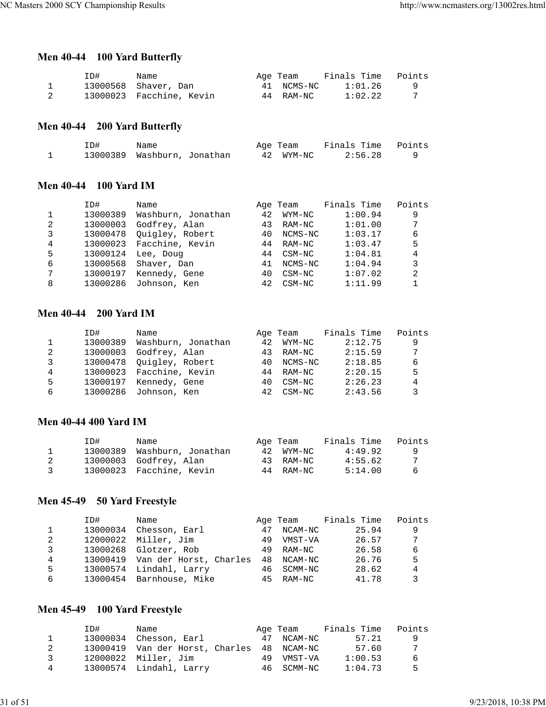## **Men 40-44 100 Yard Butterfly**

| ID# | Name                     | Age Team   | Finals Time | Points |
|-----|--------------------------|------------|-------------|--------|
|     | 13000568 Shaver, Dan     | 41 NCMS-NC | 1:01.26     |        |
|     | 13000023 Facchine, Kevin | 44 RAM-NC  | 1:02.22     |        |

## **Men 40-44 200 Yard Butterfly**

| ID# | Name                        |  | Age Team  | Finals Time Points |         |  |
|-----|-----------------------------|--|-----------|--------------------|---------|--|
|     | 13000389 Washburn, Jonathan |  | 42 WYM-NC |                    | 2:56.28 |  |

#### **Men 40-44 100 Yard IM**

|   | ID#      | Name               |    | Age Team | Finals Time | Points |
|---|----------|--------------------|----|----------|-------------|--------|
| 1 | 13000389 | Washburn, Jonathan | 42 | WYM-NC   | 1:00.94     | 9      |
| 2 | 13000003 | Godfrey, Alan      | 43 | RAM-NC   | 1:01.00     | 7      |
| 3 | 13000478 | Quigley, Robert    | 40 | NCMS-NC  | 1:03.17     | 6      |
| 4 | 13000023 | Facchine, Kevin    | 44 | RAM-NC   | 1:03.47     | 5      |
| 5 | 13000124 | Lee, Doug          | 44 | CSM-NC   | 1:04.81     | 4      |
| 6 | 13000568 | Shaver, Dan        | 41 | NCMS-NC  | 1:04.94     | 3      |
| 7 | 13000197 | Kennedy, Gene      | 40 | CSM-NC   | 1:07.02     | 2      |
| 8 | 13000286 | Johnson, Ken       | 42 | $CSM-NC$ | 1:11.99     |        |

#### **Men 40-44 200 Yard IM**

|   | ID#      | Name                     |     | Age Team | Finals Time | Points |
|---|----------|--------------------------|-----|----------|-------------|--------|
|   | 13000389 | Washburn, Jonathan       | 42  | WYM-NC   | 2:12.75     | 9      |
| 2 | 13000003 | Godfrey, Alan            | 43. | RAM-NC   | 2:15.59     | 7      |
| 3 |          | 13000478 Ouigley, Robert | 4 O | NCMS-NC  | 2:18.85     | 6      |
| 4 |          | 13000023 Facchine, Kevin | 44  | RAM-NC   | 2:20.15     | 5      |
| 5 | 13000197 | Kennedy, Gene            | 4 O | CSM-NC   | 2:26.23     | 4      |
| 6 |          | 13000286 Johnson, Ken    | 42. | CSM-NC   | 2:43.56     | 3      |

#### **Men 40-44 400 Yard IM**

|               | ID# | Name                        | Age Team  | Finals Time | Points   |
|---------------|-----|-----------------------------|-----------|-------------|----------|
|               |     | 13000389 Washburn, Jonathan | 42 WYM-NC | 4:49.92     | <b>q</b> |
|               |     | 13000003 Godfrey, Alan      | 43 RAM-NC | 4:55.62     | -7       |
| $\mathcal{R}$ |     | 13000023 Facchine, Kevin    | 44 RAM-NC | 5:14.00     | -6       |

## **Men 45-49 50 Yard Freestyle**

|   | ID#      | Name                            |    |            | Age Team Finals Time | Points |
|---|----------|---------------------------------|----|------------|----------------------|--------|
|   | 13000034 | Chesson, Earl                   | 47 | NCAM-NC    | 25.94                | 9      |
| 2 |          | 12000022 Miller, Jim            | 49 | VMST-VA    | 26.57                | 7      |
| 3 |          | 13000268 Glotzer, Rob           |    | 49 RAM-NC  | 26.58                | 6      |
| 4 |          | 13000419 Van der Horst, Charles |    | 48 NCAM-NC | 26.76                | 5      |
| 5 |          | 13000574 Lindahl, Larry         |    | 46 SCMM-NC | 28.62                | 4      |
| 6 |          | 13000454 Barnhouse, Mike        |    | 45 RAM-NC  | 41.78                | 3      |

## **Men 45-49 100 Yard Freestyle**

|   | ID# | Name                            |    | Age Team   | Finals Time | Points |
|---|-----|---------------------------------|----|------------|-------------|--------|
|   |     | 13000034 Chesson, Earl          |    | 47 NCAM-NC | 57.21       | q      |
|   |     | 13000419 Van der Horst, Charles |    | 48 NCAM-NC | 57.60       | 7      |
| ર |     | 12000022 Miller, Jim            | 49 | VMST-VA    | 1:00.53     | 6      |
| 4 |     | 13000574 Lindahl, Larry         |    | 46 SCMM-NC | 1:04.73     | Б.     |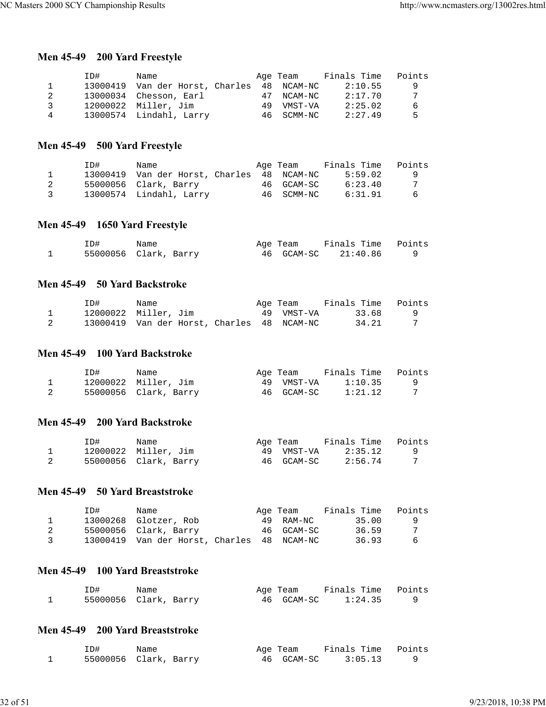## **Men 45-49 200 Yard Freestyle**

|   | TD#      | Name                    |    | Age Team   | Finals Time | Points |
|---|----------|-------------------------|----|------------|-------------|--------|
|   | 13000419 | Van der Horst, Charles  |    | 48 NCAM-NC | 2:10.55     | -9     |
|   |          | 13000034 Chesson, Earl  | 47 | NCAM-NC    | 2:17.70     | 7      |
| २ |          | 12000022 Miller, Jim    | 49 | VMST-VA    | 2:25.02     | -6     |
| 4 |          | 13000574 Lindahl, Larry |    | 46 SCMM-NC | 2:27.49     | 5      |

## **Men 45-49 500 Yard Freestyle**

|               | TD#. | Name                                       | Age Team   | Finals Time | Points   |
|---------------|------|--------------------------------------------|------------|-------------|----------|
|               |      | 13000419 Van der Horst, Charles 48 NCAM-NC |            | 5:59.02     | <b>Q</b> |
|               |      | 55000056 Clark, Barry                      | 46 GCAM-SC | 6:23.40     |          |
| $\mathcal{R}$ |      | 13000574 Lindahl, Larry                    | 46 SCMM-NC | 6:31.91     | -6       |

#### **Men 45-49 1650 Yard Freestyle**

| ID# | Name                  | Age Team   | Finals Time Points |  |
|-----|-----------------------|------------|--------------------|--|
|     | 55000056 Clark, Barry | 46 GCAM-SC | 21:40.86           |  |

#### **Men 45-49 50 Yard Backstroke**

| ID# | Name                                       | Age Team   | Finals Time Points |  |
|-----|--------------------------------------------|------------|--------------------|--|
|     | 12000022 Miller, Jim                       | 49 VMST-VA | 33.68              |  |
|     | 13000419 Van der Horst, Charles 48 NCAM-NC |            | 34.21              |  |

#### **Men 45-49 100 Yard Backstroke**

| ID# | Name                  | Age Team   | Finals Time | Points |
|-----|-----------------------|------------|-------------|--------|
|     | 12000022 Miller, Jim  | 49 VMST-VA | 1:10.35     |        |
|     | 55000056 Clark, Barry | 46 GCAM-SC | 1:21.12     |        |

#### **Men 45-49 200 Yard Backstroke**

| ID# | Name                  | Age Team   | Finals Time | Points |
|-----|-----------------------|------------|-------------|--------|
|     | 12000022 Miller, Jim  | 49 VMST-VA | 2:35.12     |        |
|     | 55000056 Clark, Barry | 46 GCAM-SC | 2:56.74     |        |

#### **Men 45-49 50 Yard Breaststroke**

|               | ID# | Name                                       | Age Team   | Finals Time | Points   |
|---------------|-----|--------------------------------------------|------------|-------------|----------|
|               |     | 13000268 Glotzer, Rob                      | 49 RAM-NC  | 35.00       |          |
|               |     | 55000056 Clark, Barry                      | 46 GCAM-SC | 36.59       |          |
| $\mathcal{R}$ |     | 13000419 Van der Horst, Charles 48 NCAM-NC |            | 36.93       | <b>6</b> |

#### **Men 45-49 100 Yard Breaststroke**

| ID# | Name                  | Age Team   | Finals Time Points |  |
|-----|-----------------------|------------|--------------------|--|
|     | 55000056 Clark, Barry | 46 GCAM-SC | 1:24.35            |  |

#### **Men 45-49 200 Yard Breaststroke**

| ID# | Name                  | Age Team   | Finals Time Points |  |
|-----|-----------------------|------------|--------------------|--|
|     | 55000056 Clark, Barry | 46 GCAM-SC | 3:05.13            |  |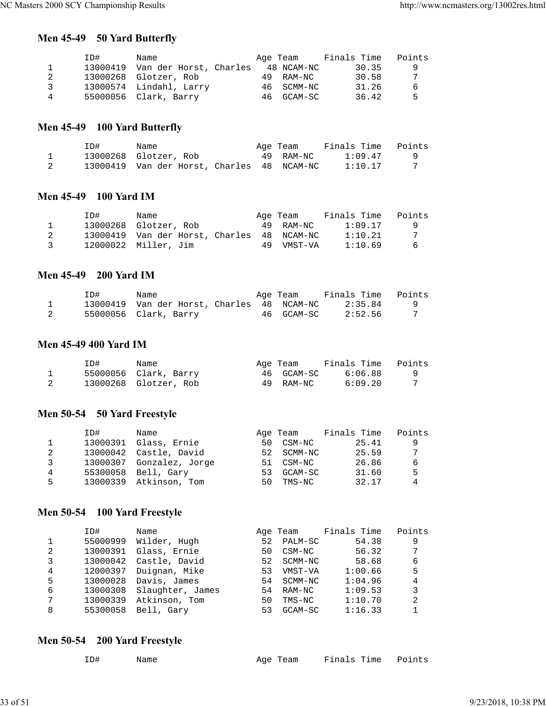## **Men 45-49 50 Yard Butterfly**

|   | TD#      | Name                    | Age Team   | Finals Time | Points |
|---|----------|-------------------------|------------|-------------|--------|
|   | 13000419 | Van der Horst, Charles  | 48 NCAM-NC | 30.35       | -9     |
|   |          | 13000268 Glotzer, Rob   | 49 RAM-NC  | 30.58       | 7      |
| ર |          | 13000574 Lindahl, Larry | 46 SCMM-NC | 31.26       | 6      |
| 4 |          | 55000056 Clark, Barry   | 46 GCAM-SC | 36.42       | 5      |

## **Men 45-49 100 Yard Butterfly**

| ID# | Name                                       | Age Team  | Finals Time Points |  |
|-----|--------------------------------------------|-----------|--------------------|--|
|     | 13000268 Glotzer, Rob                      | 49 RAM-NC | 1:09.47            |  |
|     | 13000419 Van der Horst, Charles 48 NCAM-NC |           | 1:10.17            |  |

#### **Men 45-49 100 Yard IM**

|               | TD# | Name                                       | Age Team   | Finals Time | Points |
|---------------|-----|--------------------------------------------|------------|-------------|--------|
|               |     | 13000268 Glotzer, Rob                      | 49 RAM-NC  | 1:09.17     | - Q    |
| 2             |     | 13000419 Van der Horst, Charles 48 NCAM-NC |            | 1:10.21     | 7      |
| $\mathcal{R}$ |     | 12000022 Miller, Jim                       | 49 VMST-VA | 1:10.69     | -6     |

#### **Men 45-49 200 Yard IM**

| ID# | Name                                       | Age Team   | Finals Time Points |  |
|-----|--------------------------------------------|------------|--------------------|--|
|     | 13000419 Van der Horst, Charles 48 NCAM-NC |            | 2:35.84            |  |
|     | 55000056 Clark, Barry                      | 46 GCAM-SC | 2:52.56            |  |

#### **Men 45-49 400 Yard IM**

| ID# | Name                  | Age Team   | Finals Time | Points |
|-----|-----------------------|------------|-------------|--------|
|     | 55000056 Clark, Barry | 46 GCAM-SC | 6:06.88     |        |
|     | 13000268 Glotzer, Rob | 49 RAM-NC  | 6:09.20     |        |

## **Men 50-54 50 Yard Freestyle**

|   | ID#      | Name                   |     | Age Team | Finals Time | Points |
|---|----------|------------------------|-----|----------|-------------|--------|
|   | 13000391 | Glass, Ernie           | 50  | CSM-NC   | 25.41       | 9      |
| 2 |          | 13000042 Castle, David | 52. | SCMM-NC  | 25.59       | 7      |
| २ | 13000307 | Gonzalez, Jorge        | 51  | CSM-NC   | 26.86       | 6      |
| 4 | 55300058 | Bell, Gary             | 53  | GCAM-SC  | 31.60       | 5      |
| 5 |          | 13000339 Atkinson, Tom | 50  | TMS-NC   | 32.17       | 4      |

## **Men 50-54 100 Yard Freestyle**

|    | ID#      | Name             |    | Age Team | Finals Time | Points |
|----|----------|------------------|----|----------|-------------|--------|
| 1. | 55000999 | Wilder, Hugh     | 52 | PALM-SC  | 54.38       | 9      |
| 2  | 13000391 | Glass, Ernie     | 50 | CSM-NC   | 56.32       | 7      |
| 3  | 13000042 | Castle, David    | 52 | SCMM-NC  | 58.68       | 6      |
| 4  | 12000397 | Duignan, Mike    | 53 | VMST-VA  | 1:00.66     | 5      |
| 5  | 13000028 | Davis, James     | 54 | SCMM-NC  | 1:04.96     | 4      |
| 6  | 13000308 | Slaughter, James | 54 | RAM-NC   | 1:09.53     | 3      |
| 7  | 13000339 | Atkinson, Tom    | 50 | TMS-NC   | 1:10.70     | 2      |
| 8  | 55300058 | Bell, Gary       | 53 | GCAM-SC  | 1:16.33     |        |

## **Men 50-54 200 Yard Freestyle**

| ID# | Name |  |  | Age Team Finals Time Points |  |
|-----|------|--|--|-----------------------------|--|
|-----|------|--|--|-----------------------------|--|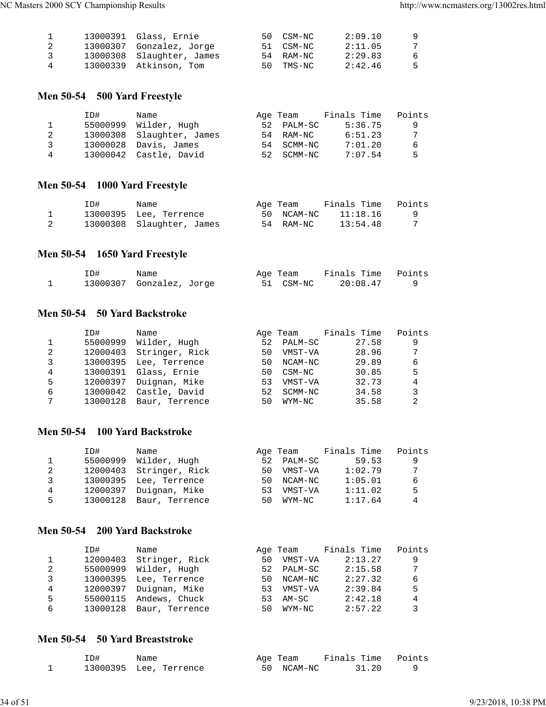|    | 13000391 Glass, Ernie     | 50 CSM-NC | 2:09.10 | - 9 |
|----|---------------------------|-----------|---------|-----|
| -2 | 13000307 Gonzalez, Jorge  | 51 CSM-NC | 2:11.05 | -7  |
| -3 | 13000308 Slaughter, James | 54 RAM-NC | 2:29.83 | -6  |
| 4  | 13000339 Atkinson, Tom    | 50 TMS-NC | 2:42.46 | -5  |

## **Men 50-54 500 Yard Freestyle**

|   | TD# | Name                      | Age Team   | Finals Time | Points |
|---|-----|---------------------------|------------|-------------|--------|
|   |     | 55000999 Wilder, Hugh     | 52 PALM-SC | 5:36.75     | -9     |
|   |     | 13000308 Slaughter, James | 54 RAM-NC  | 6:51.23     | 7      |
| २ |     | 13000028 Davis, James     | 54 SCMM-NC | 7:01.20     | -6     |
| 4 |     | 13000042 Castle, David    | 52 SCMM-NC | 7:07.54     | -5     |

## **Men 50-54 1000 Yard Freestyle**

| ID# | Name                      | Age Team   | Finals Time | Points |
|-----|---------------------------|------------|-------------|--------|
|     | 13000395 Lee, Terrence    | 50 NCAM-NC | 11:18.16    |        |
|     | 13000308 Slaughter, James | 54 RAM-NC  | 13:54.48    |        |

## **Men 50-54 1650 Yard Freestyle**

| ID# | Name                     | Age Team |           | Finals Time Points |  |
|-----|--------------------------|----------|-----------|--------------------|--|
|     | 13000307 Gonzalez, Jorge |          | 51 CSM-NC | 20:08.47           |  |

#### **Men 50-54 50 Yard Backstroke**

|   | ID#      | Name           |    | Age Team | Finals Time | Points          |
|---|----------|----------------|----|----------|-------------|-----------------|
|   | 55000999 | Wilder, Hugh   | 52 | PALM-SC  | 27.58       | 9               |
| 2 | 12000403 | Stringer, Rick | 50 | VMST-VA  | 28.96       | $7\overline{ }$ |
| 3 | 13000395 | Lee, Terrence  | 50 | NCAM-NC  | 29.89       | 6               |
| 4 | 13000391 | Glass, Ernie   | 50 | CSM-NC   | 30.85       | 5               |
| 5 | 12000397 | Duignan, Mike  | 53 | VMST-VA  | 32.73       | 4               |
| 6 | 13000042 | Castle, David  | 52 | SCMM-NC  | 34.58       | 3               |
| 7 | 13000128 | Baur, Terrence | 50 | WYM-NC   | 35.58       |                 |

#### **Men 50-54 100 Yard Backstroke**

|   | ID#      | Name                    |     | Age Team | Finals Time | Points |
|---|----------|-------------------------|-----|----------|-------------|--------|
|   | 55000999 | Wilder, Hugh            | 52  | PALM-SC  | 59.53       | 9      |
| 2 |          | 12000403 Stringer, Rick | 50  | VMST-VA  | 1:02.79     | 7      |
| २ | 13000395 | Lee, Terrence           | 50. | NCAM-NC  | 1:05.01     | 6      |
| 4 | 12000397 | Duignan, Mike           | 53  | VMST-VA  | 1:11.02     | -5     |
| 5 | 13000128 | Baur, Terrence          | 50  | WYM-NC   | 1:17.64     | 4      |

## **Men 50-54 200 Yard Backstroke**

|   | ID#      | Name           |    | Age Team   | Finals Time | Points |
|---|----------|----------------|----|------------|-------------|--------|
|   | 12000403 | Stringer, Rick | 50 | VMST-VA    | 2:13.27     | 9      |
| 2 | 55000999 | Wilder, Hugh   |    | 52 PALM-SC | 2:15.58     | 7      |
| 3 | 13000395 | Lee, Terrence  | 50 | NCAM-NC    | 2:27.32     | 6      |
| 4 | 12000397 | Duignan, Mike  | 53 | VMST-VA    | 2:39.84     | 5      |
| 5 | 55000115 | Andews, Chuck  | 53 | AM-SC      | 2:42.18     | 4      |
| 6 | 13000128 | Baur, Terrence | 50 | WYM-NC     | 2:57.22     | 3      |

### **Men 50-54 50 Yard Breaststroke**

| ID# | Name                   | Age Team   | Finals Time Points |  |
|-----|------------------------|------------|--------------------|--|
|     | 13000395 Lee, Terrence | 50 NCAM-NC | 31.20              |  |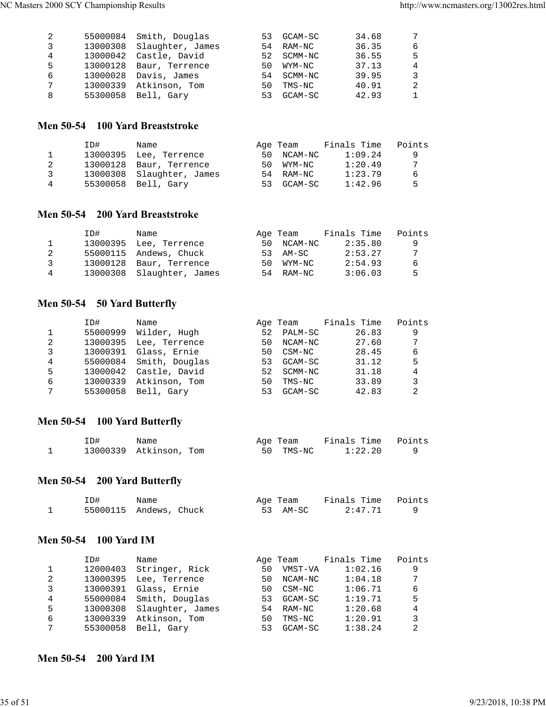| 2 | 55000084 Smith, Douglas   |     | 53 GCAM-SC | 34.68 | 7              |
|---|---------------------------|-----|------------|-------|----------------|
| 3 | 13000308 Slaughter, James |     | 54 RAM-NC  | 36.35 | 6              |
| 4 | 13000042 Castle, David    |     | 52 SCMM-NC | 36.55 | 5              |
| 5 | 13000128 Baur, Terrence   | 50. | WYM-NC     | 37.13 | $\overline{4}$ |
| 6 | 13000028 Davis, James     |     | 54 SCMM-NC | 39.95 | 3              |
| 7 | 13000339 Atkinson, Tom    | 50  | TMS-NC     | 40.91 | -2             |
| 8 | 55300058 Bell, Gary       | 53  | GCAM-SC    | 42.93 | 1              |
|   |                           |     |            |       |                |

#### **Men 50-54 100 Yard Breaststroke**

|              | ID#      | Name                      |        | Age Team  | Finals Time | Points |
|--------------|----------|---------------------------|--------|-----------|-------------|--------|
| $\mathbf{1}$ |          | 13000395 Lee, Terrence    | 50     | NCAM-NC   | 1:09.24     | - 9    |
|              | 13000128 | Baur, Terrence            | 50.    | WYM-NC    | 1:20.49     | 7      |
| ર            |          | 13000308 Slaughter, James |        | 54 RAM-NC | 1:23.79     | 6      |
| 4            | 55300058 | Bell, Garv                | $-5.3$ | GCAM-SC   | 1:42.96     | 5      |

#### **Men 50-54 200 Yard Breaststroke**

|              | TD# | Name                      |    | Age Team  | Finals Time | Points |
|--------------|-----|---------------------------|----|-----------|-------------|--------|
| $\mathbf{1}$ |     | 13000395 Lee, Terrence    | 50 | NCAM-NC   | 2:35.80     | -9     |
|              |     | 55000115 Andews, Chuck    |    | 53 AM-SC  | 2:53.27     | 7      |
| ર            |     | 13000128 Baur, Terrence   | 50 | WYM-NC    | 2:54.93     | -6     |
| 4            |     | 13000308 Slaughter, James |    | 54 RAM-NC | 3:06.03     | -5     |

## **Men 50-54 50 Yard Butterfly**

|   | ID#      | Name           |    | Age Team | Finals Time | Points |
|---|----------|----------------|----|----------|-------------|--------|
|   | 55000999 | Wilder, Hugh   | 52 | PALM-SC  | 26.83       | 9      |
| 2 | 13000395 | Lee, Terrence  | 50 | NCAM-NC  | 27.60       | 7      |
| 3 | 13000391 | Glass, Ernie   | 50 | CSM-NC   | 28.45       | 6      |
| 4 | 55000084 | Smith, Douglas | 53 | GCAM-SC  | 31.12       | 5      |
| 5 | 13000042 | Castle, David  | 52 | SCMM-NC  | 31.18       | 4      |
| 6 | 13000339 | Atkinson, Tom  | 50 | TMS-NC   | 33.89       | 3      |
| 7 | 55300058 | Bell, Gary     | 53 | GCAM-SC  | 42.83       | 2      |

## **Men 50-54 100 Yard Butterfly**

| ID# | Name                   |  | Age Team  | Finals Time Points |  |
|-----|------------------------|--|-----------|--------------------|--|
|     | 13000339 Atkinson, Tom |  | 50 TMS-NC | 1:22.20            |  |

## **Men 50-54 200 Yard Butterfly**

| ID# | Name                   | Age Team | Finals Time Points |  |
|-----|------------------------|----------|--------------------|--|
|     | 55000115 Andews, Chuck | 53 AM-SC | 2:47.71            |  |

#### **Men 50-54 100 Yard IM**

|   | ID#      | Name             |    | Age Team | Finals Time | Points          |
|---|----------|------------------|----|----------|-------------|-----------------|
|   | 12000403 | Stringer, Rick   | 50 | VMST-VA  | 1:02.16     | 9               |
| 2 | 13000395 | Lee, Terrence    | 50 | NCAM-NC  | 1:04.18     | $7\overline{ }$ |
| 3 | 13000391 | Glass, Ernie     | 50 | CSM-NC   | 1:06.71     | 6               |
| 4 | 55000084 | Smith, Douglas   | 53 | GCAM-SC  | 1:19.71     | 5               |
| 5 | 13000308 | Slaughter, James | 54 | RAM-NC   | 1:20.68     | 4               |
| 6 | 13000339 | Atkinson, Tom    | 50 | TMS-NC   | 1:20.91     | 3               |
| 7 | 55300058 | Bell, Gary       | 53 | GCAM-SC  | 1:38.24     | 2               |

#### **Men 50-54 200 Yard IM**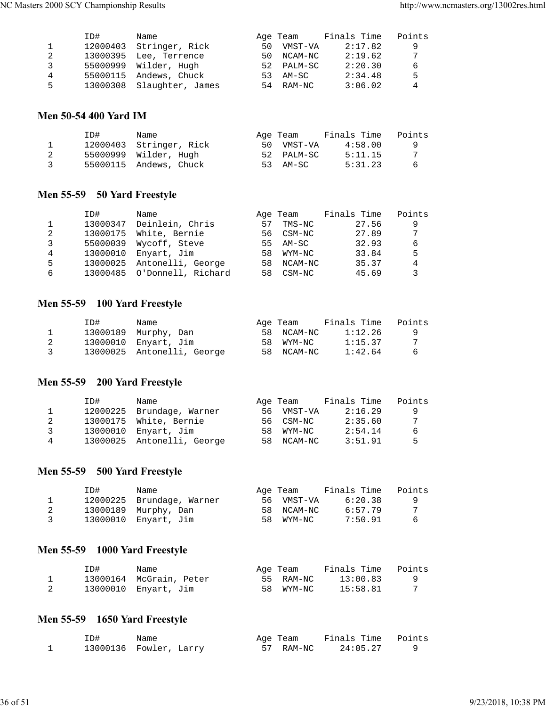|   | ID#      | Name                      |    | Age Team   | Finals Time | Points |
|---|----------|---------------------------|----|------------|-------------|--------|
|   | 12000403 | Stringer, Rick            | 50 | VMST-VA    | 2:17.82     | -9     |
| 2 |          | 13000395 Lee, Terrence    | 50 | NCAM-NC    | 2:19.62     | 7      |
| 3 |          | 55000999 Wilder, Hugh     |    | 52 PALM-SC | 2:20.30     | 6      |
| 4 |          | 55000115 Andews, Chuck    | 53 | AM-SC      | 2:34.48     | 5      |
| 5 |          | 13000308 Slaughter, James |    | 54 RAM-NC  | 3:06.02     | 4      |

#### **Men 50-54 400 Yard IM**

|    | ID# | Name                    | Age Team   | Finals Time | Points |
|----|-----|-------------------------|------------|-------------|--------|
|    |     | 12000403 Stringer, Rick | 50 VMST-VA | 4:58.00     | - 9    |
| -2 |     | 55000999 Wilder, Hugh   | 52 PALM-SC | 5:11.15     | -7     |
| 3  |     | 55000115 Andews, Chuck  | 53 AM-SC   | 5:31.23     | -6     |

## **Men 55-59 50 Yard Freestyle**

|   | ID#      | Name                        |     | Age Team  | Finals Time | Points |
|---|----------|-----------------------------|-----|-----------|-------------|--------|
|   | 13000347 | Deinlein, Chris             | 57  | TMS-NC    | 27.56       | 9      |
| 2 | 13000175 | White, Bernie               |     | 56 CSM-NC | 27.89       | 7      |
|   | 55000039 | Wycoff, Steve               |     | 55 AM-SC  | 32.93       | 6      |
| 4 | 13000010 | Enyart, Jim                 | 58. | WYM-NC    | 33.84       | 5      |
| 5 | 13000025 | Antonelli, George           | 58  | NCAM-NC   | 35.37       | 4      |
| 6 |          | 13000485 O'Donnell, Richard | 58  | CSM-NC    | 45.69       | 3      |
|   |          |                             |     |           |             |        |

## **Men 55-59 100 Yard Freestyle**

|               | ID# | Name                       | Age Team   | Finals Time | Points |
|---------------|-----|----------------------------|------------|-------------|--------|
|               |     | 13000189 Murphy, Dan       | 58 NCAM-NC | 1:12.26     | q      |
|               |     | 13000010 Enyart, Jim       | 58 WYM-NC  | 1:15.37     |        |
| $\mathcal{R}$ |     | 13000025 Antonelli, George | 58 NCAM-NC | 1:42.64     | 6      |

#### **Men 55-59 200 Yard Freestyle**

|   | ID#      | Name                       | Age Team   | Finals Time | Points |
|---|----------|----------------------------|------------|-------------|--------|
|   |          | 12000225 Brundage, Warner  | 56 VMST-VA | 2:16.29     | q      |
|   |          | 13000175 White, Bernie     | 56 CSM-NC  | 2:35.60     | 7      |
| ર | 13000010 | Enyart, Jim                | 58 WYM-NC  | 2:54.14     | 6      |
| 4 |          | 13000025 Antonelli, George | 58 NCAM-NC | 3:51.91     | Б.     |

## **Men 55-59 500 Yard Freestyle**

|   | ID# | Name                      | Age Team   | Finals Time | Points |
|---|-----|---------------------------|------------|-------------|--------|
|   |     | 12000225 Brundage, Warner | 56 VMST-VA | 6:20.38     | - Q    |
|   |     | 13000189 Murphy, Dan      | 58 NCAM-NC | 6:57.79     |        |
| 3 |     | 13000010 Enyart, Jim      | 58 WYM-NC  | 7:50.91     | -6     |

## **Men 55-59 1000 Yard Freestyle**

| ID# | Name                    | Age Team  | Finals Time Points |  |
|-----|-------------------------|-----------|--------------------|--|
|     | 13000164 McGrain, Peter | 55 RAM-NC | 13:00.83           |  |
|     | 13000010 Enyart, Jim    | 58 WYM-NC | 15:58.81           |  |

## **Men 55-59 1650 Yard Freestyle**

| ID# | Name                   | Age Team  | Finals Time Points |  |
|-----|------------------------|-----------|--------------------|--|
|     | 13000136 Fowler, Larry | 57 RAM-NC | 24:05.27           |  |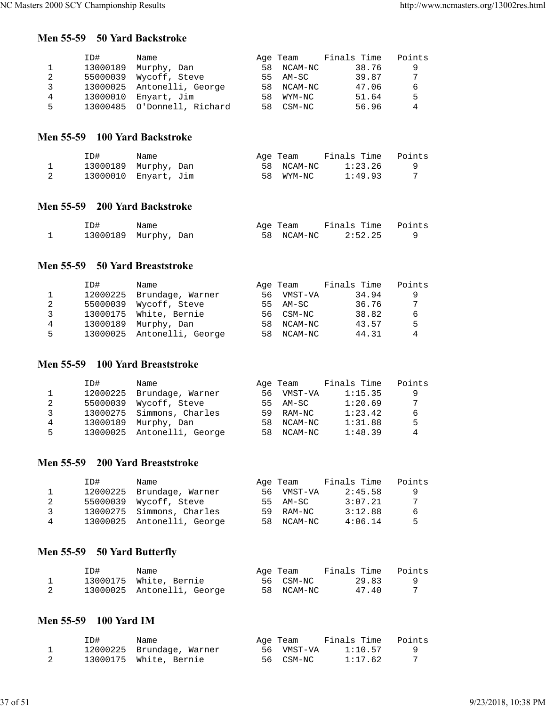#### **Men 55-59 50 Yard Backstroke**

|    | ID#      | Name                        |     | Age Team   | Finals Time | Points |
|----|----------|-----------------------------|-----|------------|-------------|--------|
|    | 13000189 | Murphy, Dan                 | 58  | NCAM-NC    | 38.76       | 9      |
| 2  |          | 55000039 Wycoff, Steve      |     | 55 AM-SC   | 39.87       | 7      |
| 3  |          | 13000025 Antonelli, George  |     | 58 NCAM-NC | 47.06       | 6      |
| 4  | 13000010 | Enyart, Jim                 | 58. | WYM-NC     | 51.64       | .5     |
| 5. |          | 13000485 O'Donnell, Richard | 58. | CSM-NC     | 56.96       | 4      |

#### **Men 55-59 100 Yard Backstroke**

| ID#                  | Name |    | Age Team   | Finals Time | Points |
|----------------------|------|----|------------|-------------|--------|
| 13000189 Murphy, Dan |      |    | 58 NCAM-NC | 1:23.26     |        |
| 13000010 Enyart, Jim |      | 58 | WYM-NC     | 1:49.93     |        |

#### **Men 55-59 200 Yard Backstroke**

| ID#                  | Name |  | Age Team           | Finals Time Points |  |
|----------------------|------|--|--------------------|--------------------|--|
| 13000189 Murphy, Dan |      |  | 58 NCAM-NC 2:52.25 |                    |  |

### **Men 55-59 50 Yard Breaststroke**

|   | ID#      | Name                       |     | Age Team   | Finals Time | Points |
|---|----------|----------------------------|-----|------------|-------------|--------|
|   | 12000225 | Brundage, Warner           | 56. | VMST-VA    | 34.94       | 9      |
| 2 |          | 55000039 Wycoff, Steve     |     | 55 AM-SC   | 36.76       | 7      |
| 3 |          | 13000175 White, Bernie     |     | 56 CSM-NC  | 38.82       | 6      |
| 4 | 13000189 | Murphy, Dan                | 58  | NCAM-NC    | 43.57       | .5     |
| 5 |          | 13000025 Antonelli, George |     | 58 NCAM-NC | 44.31       | 4      |

#### **Men 55-59 100 Yard Breaststroke**

|   | ID#      | Name                       |      | Age Team | Finals Time | Points |
|---|----------|----------------------------|------|----------|-------------|--------|
|   | 12000225 | Brundage, Warner           | 56 - | VMST-VA  | 1:15.35     | 9      |
| 2 | 55000039 | Wycoff, Steve              | 55.  | AM-SC    | 1:20.69     | 7      |
| २ |          | 13000275 Simmons, Charles  | 59   | RAM-NC   | 1:23.42     | 6      |
| 4 | 13000189 | Murphy, Dan                | 58.  | NCAM-NC  | 1:31.88     | 5      |
| 5 |          | 13000025 Antonelli, George | 58.  | NCAM-NC  | 1:48.39     | 4      |

## **Men 55-59 200 Yard Breaststroke**

|    | ID# | Name                       | Age Team   | Finals Time | Points |
|----|-----|----------------------------|------------|-------------|--------|
| 1. |     | 12000225 Brundage, Warner  | 56 VMST-VA | 2:45.58     | - 9    |
|    |     | 55000039 Wycoff, Steve     | 55 AM-SC   | 3:07.21     | 7      |
| 3  |     | 13000275 Simmons, Charles  | 59 RAM-NC  | 3:12.88     | -6     |
| 4  |     | 13000025 Antonelli, George | 58 NCAM-NC | 4:06.14     | 5      |

## **Men 55-59 50 Yard Butterfly**

| ID# | Name                       | Age Team   | Finals Time | Points |
|-----|----------------------------|------------|-------------|--------|
|     | 13000175 White, Bernie     | 56 CSM-NC  | 29.83       |        |
|     | 13000025 Antonelli, George | 58 NCAM-NC | 47.40       |        |

## **Men 55-59 100 Yard IM**

|   | ID# | Name                      | Age Team   | Finals Time Points |  |
|---|-----|---------------------------|------------|--------------------|--|
| ᆠ |     | 12000225 Brundage, Warner | 56 VMST-VA | 1:10.57            |  |
|   |     | 13000175 White, Bernie    | 56 CSM-NC  | 1:17.62            |  |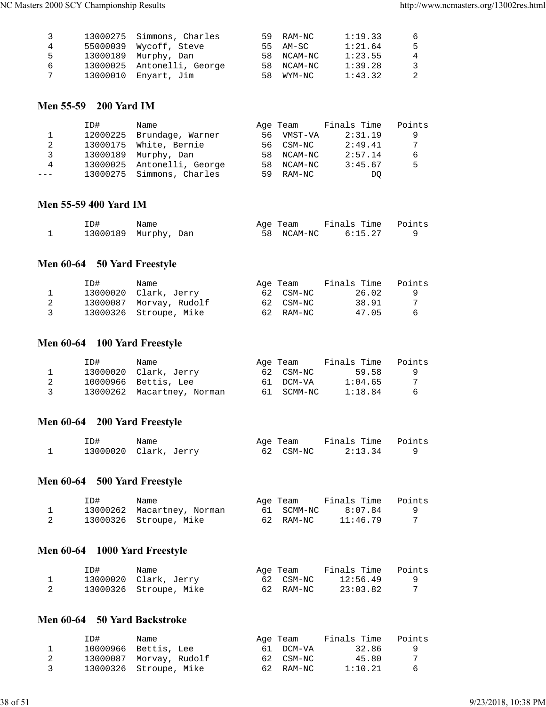| 3 | 13000275 Simmons, Charles  | 59 RAM-NC  | 1:19.33 | -6             |
|---|----------------------------|------------|---------|----------------|
| 4 | 55000039 Wycoff, Steve     | 55 AM-SC   | 1:21.64 | -5             |
| 5 | 13000189 Murphy, Dan       | 58 NCAM-NC | 1:23.55 | $\overline{4}$ |
| 6 | 13000025 Antonelli, George | 58 NCAM-NC | 1:39.28 | -3             |
| 7 | 13000010 Enyart, Jim       | 58 WYM-NC  | 1:43.32 | -2             |

#### **Men 55-59 200 Yard IM**

| Points |
|--------|
| 9      |
| 7      |
| 6      |
| 5      |
|        |
|        |

#### **Men 55-59 400 Yard IM**

| ID# | Name                 | Age Team   | Finals Time Points |  |
|-----|----------------------|------------|--------------------|--|
|     | 13000189 Murphy, Dan | 58 NCAM-NC | 6:15.27            |  |

## **Men 60-64 50 Yard Freestyle**

|   | ID# | Name                    | Age Team  | Finals Time | Points |
|---|-----|-------------------------|-----------|-------------|--------|
|   |     | 13000020 Clark, Jerry   | 62 CSM-NC | 26.02       |        |
|   |     | 13000087 Morvay, Rudolf | 62 CSM-NC | 38.91       | 7      |
| 3 |     | 13000326 Stroupe, Mike  | 62 RAM-NC | 47.05       | -6     |

## **Men 60-64 100 Yard Freestyle**

|               | ID# | Name                       | Age Team   | Finals Time | Points |
|---------------|-----|----------------------------|------------|-------------|--------|
|               |     | 13000020 Clark, Jerry      | 62 CSM-NC  | 59.58       | q      |
|               |     | 10000966 Bettis, Lee       | 61 DCM-VA  | 1:04.65     |        |
| $\mathcal{R}$ |     | 13000262 Macartney, Norman | 61 SCMM-NC | 1:18.84     | 6      |

#### **Men 60-64 200 Yard Freestyle**

| ID# | Name                  | Age Team  | Finals Time Points |  |
|-----|-----------------------|-----------|--------------------|--|
|     | 13000020 Clark, Jerry | 62 CSM-NC | 2:13.34            |  |

## **Men 60-64 500 Yard Freestyle**

| ID# | Name                       | Age Team   | Finals Time | Points |
|-----|----------------------------|------------|-------------|--------|
|     | 13000262 Macartney, Norman | 61 SCMM-NC | 8:07.84     |        |
|     | 13000326 Stroupe, Mike     | 62 RAM-NC  | 11:46.79    |        |

## **Men 60-64 1000 Yard Freestyle**

| ID# | Name                   | Age Team  | Finals Time | Points |
|-----|------------------------|-----------|-------------|--------|
|     | 13000020 Clark, Jerry  | 62 CSM-NC | 12:56.49    |        |
|     | 13000326 Stroupe, Mike | 62 RAM-NC | 23:03.82    |        |

#### **Men 60-64 50 Yard Backstroke**

|               | ID# | Name                    | Age Team  | Finals Time | Points |
|---------------|-----|-------------------------|-----------|-------------|--------|
|               |     | 10000966 Bettis, Lee    | 61 DCM-VA | 32.86       | -9     |
|               |     | 13000087 Morvay, Rudolf | 62 CSM-NC | 45.80       | -7     |
| $\mathcal{R}$ |     | 13000326 Stroupe, Mike  | 62 RAM-NC | 1:10.21     | - 6    |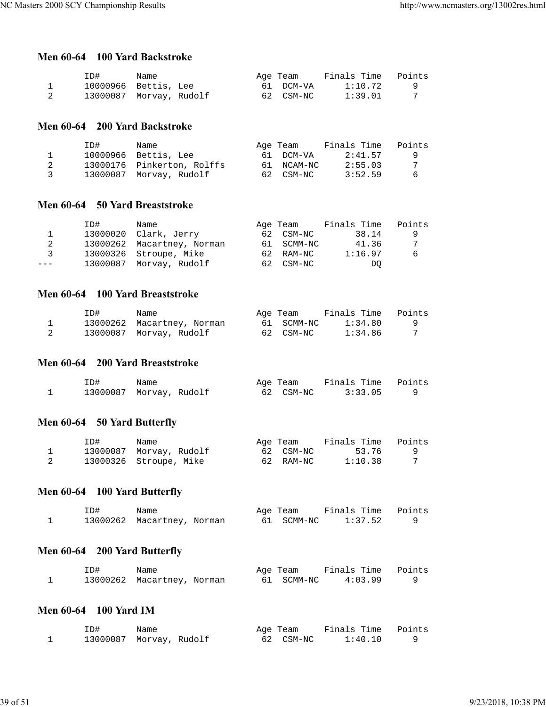## **Men 60-64 100 Yard Backstroke**

| ID#                     | Name |  | Age Team  | Finals Time | Points |
|-------------------------|------|--|-----------|-------------|--------|
| 10000966 Bettis, Lee    |      |  | 61 DCM-VA | 1:10.72     |        |
| 13000087 Morvay, Rudolf |      |  | 62 CSM-NC | 1:39.01     |        |

#### **Men 60-64 200 Yard Backstroke**

|                         | TD# | Name                       | Age Team   | Finals Time | Points   |
|-------------------------|-----|----------------------------|------------|-------------|----------|
|                         |     | 10000966 Bettis, Lee       | 61 DCM-VA  | 2:41.57     | <b>Q</b> |
| 2                       |     | 13000176 Pinkerton, Rolffs | 61 NCAM-NC | 2:55.03     | -7       |
| $\overline{\mathbf{3}}$ |     | 13000087 Morvay, Rudolf    | 62 CSM-NC  | 3:52.59     | - 6      |

#### **Men 60-64 50 Yard Breaststroke**

|               | ID# | Name                       | Age Team   | Finals Time | Points |
|---------------|-----|----------------------------|------------|-------------|--------|
|               |     | 13000020 Clark, Jerry      | 62 CSM-NC  | 38.14       | -9     |
|               |     | 13000262 Macartney, Norman | 61 SCMM-NC | 41.36       | 7      |
| $\mathcal{R}$ |     | 13000326 Stroupe, Mike     | 62 RAM-NC  | 1:16.97     | 6      |
| $---$         |     | 13000087 Morvay, Rudolf    | 62 CSM-NC  | DO.         |        |

#### **Men 60-64 100 Yard Breaststroke**

| ID# | Name                       | Age Team   | Finals Time | Points |
|-----|----------------------------|------------|-------------|--------|
|     | 13000262 Macartney, Norman | 61 SCMM-NC | 1:34.80     |        |
|     | 13000087 Morvay, Rudolf    | 62 CSM-NC  | 1:34.86     |        |

## **Men 60-64 200 Yard Breaststroke**

| ID#                     | Name |  | Age Team  | Finals Time Points |  |
|-------------------------|------|--|-----------|--------------------|--|
| 13000087 Morvay, Rudolf |      |  | 62 CSM-NC | 3:33.05            |  |

#### **Men 60-64 50 Yard Butterfly**

| ID# | Name                    | Age Team  | Finals Time | Points |
|-----|-------------------------|-----------|-------------|--------|
|     | 13000087 Morvay, Rudolf | 62 CSM-NC | 53.76       |        |
|     | 13000326 Stroupe, Mike  | 62 RAM-NC | 1:10.38     |        |

## **Men 60-64 100 Yard Butterfly**

| ID# | Name                       | Age Team   | Finals Time Points |  |
|-----|----------------------------|------------|--------------------|--|
|     | 13000262 Macartney, Norman | 61 SCMM-NC | 1:37.52            |  |

## **Men 60-64 200 Yard Butterfly**

| ID# | Name                       |  | Age Team   | Finals Time Points |  |
|-----|----------------------------|--|------------|--------------------|--|
|     | 13000262 Macartney, Norman |  | 61 SCMM-NC | 4:03.99            |  |

### **Men 60-64 100 Yard IM**

| ID#                     | Name |  | Age Team  | Finals Time Points |  |
|-------------------------|------|--|-----------|--------------------|--|
| 13000087 Morvay, Rudolf |      |  | 62 CSM-NC | 1:40.10            |  |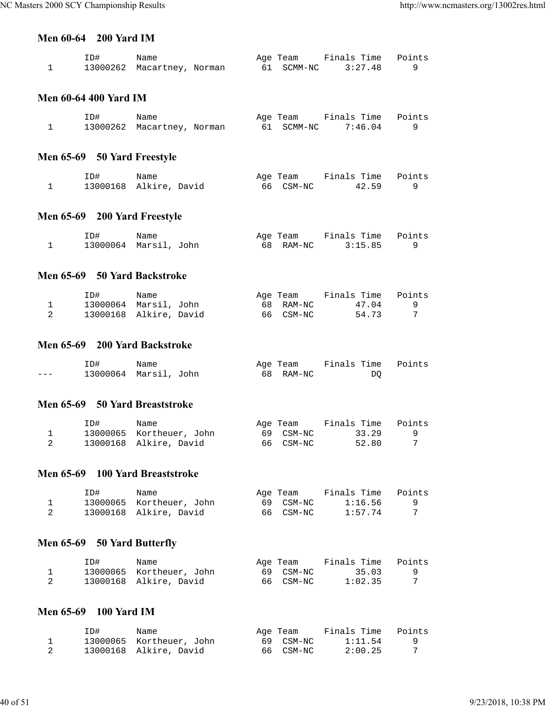#### **Men 60-64 200 Yard IM**

| ID# | Name                       |  | Age Team   | Finals Time Points |  |
|-----|----------------------------|--|------------|--------------------|--|
|     | 13000262 Macartney, Norman |  | 61 SCMM-NC | 3:27.48            |  |

#### **Men 60-64 400 Yard IM**

| ID# | Name                       |  | Age Team   | Finals Time Points |  |
|-----|----------------------------|--|------------|--------------------|--|
|     | 13000262 Macartney, Norman |  | 61 SCMM-NC | 7:46.04            |  |

## **Men 65-69 50 Yard Freestyle**

| ID# | Name                   | Age Team  | Finals Time Points |  |
|-----|------------------------|-----------|--------------------|--|
|     | 13000168 Alkire, David | 66 CSM-NC | 42.59              |  |

## **Men 65-69 200 Yard Freestyle**

| ID# | Name                  | Age Team  | Finals Time Points |  |
|-----|-----------------------|-----------|--------------------|--|
|     | 13000064 Marsil, John | 68 RAM-NC | 3:15.85            |  |

#### **Men 65-69 50 Yard Backstroke**

| ID#                    | Name |  | Age Team  | Finals Time | Points |
|------------------------|------|--|-----------|-------------|--------|
| 13000064 Marsil, John  |      |  | 68 RAM-NC | 47.04       |        |
| 13000168 Alkire, David |      |  | 66 CSM-NC | 54.73       |        |

#### **Men 65-69 200 Yard Backstroke**

|         | ID# | Name                  | Age Team  | Finals Time Points |  |
|---------|-----|-----------------------|-----------|--------------------|--|
| $- - -$ |     | 13000064 Marsil, John | 68 RAM-NC | DO                 |  |

### **Men 65-69 50 Yard Breaststroke**

| ID# | Name                     | Age Team  | Finals Time Points |  |
|-----|--------------------------|-----------|--------------------|--|
|     | 13000065 Kortheuer, John | 69 CSM-NC | 33.29              |  |
|     | 13000168 Alkire, David   | 66 CSM-NC | 52.80              |  |

#### **Men 65-69 100 Yard Breaststroke**

| ID# | Name                     | Aqe Team  | Finals Time | Points |
|-----|--------------------------|-----------|-------------|--------|
|     | 13000065 Kortheuer, John | 69 CSM-NC | 1:16.56     |        |
|     | 13000168 Alkire, David   | 66 CSM-NC | 1:57.74     |        |

## **Men 65-69 50 Yard Butterfly**

| ID# | Name                     | Age Team  | Finals Time | Points |
|-----|--------------------------|-----------|-------------|--------|
|     | 13000065 Kortheuer, John | 69 CSM-NC | 35.03       |        |
|     | 13000168 Alkire, David   | 66 CSM-NC | 1:02.35     |        |

#### **Men 65-69 100 Yard IM**

| ID# | Name                     | Age Team  | Finals Time | Points |
|-----|--------------------------|-----------|-------------|--------|
|     | 13000065 Kortheuer, John | 69 CSM-NC | 1:11.54     |        |
|     | 13000168 Alkire, David   | 66 CSM-NC | 2:00.25     |        |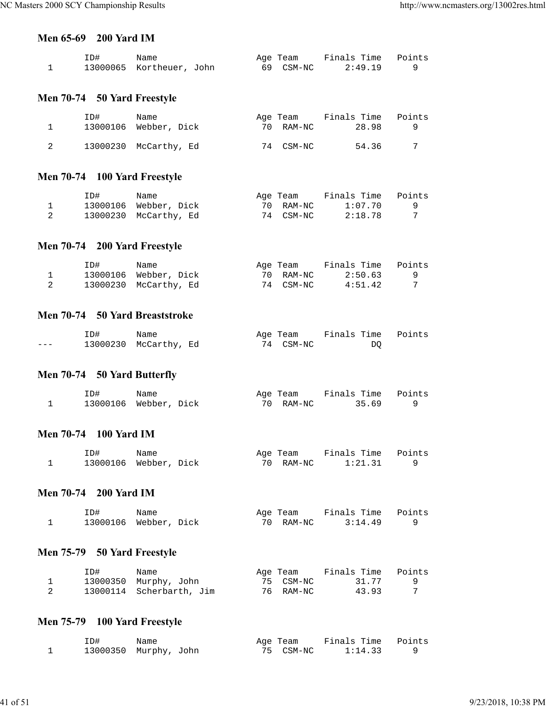#### **Men 65-69 200 Yard IM**

| ID# | Name                     |  | Age Team  | Finals Time Points |  |
|-----|--------------------------|--|-----------|--------------------|--|
|     | 13000065 Kortheuer, John |  | 69 CSM-NC | 2:49.19            |  |

## **Men 70-74 50 Yard Freestyle**

| TD# | Name<br>13000106 Webber, Dick | 70 | Age Team<br>RAM-NC | Finals Time<br>28.98 | Points |
|-----|-------------------------------|----|--------------------|----------------------|--------|
|     | 13000230 McCarthy, Ed         |    | 74 CSM-NC          | 54.36                | 7      |

## **Men 70-74 100 Yard Freestyle**

| ID# | Name                  | Age Team  | Finals Time | Points |
|-----|-----------------------|-----------|-------------|--------|
|     | 13000106 Webber, Dick | 70 RAM-NC | 1:07.70     |        |
|     | 13000230 McCarthy, Ed | 74 CSM-NC | 2:18.78     |        |

## **Men 70-74 200 Yard Freestyle**

| ID# | Name                  | Age Team  | Finals Time | Points |
|-----|-----------------------|-----------|-------------|--------|
|     | 13000106 Webber, Dick | 70 RAM-NC | 2:50.63     |        |
|     | 13000230 McCarthy, Ed | 74 CSM-NC | 4:51.42     |        |

### **Men 70-74 50 Yard Breaststroke**

|         | ID# | Name                  | Age Team  | Finals Time Points |  |
|---------|-----|-----------------------|-----------|--------------------|--|
| $- - -$ |     | 13000230 McCarthy, Ed | 74 CSM-NC | DO                 |  |

## **Men 70-74 50 Yard Butterfly**

| ID# | Name                  | Age Team  | Finals Time Points |  |
|-----|-----------------------|-----------|--------------------|--|
|     | 13000106 Webber, Dick | 70 RAM-NC | 35.69              |  |

## **Men 70-74 100 Yard IM**

| ID# | Name                  | Age Team  | Finals Time Points |  |
|-----|-----------------------|-----------|--------------------|--|
|     | 13000106 Webber, Dick | 70 RAM-NC | 1:21.31            |  |

#### **Men 70-74 200 Yard IM**

| ID# | Name                  | Age Team  | Finals Time Points |  |
|-----|-----------------------|-----------|--------------------|--|
|     | 13000106 Webber, Dick | 70 RAM-NC | 3:14.49            |  |

## **Men 75-79 50 Yard Freestyle**

| ID# | Name                     | Age Team  | Finals Time | Points |
|-----|--------------------------|-----------|-------------|--------|
|     | 13000350 Murphy, John    | 75 CSM-NC | 31.77       |        |
|     | 13000114 Scherbarth, Jim | 76 RAM-NC | 43.93       |        |

## **Men 75-79 100 Yard Freestyle**

| ID# | Name                  | Age Team  | Finals Time Points |  |
|-----|-----------------------|-----------|--------------------|--|
|     | 13000350 Murphy, John | 75 CSM-NC | 1:14.33            |  |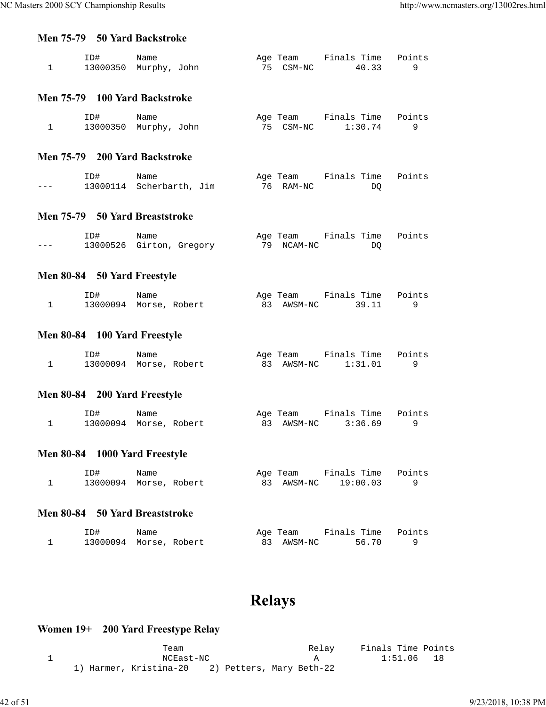#### **Men 75-79 50 Yard Backstroke**

| ID#                   | Name |  | Age Team  | Finals Time Points |  |
|-----------------------|------|--|-----------|--------------------|--|
| 13000350 Murphy, John |      |  | 75 CSM-NC | 40.33              |  |

#### **Men 75-79 100 Yard Backstroke**

| ID# | Name                  | Age Team  | Finals Time Points |  |
|-----|-----------------------|-----------|--------------------|--|
|     | 13000350 Murphy, John | 75 CSM-NC | 1:30.74            |  |

#### **Men 75-79 200 Yard Backstroke**

|         | ID# | Name                     |  | Age Team  | Finals Time Points |    |  |
|---------|-----|--------------------------|--|-----------|--------------------|----|--|
| $- - -$ |     | 13000114 Scherbarth, Jim |  | 76 RAM-NC |                    | DO |  |

#### **Men 75-79 50 Yard Breaststroke**

|         | ID# | Name                     | Age Team   | Finals Time Points |  |
|---------|-----|--------------------------|------------|--------------------|--|
| $- - -$ |     | 13000526 Girton, Gregory | 79 NCAM-NC | DO                 |  |

## **Men 80-84 50 Yard Freestyle**

| ID# | Name                   | Age Team   | Finals Time Points |  |
|-----|------------------------|------------|--------------------|--|
|     | 13000094 Morse, Robert | 83 AWSM-NC | 39.11              |  |

## **Men 80-84 100 Yard Freestyle**

| ID# | Name                   | Age Team   | Finals Time Points |  |
|-----|------------------------|------------|--------------------|--|
|     | 13000094 Morse, Robert | 83 AWSM-NC | 1:31.01            |  |

## **Men 80-84 200 Yard Freestyle**

| ID# | Name                   | Age Team   | Finals Time Points |  |
|-----|------------------------|------------|--------------------|--|
|     | 13000094 Morse, Robert | 83 AWSM-NC | 3:36.69            |  |

## **Men 80-84 1000 Yard Freestyle**

| ID# | Name                   | Age Team   | Finals Time Points |  |
|-----|------------------------|------------|--------------------|--|
|     | 13000094 Morse, Robert | 83 AWSM-NC | 19:00.03           |  |

### **Men 80-84 50 Yard Breaststroke**

| ID# | Name                   | Age Team   | Finals Time Points |  |
|-----|------------------------|------------|--------------------|--|
|     | 13000094 Morse, Robert | 83 AWSM-NC | 56.70              |  |

# **Relays**

## **Women 19+ 200 Yard Freestype Relay**

|  | Team                                            | Relav | Finals Time Points |  |
|--|-------------------------------------------------|-------|--------------------|--|
|  | NCEast-NC                                       |       | 1:51.06 18         |  |
|  | 1) Harmer, Kristina-20 2) Petters, Mary Beth-22 |       |                    |  |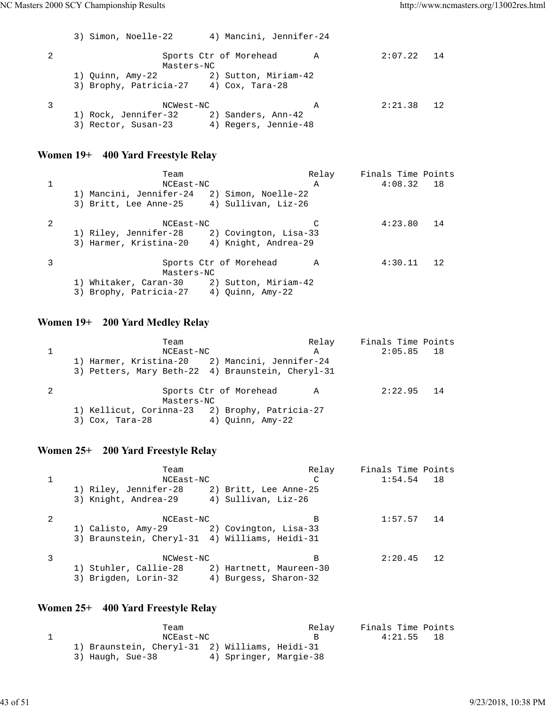|   | 4) Mancini, Jennifer-24<br>3) Simon, Noelle-22                                                         |   |         |       |
|---|--------------------------------------------------------------------------------------------------------|---|---------|-------|
| 2 | Sports Ctr of Morehead<br>Masters-NC                                                                   | A | 2:07.22 | 14    |
|   | 2) Sutton, Miriam-42<br>1) Quinn, Amy-22<br>3) Brophy, Patricia-27 4) Cox, Tara-28                     |   |         |       |
| 3 | NCWest-NC<br>1) Rock, Jennifer-32<br>2) Sanders, Ann-42<br>4) Regers, Jennie-48<br>3) Rector, Susan-23 | A | 2:21.38 | $-12$ |

## **Women 19+ 400 Yard Freestyle Relay**

|   | Team                                           | Relay        | Finals Time Points |    |
|---|------------------------------------------------|--------------|--------------------|----|
|   | NCEast-NC                                      | $\mathbb{A}$ | $4:08.32$ 18       |    |
|   | 1) Mancini, Jennifer-24<br>2) Simon, Noelle-22 |              |                    |    |
|   | 3) Britt, Lee Anne-25 4) Sullivan, Liz-26      |              |                    |    |
| 2 | NCEast-NC                                      |              | 4:23.80            | 14 |
|   | 1) Riley, Jennifer-28 2) Covington, Lisa-33    |              |                    |    |
|   | 3) Harmer, Kristina-20 4) Knight, Andrea-29    |              |                    |    |
|   | Sports Ctr of Morehead                         | A            | 4:30.11            | 12 |
|   | Masters-NC                                     |              |                    |    |
|   | 1) Whitaker, Caran-30 2) Sutton, Miriam-42     |              |                    |    |
|   | 3) Brophy, Patricia-27 4) Quinn, Amy-22        |              |                    |    |
|   |                                                |              |                    |    |

## **Women 19+ 200 Yard Medley Relay**

| Team                                              | Relay | Finals Time Points |  |
|---------------------------------------------------|-------|--------------------|--|
| NCEast-NC                                         | A     | $2:05.85$ 18       |  |
| 1) Harmer, Kristina-20 2) Mancini, Jennifer-24    |       |                    |  |
| 3) Petters, Mary Beth-22 4) Braunstein, Cheryl-31 |       |                    |  |
| Sports Ctr of Morehead<br>Masters-NC              | A     | $2:22.95$ 14       |  |
| 1) Kellicut, Corinna-23 2) Brophy, Patricia-27    |       |                    |  |
| 4) Ouinn, Amy-22<br>$3)$ Cox, Tara-28             |       |                    |  |

## **Women 25+ 200 Yard Freestyle Relay**

| 1:54.54<br>NCEast-NC<br>C<br>1) Riley, Jennifer-28<br>2) Britt, Lee Anne-25<br>3) Knight, Andrea-29 (4) Sullivan, Liz-26<br>2<br>1:57.57<br>NCEast-NC<br>в<br>1) Calisto, Amy-29 2) Covington, Lisa-33<br>3) Braunstein, Cheryl-31 4) Williams, Heidi-31<br>2:20.45<br>NCWest-NC<br>в | Finals Time Points |
|---------------------------------------------------------------------------------------------------------------------------------------------------------------------------------------------------------------------------------------------------------------------------------------|--------------------|
|                                                                                                                                                                                                                                                                                       | 18                 |
|                                                                                                                                                                                                                                                                                       |                    |
|                                                                                                                                                                                                                                                                                       |                    |
|                                                                                                                                                                                                                                                                                       | 14                 |
|                                                                                                                                                                                                                                                                                       |                    |
|                                                                                                                                                                                                                                                                                       |                    |
|                                                                                                                                                                                                                                                                                       | 12                 |
| 1) Stuhler, Callie-28<br>2) Hartnett, Maureen-30                                                                                                                                                                                                                                      |                    |
| 3) Brigden, Lorin-32<br>4) Burgess, Sharon-32                                                                                                                                                                                                                                         |                    |

## **Women 25+ 400 Yard Freestyle Relay**

| Team                                           |                        | Relay | Finals Time Points |     |
|------------------------------------------------|------------------------|-------|--------------------|-----|
| NCEast-NC                                      |                        |       | 4:21.55            | -18 |
| 1) Braunstein, Cheryl-31 2) Williams, Heidi-31 |                        |       |                    |     |
| 3) Haugh, Sue-38                               | 4) Springer, Margie-38 |       |                    |     |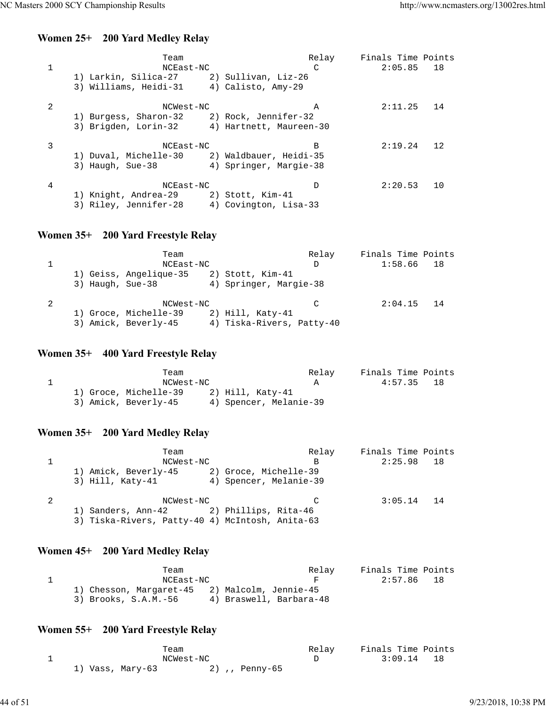## **Women 25+ 200 Yard Medley Relay**

|   | Team<br>NCEast-NC                            |                        | Relay<br>$\mathcal{C}$ | Finals Time Points<br>$2:05.85$ 18 |    |
|---|----------------------------------------------|------------------------|------------------------|------------------------------------|----|
|   |                                              |                        |                        |                                    |    |
|   | 1) Larkin, Silica-27 (2) Sullivan, Liz-26    |                        |                        |                                    |    |
|   | 3) Williams, Heidi-31 4) Calisto, Amy-29     |                        |                        |                                    |    |
| 2 | NCWest-NC                                    |                        | $\mathbb A$            | 2:11.25                            | 14 |
|   | 1) Burgess, Sharon-32 2) Rock, Jennifer-32   |                        |                        |                                    |    |
|   | 3) Brigden, Lorin-32 4) Hartnett, Maureen-30 |                        |                        |                                    |    |
|   |                                              |                        |                        |                                    |    |
| 3 | NCEast-NC                                    |                        | B                      | 2:19.24                            | 12 |
|   | 1) Duval, Michelle-30 2) Waldbauer, Heidi-35 |                        |                        |                                    |    |
|   | 3) Haugh, Sue-38                             | 4) Springer, Margie-38 |                        |                                    |    |
|   |                                              |                        |                        |                                    |    |
| 4 | NCEast-NC                                    |                        | D                      | 2:20.53                            | 10 |
|   | 1) Knight, Andrea-29 2) Stott, Kim-41        |                        |                        |                                    |    |
|   | 3) Riley, Jennifer-28 4) Covington, Lisa-33  |                        |                        |                                    |    |
|   |                                              |                        |                        |                                    |    |

## **Women 35+ 200 Yard Freestyle Relay**

| Team<br>NCEast-NC      | Relay<br>D                | Finals Time Points<br>1:58.66 | 18   |
|------------------------|---------------------------|-------------------------------|------|
| 1) Geiss, Angelique-35 | 2) Stott, Kim-41          |                               |      |
| 3) Haugh, Sue-38       | 4) Springer, Margie-38    |                               |      |
|                        |                           |                               |      |
| NCWest-NC              | $\mathcal{C}$             | 2:04.15                       | - 14 |
| 1) Groce, Michelle-39  | $2)$ Hill, Katy-41        |                               |      |
| 3) Amick, Beverly-45   | 4) Tiska-Rivers, Patty-40 |                               |      |

## **Women 35+ 400 Yard Freestyle Relay**

| Team                  |                        | Relav | Finals Time Points |    |
|-----------------------|------------------------|-------|--------------------|----|
| NCWest-NC             |                        |       | 4:57.35            | 18 |
| 1) Groce, Michelle-39 | $2)$ Hill, Katy-41     |       |                    |    |
| 3) Amick, Beverly-45  | 4) Spencer, Melanie-39 |       |                    |    |

## **Women 35+ 200 Yard Medley Relay**

| Team                                            | Relay | Finals Time Points |  |
|-------------------------------------------------|-------|--------------------|--|
| NCWest-NC                                       | B     | $2:25.98$ 18       |  |
| 1) Amick, Beverly-45<br>2) Groce, Michelle-39   |       |                    |  |
| 3) Hill, Katy-41<br>4) Spencer, Melanie-39      |       |                    |  |
| NCWest-NC                                       |       | $3:05.14$ 14       |  |
| 1) Sanders, Ann-42 (2) Phillips, Rita-46        |       |                    |  |
| 3) Tiska-Rivers, Patty-40 4) McIntosh, Anita-63 |       |                    |  |

## **Women 45+ 200 Yard Medley Relay**

| Team                                          |                         | Relav | Finals Time Points |
|-----------------------------------------------|-------------------------|-------|--------------------|
| NCEast-NC                                     |                         | F     | 2:57.86 18         |
| 1) Chesson, Margaret-45 2) Malcolm, Jennie-45 |                         |       |                    |
| 3) Brooks, S.A.M.-56                          | 4) Braswell, Barbara-48 |       |                    |

## **Women 55+ 200 Yard Freestyle Relay**

| Team             |                | Relav | Finals Time Points |  |
|------------------|----------------|-------|--------------------|--|
|                  | NCWest-NC      |       | $3:09.14$ 18       |  |
| 1) Vass, Mary-63 | 2) ,, Penny-65 |       |                    |  |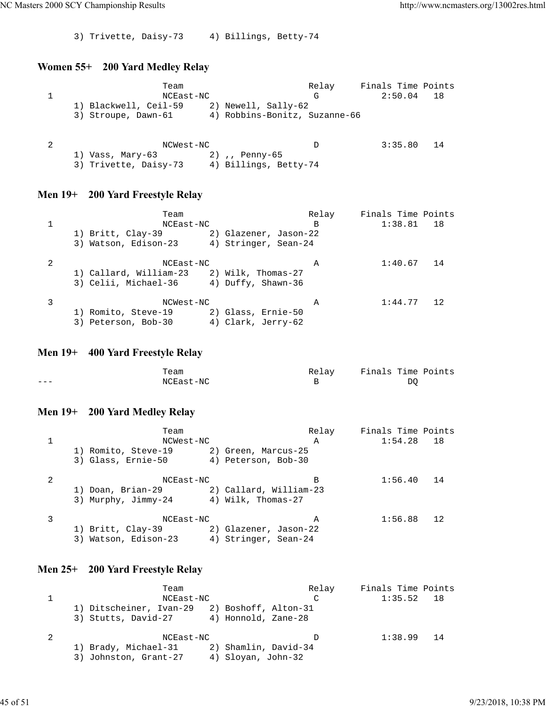3) Trivette, Daisy-73 4) Billings, Betty-74

## **Women 55+ 200 Yard Medley Relay**

| Team                  |                               | Relay | Finals Time Points |     |
|-----------------------|-------------------------------|-------|--------------------|-----|
| NCEast-NC             |                               | G     | 2:50.04            | -18 |
| 1) Blackwell, Ceil-59 | 2) Newell, Sally-62           |       |                    |     |
| 3) Stroupe, Dawn-61   | 4) Robbins-Bonitz, Suzanne-66 |       |                    |     |
|                       |                               |       |                    |     |
|                       |                               |       |                    |     |
| NCWest-NC             |                               | D     | 3:35.80            | 14  |
| 1) Vass, Mary-63      | 2), Penny-65                  |       |                    |     |
| 3) Trivette, Daisy-73 | 4) Billings, Betty-74         |       |                    |     |

## **Men 19+ 200 Yard Freestyle Relay**

|   | Team                                    |                       | Relay | Finals Time Points |    |
|---|-----------------------------------------|-----------------------|-------|--------------------|----|
|   | NCEast-NC                               |                       | B     | 1:38.81            | 18 |
|   | 1) Britt, Clay-39                       | 2) Glazener, Jason-22 |       |                    |    |
|   | 3) Watson, Edison-23                    | 4) Stringer, Sean-24  |       |                    |    |
| 2 | NCEast-NC                               |                       | Α     | 1:40.67            | 14 |
|   | 1) Callard, William-23                  | 2) Wilk, Thomas-27    |       |                    |    |
|   | 3) Celii, Michael-36 4) Duffy, Shawn-36 |                       |       |                    |    |
| 3 | NCWest-NC                               |                       | Α     | 1:44.77            | 12 |
|   | 1) Romito, Steve-19                     | 2) Glass, Ernie-50    |       |                    |    |
|   | 3) Peterson, Bob-30                     | 4) Clark, Jerry-62    |       |                    |    |

## **Men 19+ 400 Yard Freestyle Relay**

|     | Team      | Relav | Finals Time Points |
|-----|-----------|-------|--------------------|
| ___ | NCEast-NC |       | DO                 |

## **Men 19+ 200 Yard Medley Relay**

|   | Team                 |                        | Relay | Finals Time Points |    |
|---|----------------------|------------------------|-------|--------------------|----|
|   | NCWest-NC            |                        | A     | 1:54.28            | 18 |
|   | 1) Romito, Steve-19  | 2) Green, Marcus-25    |       |                    |    |
|   | 3) Glass, Ernie-50   | 4) Peterson, Bob-30    |       |                    |    |
| 2 | NCEast-NC            |                        | В     | 1:56.40            | 14 |
|   | 1) Doan, Brian-29    | 2) Callard, William-23 |       |                    |    |
|   | 3) Murphy, Jimmy-24  | 4) Wilk, Thomas-27     |       |                    |    |
| 3 | NCEast-NC            |                        | А     | 1:56.88            | 12 |
|   | 1) Britt, Clay-39    | 2) Glazener, Jason-22  |       |                    |    |
|   | 3) Watson, Edison-23 | 4) Stringer, Sean-24   |       |                    |    |

## **Men 25+ 200 Yard Freestyle Relay**

| Team                    |                      | Relay | Finals Time Points |    |
|-------------------------|----------------------|-------|--------------------|----|
| NCEast-NC               |                      | C     | 1:35.52            | 18 |
| 1) Ditscheiner, Ivan-29 | 2) Boshoff, Alton-31 |       |                    |    |
| 3) Stutts, David-27     | 4) Honnold, Zane-28  |       |                    |    |
| NCEast-NC               |                      | D     | $1:38.99$ 14       |    |
| 1) Brady, Michael-31    | 2) Shamlin, David-34 |       |                    |    |
| 3) Johnston, Grant-27   | 4) Sloyan, John-32   |       |                    |    |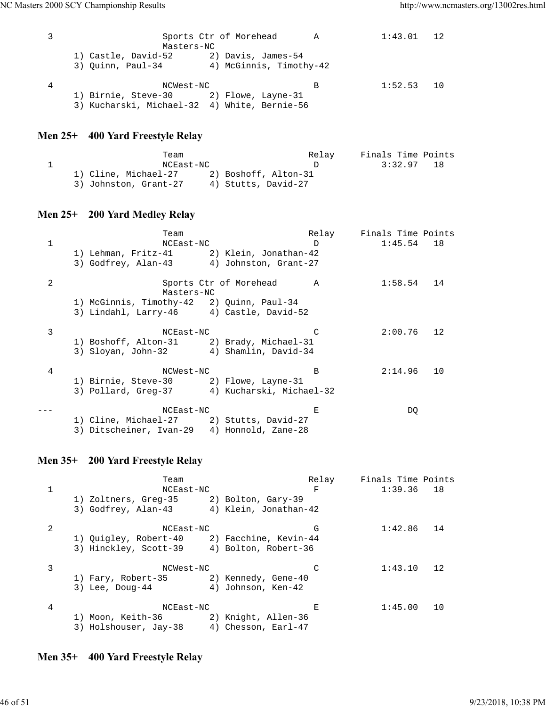| Masters-NC                                                                                          | Sports Ctr of Morehead  | <b>A</b> | 1:43.01 | $-12$ |
|-----------------------------------------------------------------------------------------------------|-------------------------|----------|---------|-------|
| 1) Castle, David-52 2) Davis, James-54<br>3) Ouinn, Paul-34                                         | 4) McGinnis, Timothy-42 |          |         |       |
| NCWest-NC<br>1) Birnie, Steve-30 2) Flowe, Layne-31<br>3) Kucharski, Michael-32 4) White, Bernie-56 |                         | В        | 1:52.53 | 10    |

## **Men 25+ 400 Yard Freestyle Relay**

| Team                  |                      | Relay | Finals Time Points |    |
|-----------------------|----------------------|-------|--------------------|----|
| NCEast-NC             |                      |       | 3:32.97            | 18 |
| 1) Cline, Michael-27  | 2) Boshoff, Alton-31 |       |                    |    |
| 3) Johnston, Grant-27 | 4) Stutts, David-27  |       |                    |    |

## **Men 25+ 200 Yard Medley Relay**

|              | Team                                                                                     |                        | Relay        | Finals Time Points |    |
|--------------|------------------------------------------------------------------------------------------|------------------------|--------------|--------------------|----|
| $\mathbf{1}$ | NCEast-NC                                                                                |                        | D            | $1:45.54$ 18       |    |
|              | 1) Lehman, Fritz-41 2) Klein, Jonathan-42                                                |                        |              |                    |    |
|              | 3) Godfrey, Alan-43 4) Johnston, Grant-27                                                |                        |              |                    |    |
| 2            | Masters-NC                                                                               | Sports Ctr of Morehead | $\mathbb A$  | 1:58.54            | 14 |
|              | 1) McGinnis, Timothy-42 2) Quinn, Paul-34                                                |                        |              |                    |    |
|              | 3) Lindahl, Larry-46 4) Castle, David-52                                                 |                        |              |                    |    |
| 3            | NCEast-NC                                                                                |                        |              | 2:00.76            | 12 |
|              | 1) Boshoff, Alton-31 2) Brady, Michael-31                                                |                        |              |                    |    |
|              | 3) Sloyan, John-32 4) Shamlin, David-34                                                  |                        |              |                    |    |
| 4            | NCWest-NC                                                                                |                        | <sub>B</sub> | 2:14.96            | 10 |
|              | 1) Birnie, Steve-30 2) Flowe, Layne-31                                                   |                        |              |                    |    |
|              | 3) Pollard, Greg-37 4) Kucharski, Michael-32                                             |                        |              |                    |    |
|              | NCEast-NC                                                                                |                        | Е            | DQ                 |    |
|              | 1) Cline, Michael-27 (2) Stutts, David-27<br>3) Ditscheiner, Ivan-29 4) Honnold, Zane-28 |                        |              |                    |    |
|              |                                                                                          |                        |              |                    |    |

#### **Men 35+ 200 Yard Freestyle Relay**

Team Relay Finals Time Points 1 NCEast-NC F 1:39.36 18 1) Zoltners, Greg-35 2) Bolton, Gary-39 3) Godfrey, Alan-43 4) Klein, Jonathan-42 2 NCEast-NC G 1:42.86 14 1) Quigley, Robert-40 2) Facchine, Kevin-44 3) Hinckley, Scott-39 4) Bolton, Robert-36 3 NCWest-NC C 1:43.10 12 1) Fary, Robert-35 2) Kennedy, Gene-40 3) Lee, Doug-44 4) Johnson, Ken-42 4 NCEast-NC E 1:45.00 10 1) Moon, Keith-36 2) Knight, Allen-36 3) Holshouser, Jay-38 4) Chesson, Earl-47

### **Men 35+ 400 Yard Freestyle Relay**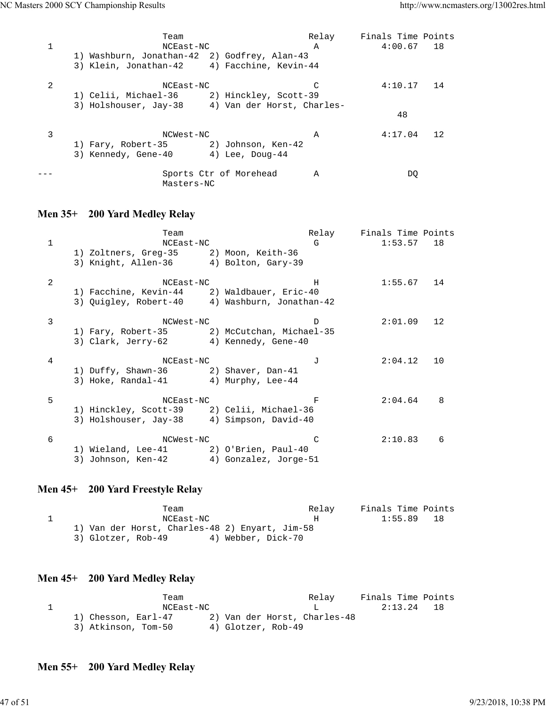|   | Team                                             |                        | Relay        | Finals Time Points |    |
|---|--------------------------------------------------|------------------------|--------------|--------------------|----|
|   | NCEast-NC                                        |                        | $\mathbb{A}$ | $4:00.67$ 18       |    |
|   | 1) Washburn, Jonathan-42 2) Godfrey, Alan-43     |                        |              |                    |    |
|   | 3) Klein, Jonathan-42 4) Facchine, Kevin-44      |                        |              |                    |    |
| 2 | NCEast-NC                                        |                        |              | 4:10.17            | 14 |
|   | 1) Celii, Michael-36 2) Hinckley, Scott-39       |                        |              |                    |    |
|   | 3) Holshouser, Jay-38 4) Van der Horst, Charles- |                        |              |                    |    |
|   |                                                  |                        |              | 48                 |    |
| 3 | NCWest-NC                                        |                        | A            | 4:17.04            | 12 |
|   | 1) Fary, Robert-35 2) Johnson, Ken-42            |                        |              |                    |    |
|   | 3) Kennedy, Gene-40                              | 4) Lee, Doug-44        |              |                    |    |
|   | Masters-NC                                       | Sports Ctr of Morehead | A            | DO                 |    |

## **Men 35+ 200 Yard Medley Relay**

| 1 | Team<br>NCEast-NC<br>1) Zoltners, Greg-35 2) Moon, Keith-36<br>3) Knight, Allen-36 4) Bolton, Gary-39      |                       | Relay<br>G | Finals Time Points<br>1:53.57 | 18 |
|---|------------------------------------------------------------------------------------------------------------|-----------------------|------------|-------------------------------|----|
| 2 | NCEast-NC<br>1) Facchine, Kevin-44 2) Waldbauer, Eric-40<br>3) Quigley, Robert-40 4) Washburn, Jonathan-42 |                       | H          | 1:55.67                       | 14 |
| 3 | NCWest-NC<br>1) Fary, Robert-35 2) McCutchan, Michael-35<br>3) Clark, Jerry-62 4) Kennedy, Gene-40         |                       | D          | 2:01.09                       | 12 |
| 4 | NCEast-NC<br>1) Duffy, Shawn-36 2) Shaver, Dan-41<br>3) Hoke, Randal-41 4) Murphy, Lee-44                  |                       | T.         | 2:04.12                       | 10 |
| 5 | NCEast-NC<br>1) Hinckley, Scott-39 2) Celii, Michael-36<br>3) Holshouser, Jay-38 4) Simpson, David-40      |                       | F          | 2:04.64                       | 8  |
| 6 | NCWest-NC<br>1) Wieland, Lee-41 2) O'Brien, Paul-40<br>3) Johnson, Ken-42                                  | 4) Gonzalez, Jorge-51 | C          | 2:10.83                       | 6  |

## **Men 45+ 200 Yard Freestyle Relay**

| Team                                           | Relav              | Finals Time Points |    |
|------------------------------------------------|--------------------|--------------------|----|
| NCEast-NC                                      | н.                 | 1:55.89            | 18 |
| 1) Van der Horst, Charles-48 2) Enyart, Jim-58 |                    |                    |    |
| 3) Glotzer, Rob-49                             | 4) Webber, Dick-70 |                    |    |

### **Men 45+ 200 Yard Medley Relay**

Team Team Relay Finals Time Points 1 1 NCEast-NC L 2:13.24 18 1) Chesson, Earl-47 2) Van der Horst, Charles-48 3) Atkinson, Tom-50 4) Glotzer, Rob-49

#### **Men 55+ 200 Yard Medley Relay**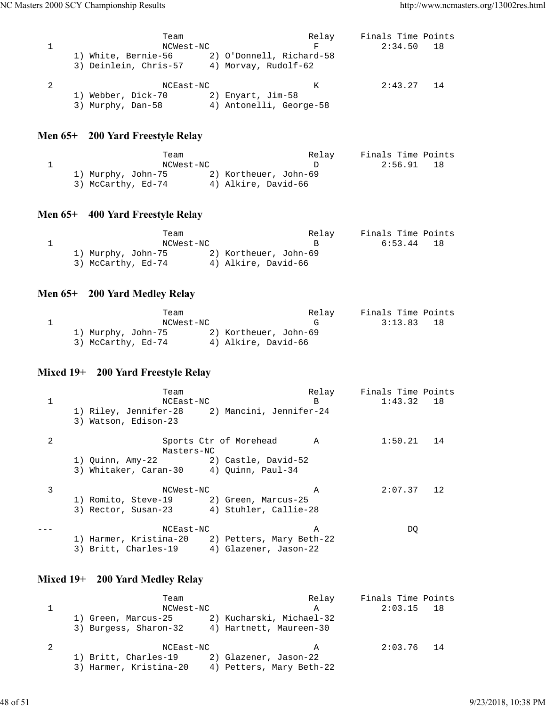| Team<br>NCWest-NC<br>1) White, Bernie-56<br>3) Deinlein, Chris-57 | 2) O'Donnell, Richard-58<br>4) Morvay, Rudolf-62 | Relay<br>F | Finals Time Points<br>2:34.50 | 18 |
|-------------------------------------------------------------------|--------------------------------------------------|------------|-------------------------------|----|
| NCEast-NC<br>1) Webber, Dick-70<br>3) Murphy, Dan-58              | 2) Enyart, Jim-58<br>4) Antonelli, George-58     | K          | 2:43.27                       | 14 |

## **Men 65+ 200 Yard Freestyle Relay**

| Team               |                       | Relay | Finals Time Points |      |
|--------------------|-----------------------|-------|--------------------|------|
| NCWest-NC          |                       |       | 2:56.91            | - 18 |
| 1) Murphy, John-75 | 2) Kortheuer, John-69 |       |                    |      |
| 3) McCarthy, Ed-74 | 4) Alkire, David-66   |       |                    |      |

## **Men 65+ 400 Yard Freestyle Relay**

| Team               |                       | Relay | Finals Time Points |     |
|--------------------|-----------------------|-------|--------------------|-----|
| NCWest-NC          |                       |       | 6:53.44            | -18 |
| 1) Murphy, John-75 | 2) Kortheuer, John-69 |       |                    |     |
| 3) McCarthy, Ed-74 | 4) Alkire, David-66   |       |                    |     |

## **Men 65+ 200 Yard Medley Relay**

| Team               |                       | Relay | Finals Time Points |     |
|--------------------|-----------------------|-------|--------------------|-----|
| NCWest-NC          |                       | - 4   | 3:13.83            | -18 |
| 1) Murphy, John-75 | 2) Kortheuer, John-69 |       |                    |     |
| 3) McCarthy, Ed-74 | 4) Alkire, David-66   |       |                    |     |

## **Mixed 19+ 200 Yard Freestyle Relay**

|   | Team                                            | Relay          | Finals Time Points |    |
|---|-------------------------------------------------|----------------|--------------------|----|
| 1 | NCEast-NC                                       | B              | $1:43.32$ 18       |    |
|   | 1) Riley, Jennifer-28 2) Mancini, Jennifer-24   |                |                    |    |
|   | 3) Watson, Edison-23                            |                |                    |    |
| 2 | Sports Ctr of Morehead                          | $\overline{A}$ | 1:50.21            | 14 |
|   | Masters-NC                                      |                |                    |    |
|   | 1) Quinn, Amy-22 (2) Castle, David-52           |                |                    |    |
|   | 3) Whitaker, Caran-30 4) Ouinn, Paul-34         |                |                    |    |
| 3 | NCWest-NC                                       | A              | $2:07.37$ 12       |    |
|   | 1) Romito, Steve-19 2) Green, Marcus-25         |                |                    |    |
|   | 3) Rector, Susan-23 4) Stuhler, Callie-28       |                |                    |    |
|   | NCEast-NC                                       | A              | DO.                |    |
|   | 1) Harmer, Kristina-20 2) Petters, Mary Beth-22 |                |                    |    |
|   | 3) Britt, Charles-19 4) Glazener, Jason-22      |                |                    |    |

## **Mixed 19+ 200 Yard Medley Relay**

| Team                   | Relay                    | Finals Time Points |
|------------------------|--------------------------|--------------------|
| NCWest-NC              | $\mathbb{A}$             | 2:03.15<br>18      |
| 1) Green, Marcus-25    | 2) Kucharski, Michael-32 |                    |
| 3) Burgess, Sharon-32  | 4) Hartnett, Maureen-30  |                    |
| NCEast-NC              | A                        | 2:03.76<br>- 14    |
| 1) Britt, Charles-19   | 2) Glazener, Jason-22    |                    |
| 3) Harmer, Kristina-20 | 4) Petters, Mary Beth-22 |                    |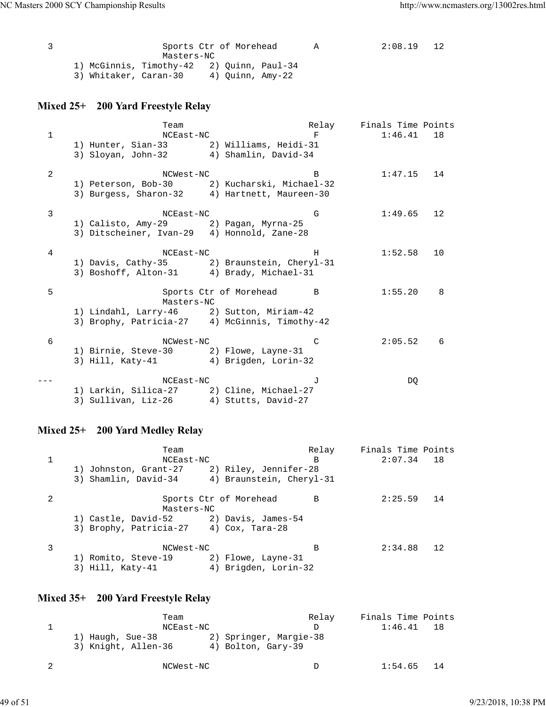|                                           | Sports Ctr of Morehead |  |                  | A | 2:08.19 | 12 |
|-------------------------------------------|------------------------|--|------------------|---|---------|----|
|                                           | Masters-NC             |  |                  |   |         |    |
| 1) McGinnis, Timothy-42 2) Ouinn, Paul-34 |                        |  |                  |   |         |    |
| 3) Whitaker, Caran-30                     |                        |  | 4) Ouinn, Amy-22 |   |         |    |

## **Mixed 25+ 200 Yard Freestyle Relay**

|              | Team                                        | Relay                                          | Finals Time Points |    |
|--------------|---------------------------------------------|------------------------------------------------|--------------------|----|
| $\mathbf{1}$ | NCEast-NC                                   | F                                              | 1:46.41            | 18 |
|              | 1) Hunter, Sian-33 2) Williams, Heidi-31    |                                                |                    |    |
|              | 3) Sloyan, John-32 4) Shamlin, David-34     |                                                |                    |    |
| 2            | NCWest-NC                                   | B                                              | 1:47.15            | 14 |
|              |                                             | 1) Peterson, Bob-30 2) Kucharski, Michael-32   |                    |    |
|              |                                             | 3) Burgess, Sharon-32 4) Hartnett, Maureen-30  |                    |    |
| 3            | NCEast-NC                                   | G                                              | 1:49.65            | 12 |
|              | 1) Calisto, Amy-29 (2) Pagan, Myrna-25      |                                                |                    |    |
|              | 3) Ditscheiner, Ivan-29 4) Honnold, Zane-28 |                                                |                    |    |
| 4            | NCEast-NC                                   | H                                              | 1:52.58            | 10 |
|              |                                             | 1) Davis, Cathy-35 2) Braunstein, Cheryl-31    |                    |    |
|              | 3) Boshoff, Alton-31 4) Brady, Michael-31   |                                                |                    |    |
| 5            |                                             | Sports Ctr of Morehead<br>$\overline{B}$       | 1:55.20            | 8  |
|              | Masters-NC                                  |                                                |                    |    |
|              | 1) Lindahl, Larry-46 2) Sutton, Miriam-42   |                                                |                    |    |
|              |                                             | 3) Brophy, Patricia-27 4) McGinnis, Timothy-42 |                    |    |
| 6            | NCWest-NC                                   | C                                              | 2:05.52            | 6  |
|              | 1) Birnie, Steve-30 2) Flowe, Layne-31      |                                                |                    |    |
|              | 3) Hill, Katy-41 4) Brigden, Lorin-32       |                                                |                    |    |
|              | NCEast-NC                                   | $\overline{J}$                                 | DQ                 |    |
|              | 1) Larkin, Silica-27 2) Cline, Michael-27   |                                                |                    |    |
|              | 3) Sullivan, Liz-26                         | 4) Stutts, David-27                            |                    |    |
|              |                                             |                                                |                    |    |

## **Mixed 25+ 200 Yard Medley Relay**

|   | Team                                    |                                            | Relay | Finals Time Points |    |
|---|-----------------------------------------|--------------------------------------------|-------|--------------------|----|
|   | NCEast-NC                               |                                            | B     | $2:07.34$ 18       |    |
|   | 1) Johnston, Grant-27                   | 2) Riley, Jennifer-28                      |       |                    |    |
|   | 3) Shamlin, David-34                    | 4) Braunstein, Cheryl-31                   |       |                    |    |
|   | Masters-NC                              | Sports Ctr of Morehead                     | B     | 2:25.59            | 14 |
|   | 1) Castle, David-52 (2) Davis, James-54 |                                            |       |                    |    |
|   | 3) Brophy, Patricia-27 4) Cox, Tara-28  |                                            |       |                    |    |
| 3 | NCWest-NC                               |                                            | B     | 2:34.88            | 12 |
|   | 1) Romito, Steve-19<br>3) Hill, Katy-41 | 2) Flowe, Layne-31<br>4) Brigden, Lorin-32 |       |                    |    |
|   |                                         |                                            |       |                    |    |

## **Mixed 35+ 200 Yard Freestyle Relay**

| Team                |                        | Relay | Finals Time Points |      |
|---------------------|------------------------|-------|--------------------|------|
| NCEast-NC           |                        |       | 1:46.41            | 18   |
| 1) Haugh, Sue-38    | 2) Springer, Margie-38 |       |                    |      |
| 3) Knight, Allen-36 | 4) Bolton, Gary-39     |       |                    |      |
| NCWest-NC           |                        |       | 1:54.65            | - 14 |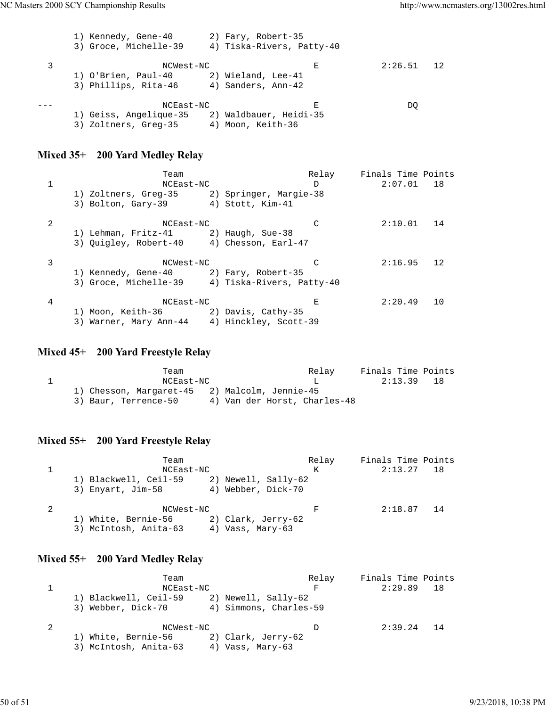```
 1) Kennedy, Gene-40 2) Fary, Robert-35
 3) Groce, Michelle-39 4) Tiska-Rivers, Patty-40
3 NCWest-NC E 2:26.51 12
 1) O'Brien, Paul-40 2) Wieland, Lee-41
 3) Phillips, Rita-46 4) Sanders, Ann-42
--- NCEast-NC E DQ
 1) Geiss, Angelique-35 2) Waldbauer, Heidi-35
 3) Zoltners, Greg-35 4) Moon, Keith-36
```
#### **Mixed 35+ 200 Yard Medley Relay**

|   | Team                                            |  | Relay | Finals Time Points |    |
|---|-------------------------------------------------|--|-------|--------------------|----|
|   | NCEast-NC                                       |  | D     | $2:07.01$ 18       |    |
|   | 1) Zoltners, Greg-35 2) Springer, Margie-38     |  |       |                    |    |
|   | 3) Bolton, Gary-39 4) Stott, Kim-41             |  |       |                    |    |
|   |                                                 |  |       |                    |    |
| 2 | NCEast-NC                                       |  |       | 2:10.01            | 14 |
|   | 1) Lehman, Fritz-41 2) Haugh, Sue-38            |  |       |                    |    |
|   | 3) Quigley, Robert-40 4) Chesson, Earl-47       |  |       |                    |    |
| 3 | NCWest-NC                                       |  |       | 2:16.95            | 12 |
|   | 1) Kennedy, Gene-40 2) Fary, Robert-35          |  |       |                    |    |
|   | 3) Groce, Michelle-39 4) Tiska-Rivers, Patty-40 |  |       |                    |    |
|   |                                                 |  |       |                    |    |
| 4 | NCEast-NC                                       |  | Е     | 2:20.49            | 10 |
|   | 1) Moon, Keith-36 2) Davis, Cathy-35            |  |       |                    |    |
|   | 3) Warner, Mary Ann-44 4) Hinckley, Scott-39    |  |       |                    |    |

**Mixed 45+ 200 Yard Freestyle Relay**

| Team                                          |                              | Relay | Finals Time Points |  |
|-----------------------------------------------|------------------------------|-------|--------------------|--|
| NCEast-NC                                     |                              |       | 2:13.39 18         |  |
| 1) Chesson, Margaret-45 2) Malcolm, Jennie-45 |                              |       |                    |  |
| 3) Baur, Terrence-50                          | 4) Van der Horst, Charles-48 |       |                    |  |

#### **Mixed 55+ 200 Yard Freestyle Relay**

Team Relay Finals Time Points 1 NCEast-NC K 2:13.27 18 1) Blackwell, Ceil-59 2) Newell, Sally-62 3) Enyart, Jim-58 4) Webber, Dick-70 2 NCWest-NC F 2:18.87 14 1) White, Bernie-56 2) Clark, Jerry-62 3) McIntosh, Anita-63 4) Vass, Mary-63

#### **Mixed 55+ 200 Yard Medley Relay**

| Team                  |                        | Relay | Finals Time Points |  |
|-----------------------|------------------------|-------|--------------------|--|
| NCEast-NC             |                        | F     | $2:29.89$ 18       |  |
| 1) Blackwell, Ceil-59 | 2) Newell, Sally-62    |       |                    |  |
| 3) Webber, Dick-70    | 4) Simmons, Charles-59 |       |                    |  |
| NCWest-NC             |                        | D     | $2:39.24$ 14       |  |
| 1) White, Bernie-56   | 2) Clark, Jerry-62     |       |                    |  |
| 3) McIntosh, Anita-63 | 4) Vass, Mary-63       |       |                    |  |